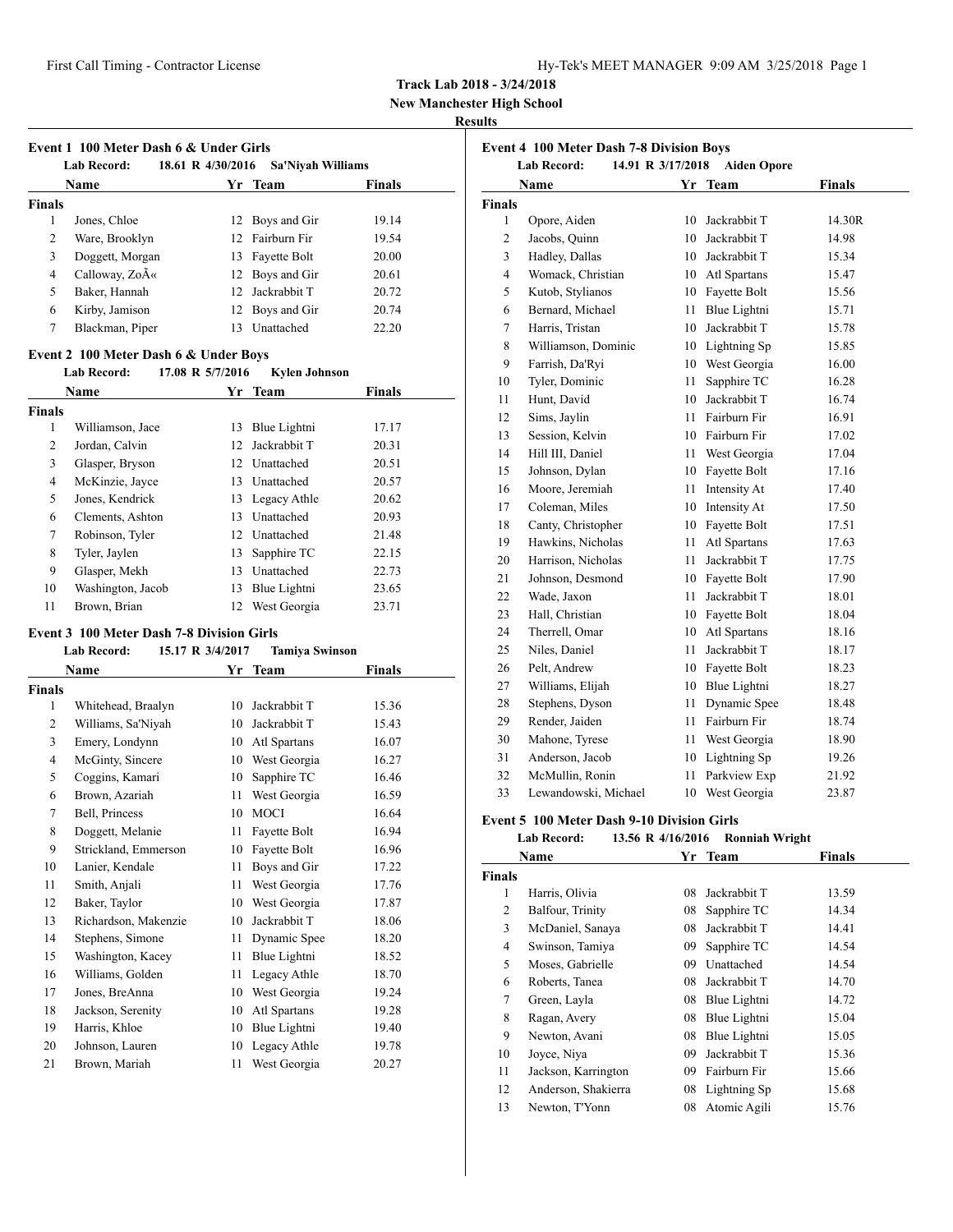**New Manchester High School**

### **Results**

|               | Name            |                 | Yr Team         | <b>Finals</b> |
|---------------|-----------------|-----------------|-----------------|---------------|
| <b>Finals</b> |                 |                 |                 |               |
| 1             | Jones, Chloe    |                 | 12 Boys and Gir | 19.14         |
| 2             | Ware, Brooklyn  |                 | 12 Fairburn Fir | 19.54         |
| 3             | Doggett, Morgan | 13              | Fayette Bolt    | 20.00         |
| 4             | Calloway, ZoA«  |                 | 12 Boys and Gir | 20.61         |
| 5             | Baker, Hannah   | 12 <sup>1</sup> | Jackrabbit T    | 20.72         |
| 6             | Kirby, Jamison  |                 | 12 Boys and Gir | 20.74         |
| 7             | Blackman, Piper | 13              | Unattached      | 22.20         |

#### **Lab Record: 17.08 R 5/7/2016 Kylen Johnson**

|        | <b>Name</b>       | Yr | <b>Team</b>     | <b>Finals</b> |  |
|--------|-------------------|----|-----------------|---------------|--|
| Finals |                   |    |                 |               |  |
| 1      | Williamson, Jace  | 13 | Blue Lightni    | 17.17         |  |
| 2      | Jordan, Calvin    | 12 | Jackrabbit T    | 20.31         |  |
| 3      | Glasper, Bryson   |    | 12 Unattached   | 20.51         |  |
| 4      | McKinzie, Jayce   | 13 | Unattached      | 20.57         |  |
| 5      | Jones, Kendrick   |    | 13 Legacy Athle | 20.62         |  |
| 6      | Clements, Ashton  | 13 | Unattached      | 20.93         |  |
| 7      | Robinson, Tyler   |    | 12 Unattached   | 21.48         |  |
| 8      | Tyler, Jaylen     | 13 | Sapphire TC     | 22.15         |  |
| 9      | Glasper, Mekh     | 13 | Unattached      | 22.73         |  |
| 10     | Washington, Jacob | 13 | Blue Lightni    | 23.65         |  |
| 11     | Brown, Brian      | 12 | West Georgia    | 23.71         |  |

# **Event 3 100 Meter Dash 7-8 Division Girls**

|                | <b>Lab Record:</b>   | 15.17 R 3/4/2017 | <b>Tamiya Swinson</b> |        |  |
|----------------|----------------------|------------------|-----------------------|--------|--|
|                | Name                 | Yr               | Team                  | Finals |  |
| Finals         |                      |                  |                       |        |  |
| 1              | Whitehead, Braalyn   | 10               | Jackrabbit T          | 15.36  |  |
| 2              | Williams, Sa'Niyah   | 10               | Jackrabbit T          | 15.43  |  |
| 3              | Emery, Londynn       | 10               | Atl Spartans          | 16.07  |  |
| $\overline{4}$ | McGinty, Sincere     | 10               | West Georgia          | 16.27  |  |
| 5              | Coggins, Kamari      | 10               | Sapphire TC           | 16.46  |  |
| 6              | Brown, Azariah       | 11               | West Georgia          | 16.59  |  |
| 7              | Bell, Princess       | 10               | <b>MOCI</b>           | 16.64  |  |
| 8              | Doggett, Melanie     | 11               | Fayette Bolt          | 16.94  |  |
| 9              | Strickland, Emmerson | 10               | Fayette Bolt          | 16.96  |  |
| 10             | Lanier, Kendale      | 11               | Boys and Gir          | 17.22  |  |
| 11             | Smith, Anjali        | 11               | West Georgia          | 17.76  |  |
| 12             | Baker, Taylor        | 10               | West Georgia          | 17.87  |  |
| 13             | Richardson, Makenzie | 10               | Jackrabbit T          | 18.06  |  |
| 14             | Stephens, Simone     | 11               | Dynamic Spee          | 18.20  |  |
| 15             | Washington, Kacey    | 11               | Blue Lightni          | 18.52  |  |
| 16             | Williams, Golden     | 11               | Legacy Athle          | 18.70  |  |
| 17             | Jones, BreAnna       | 10               | West Georgia          | 19.24  |  |
| 18             | Jackson, Serenity    | 10               | Atl Spartans          | 19.28  |  |
| 19             | Harris, Khloe        | 10               | Blue Lightni          | 19.40  |  |
| 20             | Johnson, Lauren      | 10               | Legacy Athle          | 19.78  |  |
| 21             | Brown, Mariah        | 11               | West Georgia          | 20.27  |  |
|                |                      |                  |                       |        |  |

|                | <b>Lab Record:</b><br>14.91 R 3/17/2018 |     | <b>Aiden Opore</b> |               |
|----------------|-----------------------------------------|-----|--------------------|---------------|
|                | Name                                    |     | Yr Team            | <b>Finals</b> |
| <b>Finals</b>  |                                         |     |                    |               |
| 1              | Opore, Aiden                            | 10  | Jackrabbit T       | 14.30R        |
| $\overline{2}$ | Jacobs, Quinn                           |     | 10 Jackrabbit T    | 14.98         |
| 3              | Hadley, Dallas                          |     | 10 Jackrabbit T    | 15.34         |
| $\overline{4}$ | Womack, Christian                       |     | 10 Atl Spartans    | 15.47         |
| 5              | Kutob, Stylianos                        |     | 10 Fayette Bolt    | 15.56         |
| 6              | Bernard, Michael                        | 11  | Blue Lightni       | 15.71         |
| 7              | Harris, Tristan                         |     | 10 Jackrabbit T    | 15.78         |
| 8              | Williamson, Dominic                     |     | 10 Lightning Sp    | 15.85         |
| 9              | Farrish, Da'Ryi                         |     | 10 West Georgia    | 16.00         |
| 10             | Tyler, Dominic                          | 11  | Sapphire TC        | 16.28         |
| 11             | Hunt, David                             |     | 10 Jackrabbit T    | 16.74         |
| 12             | Sims, Jaylin                            |     | 11 Fairburn Fir    | 16.91         |
| 13             | Session, Kelvin                         |     | 10 Fairburn Fir    | 17.02         |
| 14             | Hill III, Daniel                        |     | 11 West Georgia    | 17.04         |
| 15             | Johnson, Dylan                          |     | 10 Fayette Bolt    | 17.16         |
| 16             | Moore, Jeremiah                         |     | 11 Intensity At    | 17.40         |
| 17             | Coleman, Miles                          |     | 10 Intensity At    | 17.50         |
| 18             | Canty, Christopher                      |     | 10 Fayette Bolt    | 17.51         |
| 19             | Hawkins, Nicholas                       | 11  | Atl Spartans       | 17.63         |
| 20             | Harrison, Nicholas                      | 11  | Jackrabbit T       | 17.75         |
| 21             | Johnson, Desmond                        |     | 10 Fayette Bolt    | 17.90         |
| 22             | Wade, Jaxon                             | 11  | Jackrabbit T       | 18.01         |
| 23             | Hall, Christian                         |     | 10 Fayette Bolt    | 18.04         |
| 24             | Therrell, Omar                          |     | 10 Atl Spartans    | 18.16         |
| 25             | Niles, Daniel                           | 11  | Jackrabbit T       | 18.17         |
| 26             | Pelt, Andrew                            |     | 10 Fayette Bolt    | 18.23         |
| 27             | Williams, Elijah                        | 10  | Blue Lightni       | 18.27         |
| 28             | Stephens, Dyson                         | 11  | Dynamic Spee       | 18.48         |
| 29             | Render, Jaiden                          | 11. | Fairburn Fir       | 18.74         |
| 30             | Mahone, Tyrese                          |     | 11 West Georgia    | 18.90         |
| 31             | Anderson, Jacob                         | 10  | Lightning Sp       | 19.26         |
| 32             | McMullin, Ronin                         | 11  | Parkview Exp       | 21.92         |
| 33             | Lewandowski, Michael                    | 10  | West Georgia       | 23.87         |

### **Event 5 100 Meter Dash 9-10 Division Girls**

#### **Lab Record: 13.56 R 4/16/2016 Ronniah Wright**

|        |                     |    |              | o      |  |
|--------|---------------------|----|--------------|--------|--|
|        | Name                | Yr | Team         | Finals |  |
| Finals |                     |    |              |        |  |
| 1      | Harris, Olivia      | 08 | Jackrabbit T | 13.59  |  |
| 2      | Balfour, Trinity    | 08 | Sapphire TC  | 14.34  |  |
| 3      | McDaniel, Sanaya    | 08 | Jackrabbit T | 14.41  |  |
| 4      | Swinson, Tamiya     | 09 | Sapphire TC  | 14.54  |  |
| 5      | Moses, Gabrielle    | 09 | Unattached   | 14.54  |  |
| 6      | Roberts, Tanea      | 08 | Jackrabbit T | 14.70  |  |
| 7      | Green, Layla        | 08 | Blue Lightni | 14.72  |  |
| 8      | Ragan, Avery        | 08 | Blue Lightni | 15.04  |  |
| 9      | Newton, Avani       | 08 | Blue Lightni | 15.05  |  |
| 10     | Joyce, Niya         | 09 | Jackrabbit T | 15.36  |  |
| 11     | Jackson, Karrington | 09 | Fairburn Fir | 15.66  |  |
| 12     | Anderson, Shakierra | 08 | Lightning Sp | 15.68  |  |
| 13     | Newton, T'Yonn      | 08 | Atomic Agili | 15.76  |  |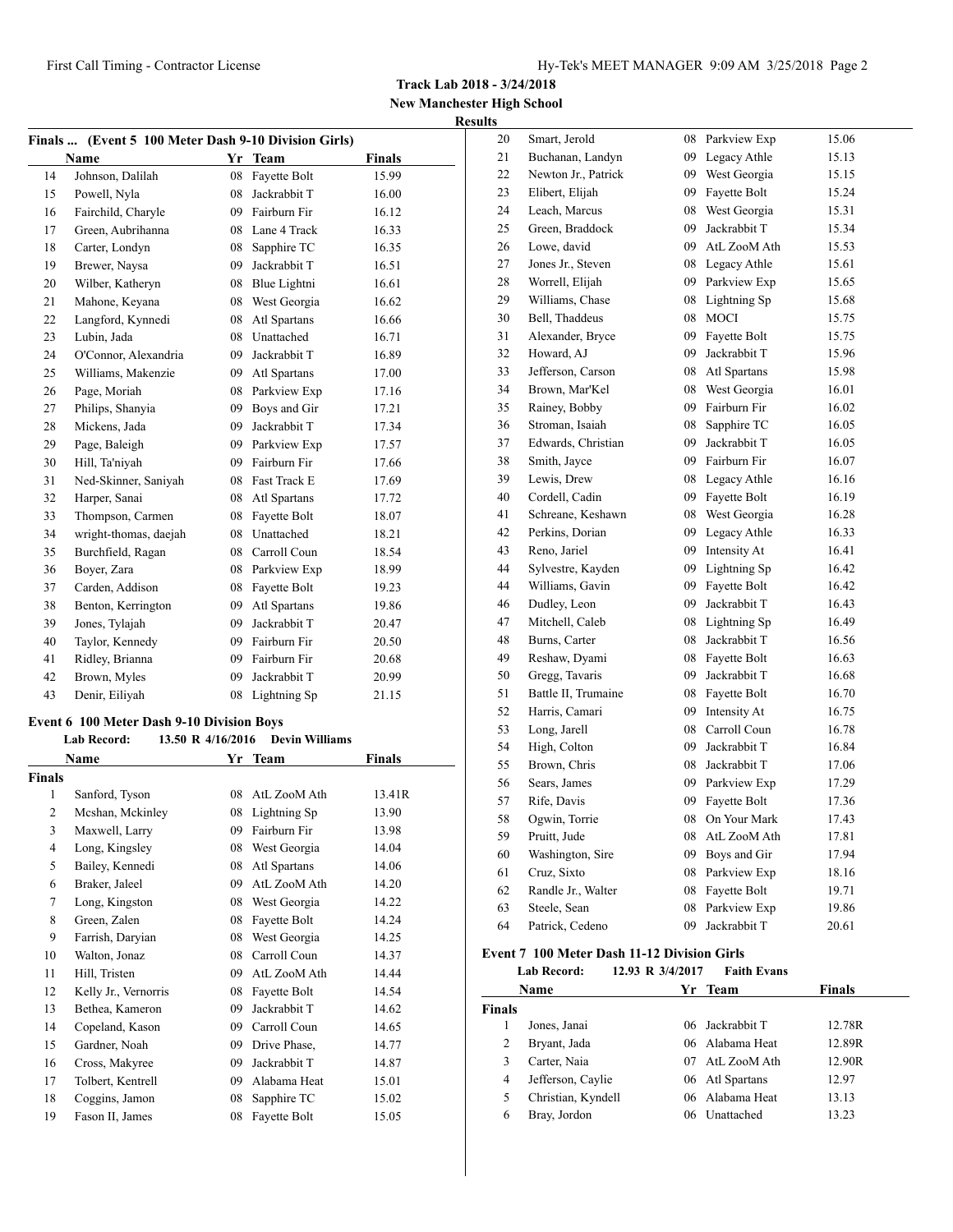**New Manchester High School Results**

| Finals  (Event 5 100 Meter Dash 9-10 Division Girls) |                       |    |                 |               |  |  |
|------------------------------------------------------|-----------------------|----|-----------------|---------------|--|--|
|                                                      | <b>Name</b>           |    | Yr Team         | <b>Finals</b> |  |  |
| 14                                                   | Johnson, Dalilah      | 08 | Fayette Bolt    | 15.99         |  |  |
| 15                                                   | Powell, Nyla          | 08 | Jackrabbit T    | 16.00         |  |  |
| 16                                                   | Fairchild, Charyle    | 09 | Fairburn Fir    | 16.12         |  |  |
| 17                                                   | Green, Aubrihanna     |    | 08 Lane 4 Track | 16.33         |  |  |
| 18                                                   | Carter, Londyn        | 08 | Sapphire TC     | 16.35         |  |  |
| 19                                                   | Brewer, Naysa         | 09 | Jackrabbit T    | 16.51         |  |  |
| 20                                                   | Wilber, Katheryn      |    | 08 Blue Lightni | 16.61         |  |  |
| 21                                                   | Mahone, Keyana        | 08 | West Georgia    | 16.62         |  |  |
| 22                                                   | Langford, Kynnedi     | 08 | Atl Spartans    | 16.66         |  |  |
| 23                                                   | Lubin, Jada           |    | 08 Unattached   | 16.71         |  |  |
| 24                                                   | O'Connor, Alexandria  | 09 | Jackrabbit T    | 16.89         |  |  |
| 25                                                   | Williams, Makenzie    | 09 | Atl Spartans    | 17.00         |  |  |
| 26                                                   | Page, Moriah          |    | 08 Parkview Exp | 17.16         |  |  |
| 27                                                   | Philips, Shanyia      | 09 | Boys and Gir    | 17.21         |  |  |
| 28                                                   | Mickens, Jada         | 09 | Jackrabbit T    | 17.34         |  |  |
| 29                                                   | Page, Baleigh         | 09 | Parkview Exp    | 17.57         |  |  |
| 30                                                   | Hill, Ta'niyah        |    | 09 Fairburn Fir | 17.66         |  |  |
| 31                                                   | Ned-Skinner, Saniyah  | 08 | Fast Track E    | 17.69         |  |  |
| 32                                                   | Harper, Sanai         |    | 08 Atl Spartans | 17.72         |  |  |
| 33                                                   | Thompson, Carmen      | 08 | Fayette Bolt    | 18.07         |  |  |
| 34                                                   | wright-thomas, daejah | 08 | Unattached      | 18.21         |  |  |
| 35                                                   | Burchfield, Ragan     | 08 | Carroll Coun    | 18.54         |  |  |
| 36                                                   | Boyer, Zara           | 08 | Parkview Exp    | 18.99         |  |  |
| 37                                                   | Carden, Addison       | 08 | Fayette Bolt    | 19.23         |  |  |
| 38                                                   | Benton, Kerrington    | 09 | Atl Spartans    | 19.86         |  |  |
| 39                                                   | Jones, Tylajah        | 09 | Jackrabbit T    | 20.47         |  |  |
| 40                                                   | Taylor, Kennedy       | 09 | Fairburn Fir    | 20.50         |  |  |
| 41                                                   | Ridley, Brianna       |    | 09 Fairburn Fir | 20.68         |  |  |
| 42                                                   | Brown, Myles          | 09 | Jackrabbit T    | 20.99         |  |  |
| 43                                                   | Denir, Eiliyah        | 08 | Lightning Sp    | 21.15         |  |  |

# **Event 6 100 Meter Dash 9-10 Division Boys**

|               | <b>Lab Record:</b>   | 13.50 R 4/16/2016 | <b>Devin Williams</b> |        |
|---------------|----------------------|-------------------|-----------------------|--------|
|               | Name                 |                   | Yr Team               | Finals |
| <b>Finals</b> |                      |                   |                       |        |
| 1             | Sanford, Tyson       | 08                | AtL ZooM Ath          | 13.41R |
| 2             | Mcshan, Mckinley     | 08                | Lightning Sp          | 13.90  |
| 3             | Maxwell, Larry       | 09                | Fairburn Fir          | 13.98  |
| 4             | Long, Kingsley       | 08                | West Georgia          | 14.04  |
| 5             | Bailey, Kennedi      | 08                | Atl Spartans          | 14.06  |
| 6             | Braker, Jaleel       | 09                | AtL ZooM Ath          | 14.20  |
| 7             | Long, Kingston       | 08                | West Georgia          | 14.22  |
| 8             | Green, Zalen         | 08                | Fayette Bolt          | 14.24  |
| 9             | Farrish, Daryian     | 08                | West Georgia          | 14.25  |
| 10            | Walton, Jonaz        | 08                | Carroll Coun          | 14.37  |
| 11            | Hill, Tristen        | 09                | AtL ZooM Ath          | 14.44  |
| 12            | Kelly Jr., Vernorris | 08                | Fayette Bolt          | 14.54  |
| 13            | Bethea, Kameron      | 09                | Jackrabbit T          | 14.62  |
| 14            | Copeland, Kason      | 09                | Carroll Coun          | 14.65  |
| 15            | Gardner, Noah        | 09                | Drive Phase,          | 14.77  |
| 16            | Cross, Makyree       | 09                | Jackrabbit T          | 14.87  |
| 17            | Tolbert, Kentrell    | 09                | Alabama Heat          | 15.01  |
| 18            | Coggins, Jamon       | 08                | Sapphire TC           | 15.02  |
| 19            | Fason II, James      | 08                | Fayette Bolt          | 15.05  |

| 20 | Smart, Jerold       | 08 | Parkview Exp | 15.06 |
|----|---------------------|----|--------------|-------|
| 21 | Buchanan, Landyn    | 09 | Legacy Athle | 15.13 |
| 22 | Newton Jr., Patrick | 09 | West Georgia | 15.15 |
| 23 | Elibert, Elijah     | 09 | Fayette Bolt | 15.24 |
| 24 | Leach, Marcus       | 08 | West Georgia | 15.31 |
| 25 | Green, Braddock     | 09 | Jackrabbit T | 15.34 |
| 26 | Lowe, david         | 09 | AtL ZooM Ath | 15.53 |
| 27 | Jones Jr., Steven   | 08 | Legacy Athle | 15.61 |
| 28 | Worrell, Elijah     | 09 | Parkview Exp | 15.65 |
| 29 | Williams, Chase     | 08 | Lightning Sp | 15.68 |
| 30 | Bell, Thaddeus      | 08 | <b>MOCI</b>  | 15.75 |
| 31 | Alexander, Bryce    | 09 | Fayette Bolt | 15.75 |
| 32 | Howard, AJ          | 09 | Jackrabbit T | 15.96 |
| 33 | Jefferson, Carson   | 08 | Atl Spartans | 15.98 |
| 34 | Brown, Mar'Kel      | 08 | West Georgia | 16.01 |
| 35 | Rainey, Bobby       | 09 | Fairburn Fir | 16.02 |
| 36 | Stroman, Isaiah     | 08 | Sapphire TC  | 16.05 |
| 37 | Edwards, Christian  | 09 | Jackrabbit T | 16.05 |
| 38 | Smith, Jayce        | 09 | Fairburn Fir | 16.07 |
| 39 | Lewis, Drew         | 08 | Legacy Athle | 16.16 |
| 40 | Cordell, Cadin      | 09 | Fayette Bolt | 16.19 |
| 41 | Schreane, Keshawn   | 08 | West Georgia | 16.28 |
| 42 | Perkins, Dorian     | 09 | Legacy Athle | 16.33 |
| 43 | Reno, Jariel        | 09 | Intensity At | 16.41 |
| 44 | Sylvestre, Kayden   | 09 | Lightning Sp | 16.42 |
| 44 | Williams, Gavin     | 09 | Fayette Bolt | 16.42 |
| 46 | Dudley, Leon        | 09 | Jackrabbit T | 16.43 |
| 47 | Mitchell, Caleb     | 08 | Lightning Sp | 16.49 |
| 48 | Burns, Carter       | 08 | Jackrabbit T | 16.56 |
| 49 | Reshaw, Dyami       | 08 | Fayette Bolt | 16.63 |
| 50 | Gregg, Tavaris      | 09 | Jackrabbit T | 16.68 |
| 51 | Battle II, Trumaine | 08 | Fayette Bolt | 16.70 |
| 52 | Harris, Camari      | 09 | Intensity At | 16.75 |
| 53 | Long, Jarell        | 08 | Carroll Coun | 16.78 |
| 54 | High, Colton        | 09 | Jackrabbit T | 16.84 |
| 55 | Brown, Chris        | 08 | Jackrabbit T | 17.06 |
| 56 | Sears, James        | 09 | Parkview Exp | 17.29 |
| 57 | Rife, Davis         | 09 | Fayette Bolt | 17.36 |
| 58 | Ogwin, Torrie       | 08 | On Your Mark | 17.43 |
| 59 | Pruitt, Jude        | 08 | AtL ZooM Ath | 17.81 |
| 60 | Washington, Sire    | 09 | Boys and Gir | 17.94 |
| 61 | Cruz, Sixto         | 08 | Parkview Exp | 18.16 |
| 62 | Randle Jr., Walter  | 08 | Fayette Bolt | 19.71 |
| 63 | Steele, Sean        | 08 | Parkview Exp | 19.86 |
| 64 | Patrick, Cedeno     | 09 | Jackrabbit T | 20.61 |
|    |                     |    |              |       |

#### **Event 7 100 Meter Dash 11-12 Division Girls Lab Record: 12.93 R 3/4/2017 Faith Evans**

|               | Lab Record:        | 12.93 K 3/4/2017 | <b>Faith Evans</b> |               |
|---------------|--------------------|------------------|--------------------|---------------|
|               | <b>Name</b>        | Yr               | Team               | <b>Finals</b> |
| <b>Finals</b> |                    |                  |                    |               |
|               | Jones, Janai       |                  | 06 Jackrabbit T    | 12.78R        |
| 2             | Bryant, Jada       |                  | 06 Alabama Heat    | 12.89R        |
| 3             | Carter, Naia       |                  | 07 AtL ZooM Ath    | 12.90R        |
| 4             | Jefferson, Caylie  |                  | 06 Atl Spartans    | 12.97         |
| 5             | Christian, Kyndell |                  | 06 Alabama Heat    | 13.13         |
| 6             | Bray, Jordon       |                  | 06 Unattached      | 13.23         |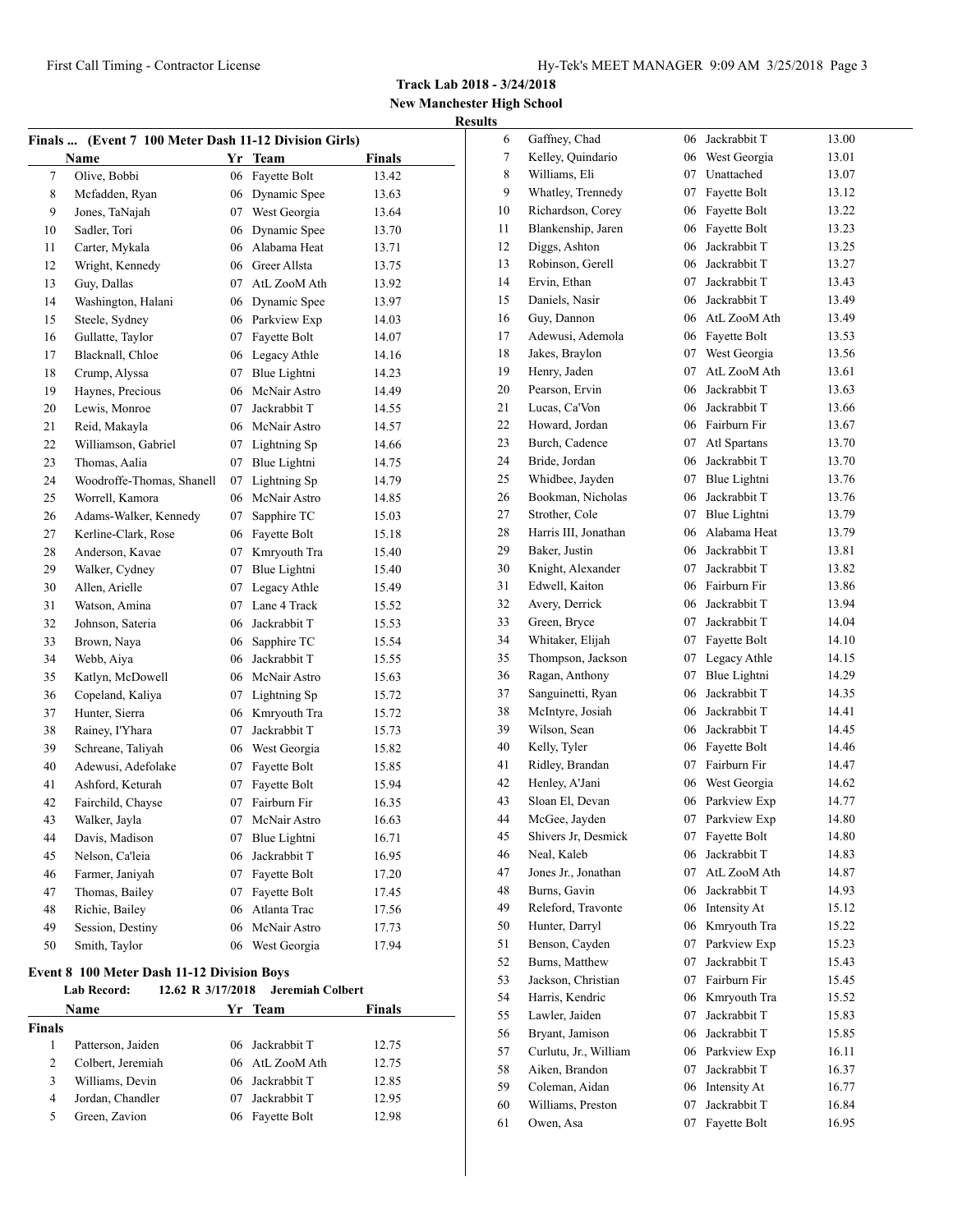**New Manchester High School Results**

|        | Finals  (Event 7 100 Meter Dash 11-12 Division Girls) |    |                         |               |
|--------|-------------------------------------------------------|----|-------------------------|---------------|
|        | <b>Name</b>                                           |    | Yr Team                 | <b>Finals</b> |
| 7      | Olive, Bobbi                                          | 06 | Fayette Bolt            | 13.42         |
| 8      | Mcfadden, Ryan                                        |    | 06 Dynamic Spee         | 13.63         |
| 9      | Jones, TaNajah                                        |    | 07 West Georgia         | 13.64         |
| 10     | Sadler, Tori                                          |    | 06 Dynamic Spee         | 13.70         |
| 11     | Carter, Mykala                                        |    | 06 Alabama Heat         | 13.71         |
| 12     | Wright, Kennedy                                       |    | 06 Greer Allsta         | 13.75         |
| 13     | Guy, Dallas                                           |    | 07 AtL ZooM Ath         | 13.92         |
| 14     | Washington, Halani                                    |    | 06 Dynamic Spee         | 13.97         |
| 15     | Steele, Sydney                                        |    | 06 Parkview Exp         | 14.03         |
| 16     | Gullatte, Taylor                                      |    | 07 Fayette Bolt         | 14.07         |
| 17     | Blacknall, Chloe                                      |    | 06 Legacy Athle         | 14.16         |
| 18     | Crump, Alyssa                                         |    | 07 Blue Lightni         | 14.23         |
| 19     | Haynes, Precious                                      | 06 | McNair Astro            | 14.49         |
| 20     | Lewis, Monroe                                         | 07 | Jackrabbit T            | 14.55         |
| 21     | Reid, Makayla                                         |    | 06 McNair Astro         | 14.57         |
| 22     | Williamson, Gabriel                                   | 07 | Lightning Sp            | 14.66         |
| 23     | Thomas, Aalia                                         |    | 07 Blue Lightni         | 14.75         |
| 24     | Woodroffe-Thomas, Shanell                             |    | 07 Lightning Sp         | 14.79         |
| 25     | Worrell, Kamora                                       |    | 06 McNair Astro         | 14.85         |
| 26     | Adams-Walker, Kennedy                                 | 07 | Sapphire TC             | 15.03         |
| 27     | Kerline-Clark, Rose                                   |    | 06 Fayette Bolt         | 15.18         |
| 28     | Anderson, Kavae                                       | 07 | Kmryouth Tra            | 15.40         |
| 29     | Walker, Cydney                                        | 07 | Blue Lightni            | 15.40         |
| 30     | Allen, Arielle                                        | 07 | Legacy Athle            | 15.49         |
| 31     | Watson, Amina                                         | 07 | Lane 4 Track            | 15.52         |
| 32     | Johnson, Sateria                                      |    | 06 Jackrabbit T         | 15.53         |
| 33     | Brown, Naya                                           | 06 | Sapphire TC             | 15.54         |
| 34     | Webb, Aiya                                            |    | 06 Jackrabbit T         | 15.55         |
| 35     | Katlyn, McDowell                                      |    | 06 McNair Astro         | 15.63         |
| 36     | Copeland, Kaliya                                      |    | 07 Lightning Sp         | 15.72         |
| 37     | Hunter, Sierra                                        |    | 06 Kmryouth Tra         | 15.72         |
| 38     | Rainey, I'Yhara                                       | 07 | Jackrabbit T            | 15.73         |
| 39     | Schreane, Taliyah                                     |    | 06 West Georgia         | 15.82         |
| 40     | Adewusi, Adefolake                                    | 07 | Fayette Bolt            | 15.85         |
| 41     | Ashford, Keturah                                      | 07 | Fayette Bolt            | 15.94         |
| 42     | Fairchild, Chayse                                     | 07 | Fairburn Fir            | 16.35         |
| 43     | Walker, Jayla                                         | 07 | McNair Astro            | 16.63         |
| 44     | Davis, Madison                                        | 07 | Blue Lightni            | 16.71         |
| 45     | Nelson, Ca'leia                                       | 06 | Jackrabbit T            | 16.95         |
| 46     | Farmer, Janiyah                                       | 07 | Fayette Bolt            | 17.20         |
| 47     | Thomas, Bailey                                        | 07 | Fayette Bolt            | 17.45         |
| 48     | Richie, Bailey                                        |    | 06 Atlanta Trac         | 17.56         |
| 49     | Session, Destiny                                      |    | 06 McNair Astro         | 17.73         |
| 50     | Smith, Taylor                                         |    | 06 West Georgia         | 17.94         |
|        |                                                       |    |                         |               |
|        | <b>Event 8 100 Meter Dash 11-12 Division Boys</b>     |    |                         |               |
|        | 12.62 R 3/17/2018<br><b>Lab Record:</b>               |    | <b>Jeremiah Colbert</b> |               |
|        | <b>Name</b>                                           |    | Yr Team                 | <b>Finals</b> |
| Finals |                                                       |    |                         |               |
| 1      | Patterson, Jaiden                                     | 06 | Jackrabbit T            | 12.75         |

 Colbert, Jeremiah 06 AtL ZooM Ath 12.75 3 Williams, Devin 06 Jackrabbit T 12.85 Jordan, Chandler 07 Jackrabbit T 12.95 5 Green, Zavion 06 Fayette Bolt 12.98

| 6  | Gaffney, Chad         | 06 | Jackrabbit T                 | 13.00 |
|----|-----------------------|----|------------------------------|-------|
| 7  | Kelley, Quindario     | 06 | West Georgia                 | 13.01 |
| 8  | Williams, Eli         | 07 | Unattached                   | 13.07 |
| 9  | Whatley, Trennedy     | 07 | Fayette Bolt                 | 13.12 |
| 10 | Richardson, Corey     | 06 | Fayette Bolt                 | 13.22 |
| 11 | Blankenship, Jaren    | 06 | Fayette Bolt                 | 13.23 |
| 12 | Diggs, Ashton         | 06 | Jackrabbit T                 | 13.25 |
| 13 | Robinson, Gerell      | 06 | Jackrabbit T                 | 13.27 |
| 14 | Ervin, Ethan          | 07 | Jackrabbit T                 | 13.43 |
| 15 | Daniels, Nasir        | 06 | Jackrabbit T                 | 13.49 |
| 16 | Guy, Dannon           | 06 | AtL ZooM Ath                 | 13.49 |
| 17 | Adewusi, Ademola      | 06 | Fayette Bolt                 | 13.53 |
| 18 | Jakes, Braylon        | 07 | West Georgia                 | 13.56 |
| 19 | Henry, Jaden          | 07 | AtL ZooM Ath                 | 13.61 |
| 20 | Pearson, Ervin        | 06 | Jackrabbit T                 | 13.63 |
| 21 | Lucas, Ca'Von         | 06 | Jackrabbit T                 | 13.66 |
| 22 | Howard, Jordan        |    | 06 Fairburn Fir              | 13.67 |
| 23 | Burch, Cadence        | 07 | Atl Spartans                 | 13.70 |
| 24 | Bride, Jordan         | 06 | Jackrabbit T                 | 13.70 |
| 25 | Whidbee, Jayden       | 07 | Blue Lightni                 | 13.76 |
| 26 | Bookman, Nicholas     | 06 | Jackrabbit T                 | 13.76 |
| 27 | Strother, Cole        | 07 |                              |       |
| 28 | Harris III, Jonathan  | 06 | Blue Lightni<br>Alabama Heat | 13.79 |
|    |                       |    |                              | 13.79 |
| 29 | Baker, Justin         | 06 | Jackrabbit T                 | 13.81 |
| 30 | Knight, Alexander     | 07 | Jackrabbit T                 | 13.82 |
| 31 | Edwell, Kaiton        | 06 | Fairburn Fir                 | 13.86 |
| 32 | Avery, Derrick        | 06 | Jackrabbit T                 | 13.94 |
| 33 | Green, Bryce          | 07 | Jackrabbit T                 | 14.04 |
| 34 | Whitaker, Elijah      | 07 | Fayette Bolt                 | 14.10 |
| 35 | Thompson, Jackson     | 07 | Legacy Athle                 | 14.15 |
| 36 | Ragan, Anthony        | 07 | Blue Lightni                 | 14.29 |
| 37 | Sanguinetti, Ryan     | 06 | Jackrabbit T                 | 14.35 |
| 38 | McIntyre, Josiah      | 06 | Jackrabbit T                 | 14.41 |
| 39 | Wilson, Sean          | 06 | Jackrabbit T                 | 14.45 |
| 40 | Kelly, Tyler          |    | 06 Fayette Bolt              | 14.46 |
| 41 | Ridley, Brandan       | 07 | Fairburn Fir                 | 14.47 |
| 42 | Henley, A'Jani        | 06 | West Georgia                 | 14.62 |
| 43 | Sloan El, Devan       | 06 | Parkview Exp                 | 14.77 |
| 44 | McGee, Jayden         | 07 | Parkview Exp                 | 14.80 |
| 45 | Shivers Jr, Desmick   | 07 | Fayette Bolt                 | 14.80 |
| 46 | Neal, Kaleb           | 06 | Jackrabbit T                 | 14.83 |
| 47 | Jones Jr., Jonathan   | 07 | AtL ZooM Ath                 | 14.87 |
| 48 | Burns, Gavin          | 06 | Jackrabbit T                 | 14.93 |
| 49 | Releford, Travonte    | 06 | Intensity At                 | 15.12 |
| 50 | Hunter, Darryl        | 06 | Kmryouth Tra                 | 15.22 |
| 51 | Benson, Cayden        | 07 | Parkview Exp                 | 15.23 |
| 52 | Burns, Matthew        | 07 | Jackrabbit T                 | 15.43 |
| 53 | Jackson, Christian    | 07 | Fairburn Fir                 | 15.45 |
| 54 | Harris, Kendric       | 06 | Kmryouth Tra                 | 15.52 |
| 55 | Lawler, Jaiden        | 07 | Jackrabbit T                 | 15.83 |
| 56 | Bryant, Jamison       | 06 | Jackrabbit T                 | 15.85 |
| 57 | Curlutu, Jr., William | 06 | Parkview Exp                 | 16.11 |
| 58 | Aiken, Brandon        | 07 | Jackrabbit T                 | 16.37 |
| 59 | Coleman, Aidan        | 06 | Intensity At                 | 16.77 |
| 60 | Williams, Preston     | 07 | Jackrabbit T                 | 16.84 |
| 61 | Owen, Asa             | 07 | Fayette Bolt                 | 16.95 |
|    |                       |    |                              |       |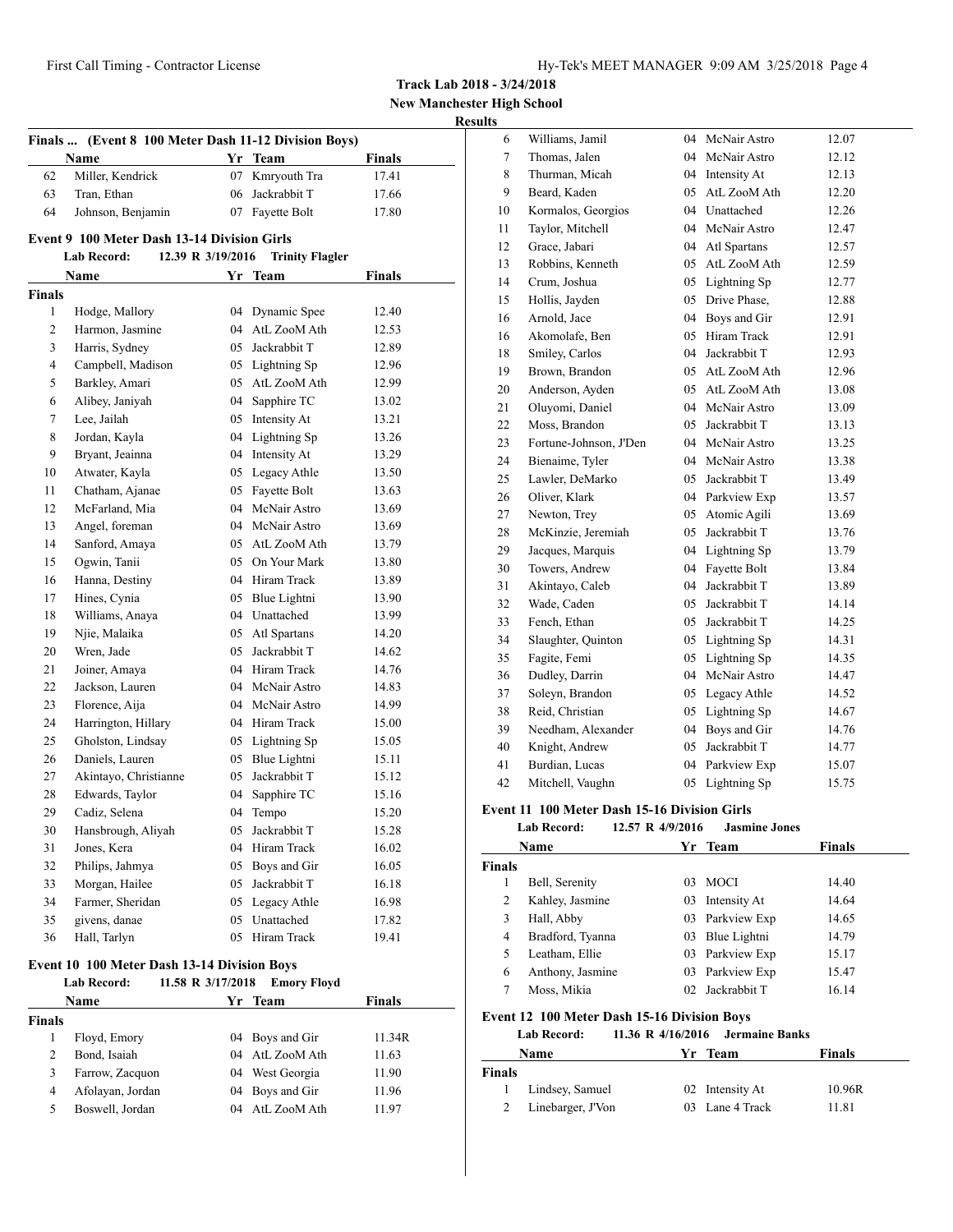**New Manchester High School**

# **Results**

| Finals  (Event 8 100 Meter Dash 11-12 Division Boys) |                                                    |                   |                        |               |  |
|------------------------------------------------------|----------------------------------------------------|-------------------|------------------------|---------------|--|
|                                                      | Name                                               |                   | Yr Team                | <b>Finals</b> |  |
| 62                                                   | Miller, Kendrick                                   | 07                | Kmryouth Tra           | 17.41         |  |
| 63                                                   | Tran, Ethan                                        | 06                | Jackrabbit T           | 17.66         |  |
| 64                                                   | Johnson, Benjamin                                  |                   | 07 Fayette Bolt        | 17.80         |  |
|                                                      | <b>Event 9 100 Meter Dash 13-14 Division Girls</b> |                   |                        |               |  |
|                                                      | <b>Lab Record:</b>                                 | 12.39 R 3/19/2016 | <b>Trinity Flagler</b> |               |  |
|                                                      | Name                                               | Yr                | <b>Team</b>            | Finals        |  |
| <b>Finals</b>                                        |                                                    |                   |                        |               |  |
| 1                                                    | Hodge, Mallory                                     |                   | 04 Dynamic Spee        | 12.40         |  |
| 2                                                    | Harmon, Jasmine                                    |                   | 04 AtL ZooM Ath        | 12.53         |  |
| 3                                                    | Harris, Sydney                                     |                   | 05 Jackrabbit T        | 12.89         |  |
| 4                                                    | Campbell, Madison                                  |                   | 05 Lightning Sp        | 12.96         |  |
| 5                                                    | Barkley, Amari                                     |                   | 05 AtL ZooM Ath        | 12.99         |  |
| 6                                                    | Alibey, Janiyah                                    |                   | 04 Sapphire TC         | 13.02         |  |
| 7                                                    | Lee, Jailah                                        |                   | 05 Intensity At        | 13.21         |  |
| 8                                                    | Jordan, Kayla                                      |                   | 04 Lightning Sp        | 13.26         |  |
| 9                                                    | Bryant, Jeainna                                    |                   | 04 Intensity At        | 13.29         |  |
| 10                                                   | Atwater, Kayla                                     |                   | 05 Legacy Athle        | 13.50         |  |
| 11                                                   | Chatham, Ajanae                                    |                   | 05 Fayette Bolt        | 13.63         |  |
| 12                                                   | McFarland, Mia                                     |                   | 04 McNair Astro        | 13.69         |  |
| 13                                                   | Angel, foreman                                     |                   | 04 McNair Astro        | 13.69         |  |
| 14                                                   | Sanford, Amaya                                     |                   | 05 AtL ZooM Ath        | 13.79         |  |
| 15                                                   | Ogwin, Tanii                                       |                   | 05 On Your Mark        | 13.80         |  |
| 16                                                   | Hanna, Destiny                                     |                   | 04 Hiram Track         | 13.89         |  |
| 17                                                   | Hines, Cynia                                       |                   | 05 Blue Lightni        | 13.90         |  |
| 18                                                   | Williams, Anaya                                    |                   | 04 Unattached          | 13.99         |  |
| 19                                                   | Njie, Malaika                                      |                   | 05 Atl Spartans        | 14.20         |  |
| 20                                                   | Wren, Jade                                         |                   | 05 Jackrabbit T        | 14.62         |  |
| 21                                                   | Joiner, Amaya                                      |                   | 04 Hiram Track         | 14.76         |  |
| 22                                                   | Jackson, Lauren                                    |                   | 04 McNair Astro        | 14.83         |  |
| 23                                                   | Florence, Aija                                     |                   | 04 McNair Astro        | 14.99         |  |
| 24                                                   | Harrington, Hillary                                |                   | 04 Hiram Track         | 15.00         |  |
| 25                                                   | Gholston, Lindsay                                  |                   | 05 Lightning Sp        | 15.05         |  |
| 26                                                   | Daniels, Lauren                                    |                   | 05 Blue Lightni        | 15.11         |  |
| 27                                                   | Akintayo, Christianne                              | 05                | Jackrabbit T           | 15.12         |  |
| 28                                                   | Edwards, Taylor                                    | 04                | Sapphire TC            | 15.16         |  |
| 29                                                   | Cadiz, Selena                                      | 04                | Tempo                  | 15.20         |  |
| 30                                                   | Hansbrough, Aliyah                                 | 05                | Jackrabbit T           | 15.28         |  |
| 31                                                   | Jones, Kera                                        | 04                | Hiram Track            | 16.02         |  |
| 32                                                   | Philips, Jahmya                                    | 05                | Boys and Gir           | 16.05         |  |
| 33                                                   | Morgan, Hailee                                     | 05                | Jackrabbit T           | 16.18         |  |
| 34                                                   | Farmer, Sheridan                                   |                   | 05 Legacy Athle        | 16.98         |  |
| 35                                                   | givens, danae                                      | 05                | Unattached             | 17.82         |  |
| 36                                                   | Hall, Tarlyn                                       | 05                | Hiram Track            | 19.41         |  |
|                                                      | Event 10 100 Meter Dash 13.14 Division Roys        |                   |                        |               |  |

#### **Event 10 100 Meter Dash 13-14 Division Boys Lab Record: 11.58 R 3/17/2018 Emory Floyd**

| Name   |                  | Yr Team |                 | <b>Finals</b> |
|--------|------------------|---------|-----------------|---------------|
| Finals |                  |         |                 |               |
|        | Floyd, Emory     |         | 04 Boys and Gir | 11.34R        |
| 2      | Bond, Isaiah     |         | 04 AtL ZooM Ath | 11.63         |
| 3      | Farrow, Zacquon  |         | 04 West Georgia | 11.90         |
| 4      | Afolayan, Jordan |         | 04 Boys and Gir | 11.96         |
| 5      | Boswell, Jordan  |         | 04 AtL ZooM Ath | 11.97         |

| 6              | Williams, Jamil        | 04 | McNair Astro | 12.07 |
|----------------|------------------------|----|--------------|-------|
| $\overline{7}$ | Thomas, Jalen          | 04 | McNair Astro | 12.12 |
| 8              | Thurman, Micah         | 04 | Intensity At | 12.13 |
| 9              | Beard, Kaden           | 05 | AtL ZooM Ath | 12.20 |
| 10             | Kormalos, Georgios     | 04 | Unattached   | 12.26 |
| 11             | Taylor, Mitchell       | 04 | McNair Astro | 12.47 |
| 12             | Grace, Jabari          | 04 | Atl Spartans | 12.57 |
| 13             | Robbins, Kenneth       | 05 | AtL ZooM Ath | 12.59 |
| 14             | Crum, Joshua           | 05 | Lightning Sp | 12.77 |
| 15             | Hollis, Jayden         | 05 | Drive Phase, | 12.88 |
| 16             | Arnold, Jace           | 04 | Boys and Gir | 12.91 |
| 16             | Akomolafe, Ben         | 05 | Hiram Track  | 12.91 |
| 18             | Smiley, Carlos         | 04 | Jackrabbit T | 12.93 |
| 19             | Brown, Brandon         | 05 | AtL ZooM Ath | 12.96 |
| 20             | Anderson, Ayden        | 05 | AtL ZooM Ath | 13.08 |
| 21             | Oluyomi, Daniel        | 04 | McNair Astro | 13.09 |
| 22             | Moss, Brandon          | 05 | Jackrabbit T | 13.13 |
| 23             | Fortune-Johnson, J'Den | 04 | McNair Astro | 13.25 |
| 24             | Bienaime, Tyler        | 04 | McNair Astro | 13.38 |
| 25             | Lawler, DeMarko        | 05 | Jackrabbit T | 13.49 |
| 26             | Oliver, Klark          | 04 | Parkview Exp | 13.57 |
| 27             | Newton, Trey           | 05 | Atomic Agili | 13.69 |
| 28             | McKinzie, Jeremiah     | 05 | Jackrabbit T | 13.76 |
| 29             | Jacques, Marquis       | 04 | Lightning Sp | 13.79 |
| 30             | Towers, Andrew         | 04 | Fayette Bolt | 13.84 |
| 31             | Akintayo, Caleb        | 04 | Jackrabbit T | 13.89 |
| 32             | Wade, Caden            | 05 | Jackrabbit T | 14.14 |
| 33             | Fench, Ethan           | 05 | Jackrabbit T | 14.25 |
| 34             | Slaughter, Quinton     | 05 | Lightning Sp | 14.31 |
| 35             | Fagite, Femi           | 05 | Lightning Sp | 14.35 |
| 36             | Dudley, Darrin         | 04 | McNair Astro | 14.47 |
| 37             | Soleyn, Brandon        | 05 | Legacy Athle | 14.52 |
| 38             | Reid, Christian        | 05 | Lightning Sp | 14.67 |
| 39             | Needham, Alexander     | 04 | Boys and Gir | 14.76 |
| 40             | Knight, Andrew         | 05 | Jackrabbit T | 14.77 |
| 41             | Burdian, Lucas         | 04 | Parkview Exp | 15.07 |
| 42             | Mitchell, Vaughn       | 05 | Lightning Sp | 15.75 |

#### **Event 11 100 Meter Dash 15-16 Division Girls**

**Lab Record: 12.57 R 4/9/2016 Jasmine Jones**

|               | Name             |     | Yr Team         | <b>Finals</b> |  |
|---------------|------------------|-----|-----------------|---------------|--|
| <b>Finals</b> |                  |     |                 |               |  |
|               | Bell, Serenity   | 03  | <b>MOCI</b>     | 14.40         |  |
| 2             | Kahley, Jasmine  | 03  | Intensity At    | 14.64         |  |
| 3             | Hall, Abby       |     | 03 Parkview Exp | 14.65         |  |
| 4             | Bradford, Tyanna | 03  | Blue Lightni    | 14.79         |  |
| 5             | Leatham, Ellie   |     | 03 Parkview Exp | 15.17         |  |
| 6             | Anthony, Jasmine | 03  | Parkview Exp    | 15.47         |  |
|               | Moss, Mikia      | 02. | Jackrabbit T    | 16.14         |  |

# **Event 12 100 Meter Dash 15-16 Division Boys**

**Lab Record: 11.36 R 4/16/2016 Jermaine Banks**

|        | <b>Name</b>         | Yr Team         | <b>Finals</b> |  |
|--------|---------------------|-----------------|---------------|--|
| Finals |                     |                 |               |  |
|        | Lindsey, Samuel     | 02 Intensity At | 10.96R        |  |
|        | 2 Linebarger, J'Von | 03 Lane 4 Track | 11.81         |  |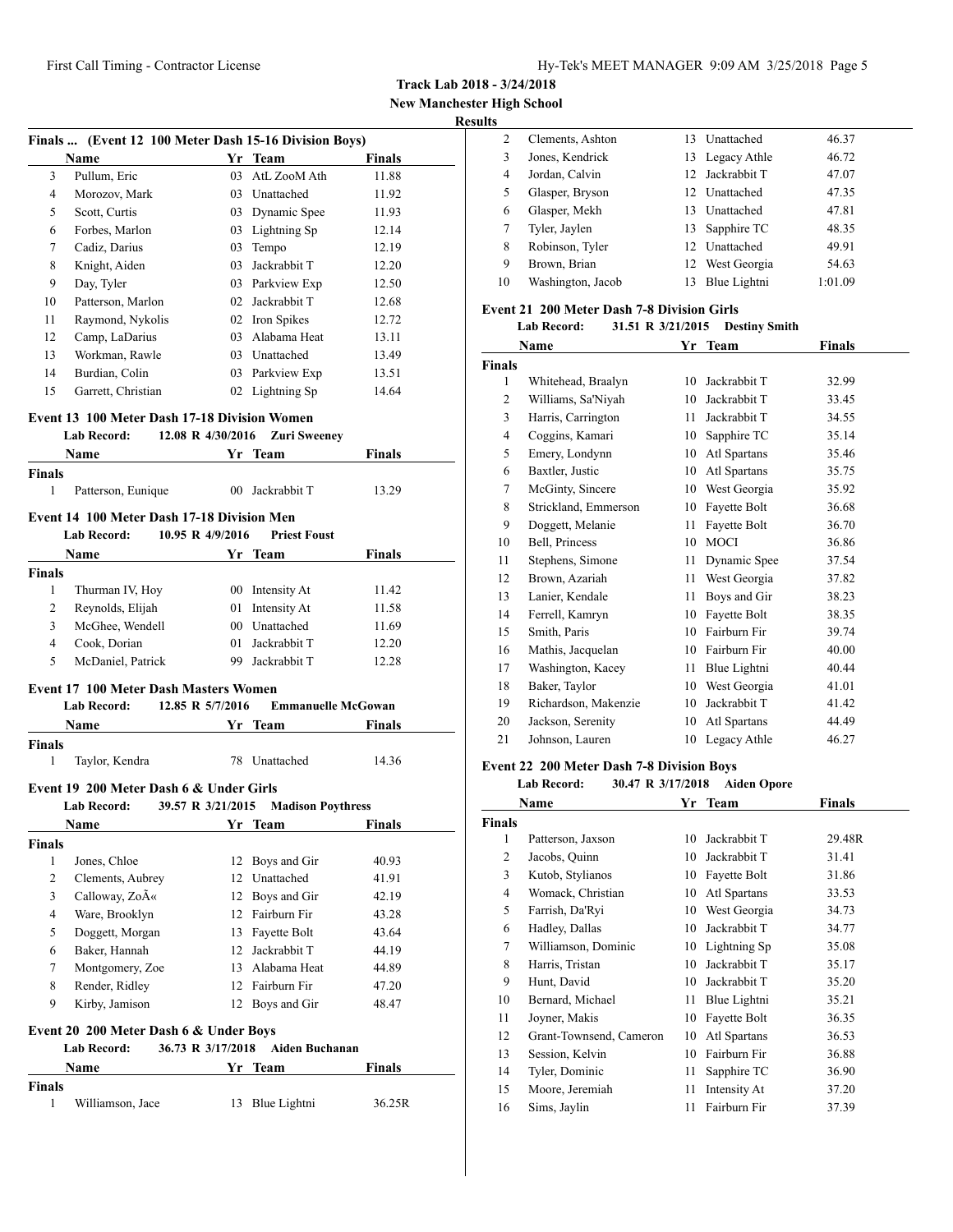**New Manchester High School**

# **Results**

|               | Finals  (Event 12 100 Meter Dash 15-16 Division Boys) |                   |                           |               |
|---------------|-------------------------------------------------------|-------------------|---------------------------|---------------|
|               | Name                                                  |                   | Yr Team                   | <b>Finals</b> |
| 3             | Pullum, Eric                                          |                   | 03 AtL ZooM Ath           | 11.88         |
| 4             | Morozov, Mark                                         |                   | 03 Unattached             | 11.92         |
| 5             | Scott, Curtis                                         |                   | 03 Dynamic Spee           | 11.93         |
| 6             | Forbes, Marlon                                        |                   | 03 Lightning Sp           | 12.14         |
| 7             | Cadiz, Darius                                         |                   | 03 Tempo                  | 12.19         |
| 8             | Knight, Aiden                                         |                   | 03 Jackrabbit T           | 12.20         |
| 9             | Day, Tyler                                            |                   | 03 Parkview Exp           | 12.50         |
| 10            | Patterson, Marlon                                     |                   | 02 Jackrabbit T           | 12.68         |
| 11            | Raymond, Nykolis                                      |                   | 02 Iron Spikes            | 12.72         |
| 12            | Camp, LaDarius                                        |                   | 03 Alabama Heat           | 13.11         |
| 13            | Workman, Rawle                                        |                   | 03 Unattached             | 13.49         |
| 14            | Burdian, Colin                                        |                   | 03 Parkview Exp           | 13.51         |
| 15            | Garrett, Christian                                    |                   | 02 Lightning Sp           | 14.64         |
|               | <b>Event 13 100 Meter Dash 17-18 Division Women</b>   |                   |                           |               |
|               | <b>Lab Record:</b>                                    | 12.08 R 4/30/2016 | <b>Zuri Sweeney</b>       |               |
|               | Name                                                  |                   | Yr Team                   | <b>Finals</b> |
| <b>Finals</b> |                                                       |                   |                           |               |
| 1             | Patterson, Eunique                                    |                   | 00 Jackrabbit T           | 13.29         |
|               | Event 14 100 Meter Dash 17-18 Division Men            |                   |                           |               |
|               | <b>Lab Record:</b>                                    | 10.95 R 4/9/2016  | <b>Priest Foust</b>       |               |
|               | <b>Name</b>                                           |                   | Yr Team                   | <b>Finals</b> |
| <b>Finals</b> |                                                       |                   |                           |               |
| 1             | Thurman IV, Hoy                                       |                   | 00 Intensity At           | 11.42         |
| 2             | Reynolds, Elijah                                      |                   | 01 Intensity At           | 11.58         |
| 3             | McGhee, Wendell                                       |                   | 00 Unattached             | 11.69         |
| 4             | Cook, Dorian                                          |                   | 01 Jackrabbit T           | 12.20         |
| 5             | McDaniel, Patrick                                     |                   | 99 Jackrabbit T           | 12.28         |
|               | <b>Event 17 100 Meter Dash Masters Women</b>          |                   |                           |               |
|               | Lab Record:                                           | 12.85 R 5/7/2016  | <b>Emmanuelle McGowan</b> |               |
|               | Name                                                  |                   | Yr Team                   | Finals        |
| <b>Finals</b> |                                                       |                   |                           |               |
| 1             | Taylor, Kendra                                        |                   | 78 Unattached             | 14.36         |
|               | Event 19 200 Meter Dash 6 & Under Girls               |                   |                           |               |
|               | <b>Lab Record:</b>                                    | 39.57 R 3/21/2015 | <b>Madison Poythress</b>  |               |
|               | Name                                                  |                   | Yr Team                   | <b>Finals</b> |
| <b>Finals</b> |                                                       |                   |                           |               |
| 1             | Jones, Chloe                                          |                   | 12 Boys and Gir           | 40.93         |
| 2             | Clements, Aubrey                                      |                   | 12 Unattached             | 41.91         |
| 3             | Calloway, Zo«                                         |                   | 12 Boys and Gir           | 42.19         |
| 4             | Ware, Brooklyn                                        |                   | 12 Fairburn Fir           | 43.28         |
| 5             | Doggett, Morgan                                       |                   | 13 Fayette Bolt           | 43.64         |
| 6             | Baker, Hannah                                         |                   | 12 Jackrabbit T           | 44.19         |
| 7             | Montgomery, Zoe                                       |                   | 13 Alabama Heat           | 44.89         |
| 8             | Render, Ridley                                        |                   | 12 Fairburn Fir           | 47.20         |
| 9             | Kirby, Jamison                                        |                   | 12 Boys and Gir           | 48.47         |
|               | Event 20 200 Meter Dash 6 & Under Boys                |                   |                           |               |
|               | <b>Lab Record:</b>                                    | 36.73 R 3/17/2018 | <b>Aiden Buchanan</b>     |               |
|               | Name                                                  |                   | Yr Team                   | Finals        |
| <b>Finals</b> |                                                       |                   |                           |               |
| 1             | Williamson, Jace                                      | 13                | Blue Lightni              | 36.25R        |

| 2  | Clements, Ashton  | 13. | Unattached      | 46.37   |
|----|-------------------|-----|-----------------|---------|
| 3  | Jones, Kendrick   |     | 13 Legacy Athle | 46.72   |
| 4  | Jordan, Calvin    |     | 12 Jackrabbit T | 47.07   |
| 5  | Glasper, Bryson   |     | 12 Unattached   | 47.35   |
| 6  | Glasper, Mekh     | 13. | Unattached      | 47.81   |
|    | Tyler, Jaylen     |     | 13 Sapphire TC  | 48.35   |
| 8  | Robinson, Tyler   |     | 12 Unattached   | 49.91   |
| 9  | Brown, Brian      |     | 12 West Georgia | 54.63   |
| 10 | Washington, Jacob | 13  | Blue Lightni    | 1:01.09 |
|    |                   |     |                 |         |

# **Event 21 200 Meter Dash 7-8 Division Girls**

# **Lab Record: 31.51 R 3/21/2015 Destiny Smith**

|                | Name                 | Yr | <b>Team</b>  | Finals |
|----------------|----------------------|----|--------------|--------|
| <b>Finals</b>  |                      |    |              |        |
| 1              | Whitehead, Braalyn   | 10 | Jackrabbit T | 32.99  |
| $\overline{c}$ | Williams, Sa'Niyah   | 10 | Jackrabbit T | 33.45  |
| 3              | Harris, Carrington   | 11 | Jackrabbit T | 34.55  |
| $\overline{4}$ | Coggins, Kamari      | 10 | Sapphire TC  | 35.14  |
| 5              | Emery, Londynn       | 10 | Atl Spartans | 35.46  |
| 6              | Baxtler, Justic      | 10 | Atl Spartans | 35.75  |
| 7              | McGinty, Sincere     | 10 | West Georgia | 35.92  |
| 8              | Strickland, Emmerson | 10 | Fayette Bolt | 36.68  |
| 9              | Doggett, Melanie     | 11 | Fayette Bolt | 36.70  |
| 10             | Bell, Princess       | 10 | <b>MOCI</b>  | 36.86  |
| 11             | Stephens, Simone     | 11 | Dynamic Spee | 37.54  |
| 12             | Brown, Azariah       | 11 | West Georgia | 37.82  |
| 13             | Lanier, Kendale      | 11 | Boys and Gir | 38.23  |
| 14             | Ferrell, Kamryn      | 10 | Fayette Bolt | 38.35  |
| 15             | Smith, Paris         | 10 | Fairburn Fir | 39.74  |
| 16             | Mathis, Jacquelan    | 10 | Fairburn Fir | 40.00  |
| 17             | Washington, Kacey    | 11 | Blue Lightni | 40.44  |
| 18             | Baker, Taylor        | 10 | West Georgia | 41.01  |
| 19             | Richardson, Makenzie | 10 | Jackrabbit T | 41.42  |
| 20             | Jackson, Serenity    | 10 | Atl Spartans | 44.49  |
| 21             | Johnson, Lauren      | 10 | Legacy Athle | 46.27  |

# **Event 22 200 Meter Dash 7-8 Division Boys**

### **Lab Record: 30.47 R 3/17/2018 Aiden Opore**

| Name          |                         | Yr | <b>Team</b>  | <b>Finals</b> |  |
|---------------|-------------------------|----|--------------|---------------|--|
| <b>Finals</b> |                         |    |              |               |  |
| 1             | Patterson, Jaxson       | 10 | Jackrabbit T | 29.48R        |  |
| 2             | Jacobs, Quinn           | 10 | Jackrabbit T | 31.41         |  |
| 3             | Kutob, Stylianos        | 10 | Fayette Bolt | 31.86         |  |
| 4             | Womack, Christian       | 10 | Atl Spartans | 33.53         |  |
| 5             | Farrish, Da'Ryi         | 10 | West Georgia | 34.73         |  |
| 6             | Hadley, Dallas          | 10 | Jackrabbit T | 34.77         |  |
| 7             | Williamson, Dominic     | 10 | Lightning Sp | 35.08         |  |
| 8             | Harris, Tristan         | 10 | Jackrabbit T | 35.17         |  |
| 9             | Hunt, David             | 10 | Jackrabbit T | 35.20         |  |
| 10            | Bernard, Michael        | 11 | Blue Lightni | 35.21         |  |
| 11            | Joyner, Makis           | 10 | Fayette Bolt | 36.35         |  |
| 12            | Grant-Townsend, Cameron | 10 | Atl Spartans | 36.53         |  |
| 13            | Session, Kelvin         | 10 | Fairburn Fir | 36.88         |  |
| 14            | Tyler, Dominic          | 11 | Sapphire TC  | 36.90         |  |
| 15            | Moore, Jeremiah         | 11 | Intensity At | 37.20         |  |
| 16            | Sims, Jaylin            | 11 | Fairburn Fir | 37.39         |  |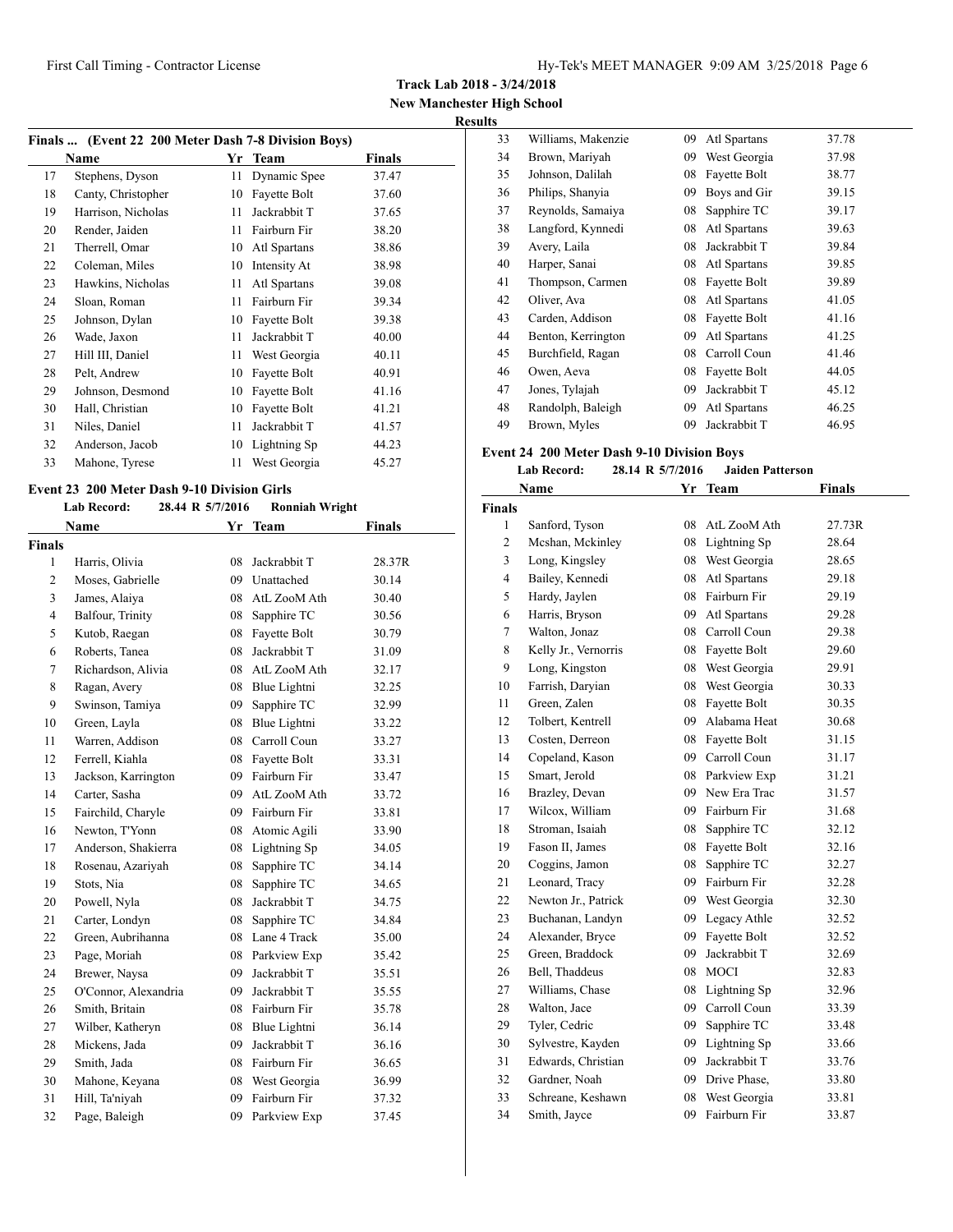**Track Lab 2018 - 3/24/2018**

**New Manchester High School Results**

| Finals  (Event 22 200 Meter Dash 7-8 Division Boys) |                    |    |              |        |  |
|-----------------------------------------------------|--------------------|----|--------------|--------|--|
|                                                     | Name               |    | Yr Team      | Finals |  |
| 17                                                  | Stephens, Dyson    | 11 | Dynamic Spee | 37.47  |  |
| 18                                                  | Canty, Christopher | 10 | Fayette Bolt | 37.60  |  |
| 19                                                  | Harrison, Nicholas | 11 | Jackrabbit T | 37.65  |  |
| 20                                                  | Render, Jaiden     | 11 | Fairburn Fir | 38.20  |  |
| 21                                                  | Therrell, Omar     | 10 | Atl Spartans | 38.86  |  |
| 22                                                  | Coleman, Miles     | 10 | Intensity At | 38.98  |  |
| 23                                                  | Hawkins, Nicholas  | 11 | Atl Spartans | 39.08  |  |
| 24                                                  | Sloan, Roman       | 11 | Fairburn Fir | 39.34  |  |
| 25                                                  | Johnson, Dylan     | 10 | Fayette Bolt | 39.38  |  |
| 26                                                  | Wade, Jaxon        | 11 | Jackrabbit T | 40.00  |  |
| 27                                                  | Hill III, Daniel   | 11 | West Georgia | 40.11  |  |
| 28                                                  | Pelt, Andrew       | 10 | Fayette Bolt | 40.91  |  |
| 29                                                  | Johnson, Desmond   | 10 | Fayette Bolt | 41.16  |  |
| 30                                                  | Hall, Christian    | 10 | Fayette Bolt | 41.21  |  |
| 31                                                  | Niles, Daniel      | 11 | Jackrabbit T | 41.57  |  |
| 32                                                  | Anderson, Jacob    | 10 | Lightning Sp | 44.23  |  |
| 33                                                  | Mahone, Tyrese     | 11 | West Georgia | 45.27  |  |

#### **Event 23 200 Meter Dash 9-10 Division Girls Lab Record: 28.44 R 5/7/2016 Ronniah Wright**

| Lad Record;          |    | ROHIHAH WEIGHL |                                                                               |
|----------------------|----|----------------|-------------------------------------------------------------------------------|
| Name                 | Yr | <b>Team</b>    | <b>Finals</b>                                                                 |
| <b>Finals</b>        |    |                |                                                                               |
| Harris, Olivia       | 08 | Jackrabbit T   | 28.37R                                                                        |
| Moses, Gabrielle     | 09 | Unattached     | 30.14                                                                         |
| James, Alaiya        | 08 | AtL ZooM Ath   | 30.40                                                                         |
| Balfour, Trinity     |    | Sapphire TC    | 30.56                                                                         |
| Kutob, Raegan        |    | Fayette Bolt   | 30.79                                                                         |
| Roberts, Tanea       | 08 | Jackrabbit T   | 31.09                                                                         |
| Richardson, Alivia   | 08 | AtL ZooM Ath   | 32.17                                                                         |
| Ragan, Avery         |    | Blue Lightni   | 32.25                                                                         |
| Swinson, Tamiya      |    | Sapphire TC    | 32.99                                                                         |
| Green, Layla         | 08 | Blue Lightni   | 33.22                                                                         |
| Warren, Addison      |    | Carroll Coun   | 33.27                                                                         |
| Ferrell, Kiahla      | 08 | Fayette Bolt   | 33.31                                                                         |
| Jackson, Karrington  | 09 | Fairburn Fir   | 33.47                                                                         |
| Carter, Sasha        | 09 | AtL ZooM Ath   | 33.72                                                                         |
| Fairchild, Charyle   | 09 | Fairburn Fir   | 33.81                                                                         |
| Newton, T'Yonn       | 08 | Atomic Agili   | 33.90                                                                         |
| Anderson, Shakierra  |    | Lightning Sp   | 34.05                                                                         |
| Rosenau, Azariyah    | 08 | Sapphire TC    | 34.14                                                                         |
| Stots, Nia           | 08 | Sapphire TC    | 34.65                                                                         |
| Powell, Nyla         | 08 | Jackrabbit T   | 34.75                                                                         |
| Carter, Londyn       | 08 | Sapphire TC    | 34.84                                                                         |
| Green, Aubrihanna    |    |                | 35.00                                                                         |
| Page, Moriah         | 08 | Parkview Exp   | 35.42                                                                         |
| Brewer, Naysa        | 09 | Jackrabbit T   | 35.51                                                                         |
| O'Connor, Alexandria | 09 | Jackrabbit T   | 35.55                                                                         |
| Smith, Britain       | 08 | Fairburn Fir   | 35.78                                                                         |
| Wilber, Katheryn     | 08 | Blue Lightni   | 36.14                                                                         |
| Mickens, Jada        | 09 | Jackrabbit T   | 36.16                                                                         |
| Smith, Jada          | 08 | Fairburn Fir   | 36.65                                                                         |
| Mahone, Keyana       |    | West Georgia   | 36.99                                                                         |
| Hill, Ta'niyah       | 09 | Fairburn Fir   | 37.32                                                                         |
| Page, Baleigh        | 09 | Parkview Exp   | 37.45                                                                         |
|                      |    |                | 20.44 K 3/7/2010<br>08<br>08<br>08<br>09<br>08<br>08<br>08 Lane 4 Track<br>08 |

| ĽS. |                    |    |              |       |
|-----|--------------------|----|--------------|-------|
| 33  | Williams, Makenzie | 09 | Atl Spartans | 37.78 |
| 34  | Brown, Mariyah     | 09 | West Georgia | 37.98 |
| 35  | Johnson, Dalilah   | 08 | Fayette Bolt | 38.77 |
| 36  | Philips, Shanyia   | 09 | Boys and Gir | 39.15 |
| 37  | Reynolds, Samaiya  | 08 | Sapphire TC  | 39.17 |
| 38  | Langford, Kynnedi  | 08 | Atl Spartans | 39.63 |
| 39  | Avery, Laila       | 08 | Jackrabbit T | 39.84 |
| 40  | Harper, Sanai      | 08 | Atl Spartans | 39.85 |
| 41  | Thompson, Carmen   | 08 | Fayette Bolt | 39.89 |
| 42  | Oliver, Ava        | 08 | Atl Spartans | 41.05 |
| 43  | Carden, Addison    | 08 | Fayette Bolt | 41.16 |
| 44  | Benton, Kerrington | 09 | Atl Spartans | 41.25 |
| 45  | Burchfield, Ragan  | 08 | Carroll Coun | 41.46 |
| 46  | Owen, Aeva         | 08 | Fayette Bolt | 44.05 |
| 47  | Jones, Tylajah     | 09 | Jackrabbit T | 45.12 |
| 48  | Randolph, Baleigh  | 09 | Atl Spartans | 46.25 |
| 49  | Brown, Myles       | 09 | Jackrabbit T | 46.95 |

# **Event 24 200 Meter Dash 9-10 Division Boys**

|  | Lab Record: | 28.14 R 5/7/2016 | <b>Jaiden Patterson</b> |
|--|-------------|------------------|-------------------------|
|--|-------------|------------------|-------------------------|

|                | Name                 | Yr | <b>Team</b>  | <b>Finals</b> |  |
|----------------|----------------------|----|--------------|---------------|--|
| <b>Finals</b>  |                      |    |              |               |  |
| 1              | Sanford, Tyson       | 08 | AtL ZooM Ath | 27.73R        |  |
| $\overline{c}$ | Mcshan, Mckinley     | 08 | Lightning Sp | 28.64         |  |
| 3              | Long, Kingsley       | 08 | West Georgia | 28.65         |  |
| 4              | Bailey, Kennedi      | 08 | Atl Spartans | 29.18         |  |
| 5              | Hardy, Jaylen        | 08 | Fairburn Fir | 29.19         |  |
| 6              | Harris, Bryson       | 09 | Atl Spartans | 29.28         |  |
| 7              | Walton, Jonaz        | 08 | Carroll Coun | 29.38         |  |
| 8              | Kelly Jr., Vernorris | 08 | Fayette Bolt | 29.60         |  |
| 9              | Long, Kingston       | 08 | West Georgia | 29.91         |  |
| 10             | Farrish, Daryian     | 08 | West Georgia | 30.33         |  |
| 11             | Green, Zalen         | 08 | Fayette Bolt | 30.35         |  |
| 12             | Tolbert, Kentrell    | 09 | Alabama Heat | 30.68         |  |
| 13             | Costen, Derreon      | 08 | Fayette Bolt | 31.15         |  |
| 14             | Copeland, Kason      | 09 | Carroll Coun | 31.17         |  |
| 15             | Smart, Jerold        | 08 | Parkview Exp | 31.21         |  |
| 16             | Brazley, Devan       | 09 | New Era Trac | 31.57         |  |
| 17             | Wilcox, William      | 09 | Fairburn Fir | 31.68         |  |
| 18             | Stroman, Isaiah      | 08 | Sapphire TC  | 32.12         |  |
| 19             | Fason II, James      | 08 | Fayette Bolt | 32.16         |  |
| 20             | Coggins, Jamon       | 08 | Sapphire TC  | 32.27         |  |
| 21             | Leonard, Tracy       | 09 | Fairburn Fir | 32.28         |  |
| 22             | Newton Jr., Patrick  | 09 | West Georgia | 32.30         |  |
| 23             | Buchanan, Landyn     | 09 | Legacy Athle | 32.52         |  |
| 24             | Alexander, Bryce     | 09 | Fayette Bolt | 32.52         |  |
| 25             | Green, Braddock      | 09 | Jackrabbit T | 32.69         |  |
| 26             | Bell, Thaddeus       | 08 | <b>MOCI</b>  | 32.83         |  |
| 27             | Williams, Chase      | 08 | Lightning Sp | 32.96         |  |
| 28             | Walton, Jace         | 09 | Carroll Coun | 33.39         |  |
| 29             | Tyler, Cedric        | 09 | Sapphire TC  | 33.48         |  |
| 30             | Sylvestre, Kayden    | 09 | Lightning Sp | 33.66         |  |
| 31             | Edwards, Christian   | 09 | Jackrabbit T | 33.76         |  |
| 32             | Gardner, Noah        | 09 | Drive Phase, | 33.80         |  |
| 33             | Schreane, Keshawn    | 08 | West Georgia | 33.81         |  |
| 34             | Smith, Jayce         | 09 | Fairburn Fir | 33.87         |  |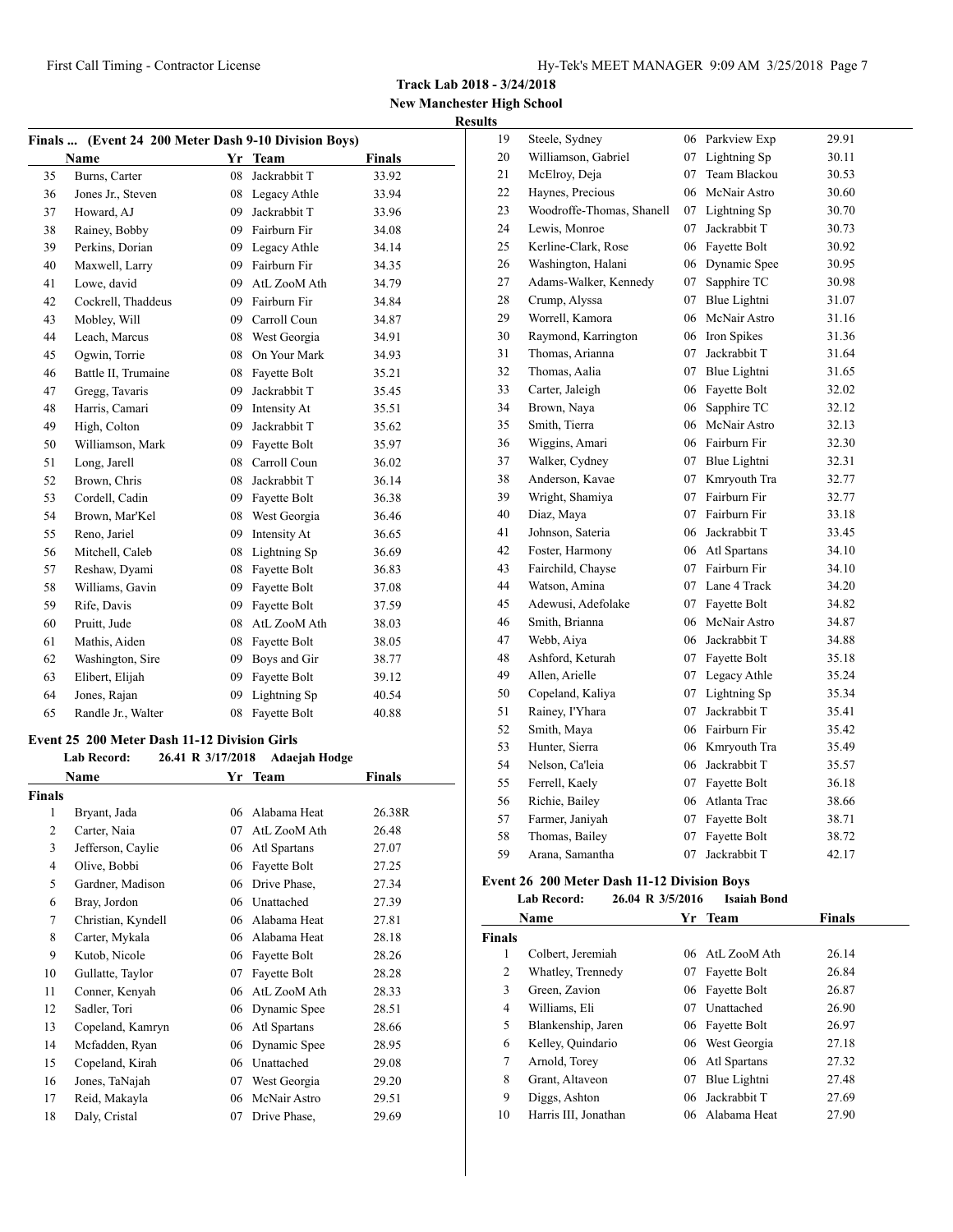**New Manchester High School Results**

|              | Finals  (Event 24 200 Meter Dash 9-10 Division Boys) |                   |                      |               |  |
|--------------|------------------------------------------------------|-------------------|----------------------|---------------|--|
|              | Name                                                 |                   | Yr Team              | <b>Finals</b> |  |
| 35           | Burns, Carter                                        | 08                | Jackrabbit T         | 33.92         |  |
| 36           | Jones Jr., Steven                                    |                   | 08 Legacy Athle      | 33.94         |  |
| 37           | Howard, AJ                                           |                   | 09 Jackrabbit T      | 33.96         |  |
| 38           | Rainey, Bobby                                        |                   | 09 Fairburn Fir      | 34.08         |  |
| 39           | Perkins, Dorian                                      |                   | 09 Legacy Athle      | 34.14         |  |
| 40           | Maxwell, Larry                                       |                   | 09 Fairburn Fir      | 34.35         |  |
| 41           | Lowe, david                                          |                   | 09 AtL ZooM Ath      | 34.79         |  |
| 42           | Cockrell, Thaddeus                                   |                   | 09 Fairburn Fir      | 34.84         |  |
| 43           | Mobley, Will                                         |                   | 09 Carroll Coun      | 34.87         |  |
| 44           | Leach, Marcus                                        |                   | 08 West Georgia      | 34.91         |  |
| 45           | Ogwin, Torrie                                        |                   | 08 On Your Mark      | 34.93         |  |
| 46           | Battle II, Trumaine                                  |                   | 08 Fayette Bolt      | 35.21         |  |
| 47           | Gregg, Tavaris                                       | 09                | Jackrabbit T         | 35.45         |  |
| 48           | Harris, Camari                                       |                   | 09 Intensity At      | 35.51         |  |
| 49           | High, Colton                                         |                   | 09 Jackrabbit T      | 35.62         |  |
| 50           | Williamson, Mark                                     |                   | 09 Fayette Bolt      | 35.97         |  |
| 51           | Long, Jarell                                         |                   | 08 Carroll Coun      | 36.02         |  |
| 52           | Brown, Chris                                         | 08                | Jackrabbit T         | 36.14         |  |
| 53           | Cordell, Cadin                                       |                   | 09 Fayette Bolt      | 36.38         |  |
| 54           | Brown, Mar'Kel                                       |                   | 08 West Georgia      | 36.46         |  |
| 55           | Reno, Jariel                                         |                   | 09 Intensity At      | 36.65         |  |
| 56           | Mitchell, Caleb                                      | 08                | Lightning Sp         | 36.69         |  |
| 57           | Reshaw, Dyami                                        |                   | 08 Fayette Bolt      | 36.83         |  |
| 58           | Williams, Gavin                                      |                   | 09 Fayette Bolt      | 37.08         |  |
| 59           | Rife, Davis                                          |                   | 09 Fayette Bolt      | 37.59         |  |
| 60           | Pruitt, Jude                                         |                   | 08 AtL ZooM Ath      | 38.03         |  |
| 61           | Mathis, Aiden                                        |                   | 08 Fayette Bolt      | 38.05         |  |
| 62           | Washington, Sire                                     | 09                | Boys and Gir         | 38.77         |  |
| 63           | Elibert, Elijah                                      | 09                | Fayette Bolt         | 39.12         |  |
| 64           | Jones, Rajan                                         | 09                | Lightning Sp         | 40.54         |  |
| 65           | Randle Jr., Walter                                   | 08                | Fayette Bolt         | 40.88         |  |
|              | <b>Event 25 200 Meter Dash 11-12 Division Girls</b>  |                   |                      |               |  |
|              | <b>Lab Record:</b>                                   | 26.41 R 3/17/2018 | <b>Adaejah Hodge</b> |               |  |
|              | <b>Name</b>                                          |                   | Yr Team              | <b>Finals</b> |  |
| Finals       |                                                      |                   |                      |               |  |
| $\mathbf{1}$ | Bryant, Jada                                         |                   | 06 Alabama Heat      | 26.38R        |  |
| 2            | Carter, Naia                                         |                   | 07 AtL ZooM Ath      | 26.48         |  |
| 3            | Jefferson, Caylie                                    | 06                | Atl Spartans         | 27.07         |  |

| 62   | Washington, Sire                           | U9                | Boys and Gir  | 38.77         | 48            | Ashiord, Keturan                            | $\mathsf{U}/\mathsf{I}$ | <b>Fayette Bolt</b> |
|------|--------------------------------------------|-------------------|---------------|---------------|---------------|---------------------------------------------|-------------------------|---------------------|
| 63   | Elibert, Elijah                            | 09                | Fayette Bolt  | 39.12         | 49            | Allen, Arielle                              | 07                      | Legacy Athle        |
| 64   | Jones, Rajan                               | 09                | Lightning Sp  | 40.54         | 50            | Copeland, Kaliya                            | 07                      | Lightning Sp        |
| 65   | Randle Jr., Walter                         | 08                | Fayette Bolt  | 40.88         | 51            | Rainey, I'Yhara                             | 07                      | Jackrabbit T        |
|      |                                            |                   |               |               | 52            | Smith, Maya                                 | 06                      | Fairburn Fir        |
|      | ent 25 200 Meter Dash 11-12 Division Girls |                   |               |               | 53            | Hunter, Sierra                              | 06                      | Kmryouth Tra        |
|      | <b>Lab Record:</b>                         | 26.41 R 3/17/2018 | Adaejah Hodge |               | 54            | Nelson, Ca'leia                             | 06                      | Jackrabbit T        |
|      | <b>Name</b>                                |                   | Yr Team       | <b>Finals</b> | 55            | Ferrell, Kaely                              | 07                      | Fayette Bolt        |
| nals |                                            |                   |               |               | 56            | Richie, Bailey                              | 06                      | Atlanta Trac        |
| 1    | Bryant, Jada                               | 06                | Alabama Heat  | 26.38R        | 57            | Farmer, Janiyah                             | 07                      | Fayette Bolt        |
| 2    | Carter, Naia                               | 07                | AtL ZooM Ath  | 26.48         | 58            | Thomas, Bailey                              | 07                      | Fayette Bolt        |
| 3    | Jefferson, Caylie                          | 06                | Atl Spartans  | 27.07         | 59            | Arana, Samantha                             | 07                      | Jackrabbit T        |
| 4    | Olive, Bobbi                               | 06                | Fayette Bolt  | 27.25         |               |                                             |                         |                     |
| 5    | Gardner, Madison                           | 06                | Drive Phase.  | 27.34         |               | Event 26 200 Meter Dash 11-12 Division Boys |                         |                     |
| 6    | Bray, Jordon                               | 06                | Unattached    | 27.39         |               | <b>Lab Record:</b>                          | 26.04 R 3/5/2016        | <b>Isaiah Bond</b>  |
| 7    | Christian, Kyndell                         | 06                | Alabama Heat  | 27.81         |               | Name                                        |                         | Yr Team             |
| 8    | Carter, Mykala                             | 06                | Alabama Heat  | 28.18         | <b>Finals</b> |                                             |                         |                     |
| 9    | Kutob, Nicole                              | 06                | Fayette Bolt  | 28.26         | 1             | Colbert, Jeremiah                           | 06                      | AtL ZooM Ath        |
| 10   | Gullatte, Taylor                           | 07                | Fayette Bolt  | 28.28         | 2             | Whatley, Trennedy                           | 07                      | Fayette Bolt        |
| 11   | Conner, Kenyah                             | 06                | AtL ZooM Ath  | 28.33         | 3             | Green, Zavion                               | 06                      | Fayette Bolt        |
| 12   | Sadler, Tori                               | 06                | Dynamic Spee  | 28.51         | 4             | Williams, Eli                               | 07                      | Unattached          |
| 13   | Copeland, Kamryn                           | 06                | Atl Spartans  | 28.66         | 5             | Blankenship, Jaren                          | 06                      | Fayette Bolt        |
| 14   | Mcfadden, Ryan                             | 06                | Dynamic Spee  | 28.95         | 6             | Kelley, Quindario                           | 06                      | West Georgia        |
| 15   | Copeland, Kirah                            | 06                | Unattached    | 29.08         | 7             | Arnold, Torey                               | 06                      | Atl Spartans        |
| 16   | Jones, TaNajah                             | 07                | West Georgia  | 29.20         | 8             | Grant, Altaveon                             | 07                      | Blue Lightni        |
| 17   | Reid, Makayla                              | 06                | McNair Astro  | 29.51         | 9             | Diggs, Ashton                               | 06                      | Jackrabbit T        |
|      |                                            |                   |               |               |               |                                             |                         |                     |

| 19 | Steele, Sydney            | 06 | Parkview Exp    | 29.91 |
|----|---------------------------|----|-----------------|-------|
| 20 | Williamson, Gabriel       | 07 | Lightning Sp    | 30.11 |
| 21 | McElroy, Deja             | 07 | Team Blackou    | 30.53 |
| 22 | Haynes, Precious          | 06 | McNair Astro    | 30.60 |
| 23 | Woodroffe-Thomas, Shanell | 07 | Lightning Sp    | 30.70 |
| 24 | Lewis, Monroe             | 07 | Jackrabbit T    | 30.73 |
| 25 | Kerline-Clark, Rose       |    | 06 Fayette Bolt | 30.92 |
| 26 | Washington, Halani        | 06 | Dynamic Spee    | 30.95 |
| 27 | Adams-Walker, Kennedy     | 07 | Sapphire TC     | 30.98 |
| 28 | Crump, Alyssa             | 07 | Blue Lightni    | 31.07 |
| 29 | Worrell, Kamora           | 06 | McNair Astro    | 31.16 |
| 30 | Raymond, Karrington       | 06 | Iron Spikes     | 31.36 |
| 31 | Thomas, Arianna           | 07 | Jackrabbit T    | 31.64 |
| 32 | Thomas, Aalia             | 07 | Blue Lightni    | 31.65 |
| 33 | Carter, Jaleigh           | 06 | Fayette Bolt    | 32.02 |
| 34 | Brown, Naya               | 06 | Sapphire TC     | 32.12 |
| 35 | Smith, Tierra             | 06 | McNair Astro    | 32.13 |
| 36 | Wiggins, Amari            |    | 06 Fairburn Fir | 32.30 |
| 37 | Walker, Cydney            | 07 | Blue Lightni    | 32.31 |
| 38 | Anderson, Kavae           | 07 | Kmryouth Tra    | 32.77 |
| 39 | Wright, Shamiya           | 07 | Fairburn Fir    | 32.77 |
| 40 | Diaz, Maya                | 07 | Fairburn Fir    | 33.18 |
| 41 | Johnson, Sateria          | 06 | Jackrabbit T    | 33.45 |
| 42 | Foster, Harmony           |    | 06 Atl Spartans | 34.10 |
| 43 | Fairchild, Chayse         | 07 | Fairburn Fir    | 34.10 |
| 44 | Watson, Amina             | 07 | Lane 4 Track    | 34.20 |
| 45 | Adewusi, Adefolake        | 07 | Fayette Bolt    | 34.82 |
| 46 | Smith, Brianna            | 06 | McNair Astro    | 34.87 |
| 47 | Webb, Aiya                | 06 | Jackrabbit T    | 34.88 |
| 48 | Ashford, Keturah          |    | 07 Fayette Bolt | 35.18 |
| 49 | Allen, Arielle            | 07 | Legacy Athle    | 35.24 |
| 50 | Copeland, Kaliya          | 07 | Lightning Sp    | 35.34 |
| 51 | Rainey, I'Yhara           | 07 | Jackrabbit T    | 35.41 |
| 52 | Smith, Maya               | 06 | Fairburn Fir    | 35.42 |
| 53 | Hunter, Sierra            |    | 06 Kmryouth Tra | 35.49 |
| 54 | Nelson, Ca'leia           | 06 | Jackrabbit T    | 35.57 |
| 55 | Ferrell, Kaely            | 07 | Fayette Bolt    | 36.18 |
| 56 | Richie, Bailey            |    | 06 Atlanta Trac | 38.66 |
| 57 | Farmer, Janiyah           | 07 | Fayette Bolt    | 38.71 |
| 58 | Thomas, Bailey            | 07 | Fayette Bolt    | 38.72 |
| 59 | Arana, Samantha           | 07 | Jackrabbit T    | 42.17 |

#### **Event 26 200 Meter Dash 11-12 Division Boys**

|               | Lab Record:          | 20.04 K 3/3/2010 | isaian Bond     |               |  |
|---------------|----------------------|------------------|-----------------|---------------|--|
|               | Name                 |                  | Yr Team         | <b>Finals</b> |  |
| <b>Finals</b> |                      |                  |                 |               |  |
| 1             | Colbert, Jeremiah    |                  | 06 AtL ZooM Ath | 26.14         |  |
| 2             | Whatley, Trennedy    | 07               | Fayette Bolt    | 26.84         |  |
| 3             | Green, Zavion        |                  | 06 Fayette Bolt | 26.87         |  |
| 4             | Williams, Eli        | 07               | Unattached      | 26.90         |  |
| 5             | Blankenship, Jaren   |                  | 06 Fayette Bolt | 26.97         |  |
| 6             | Kelley, Quindario    |                  | 06 West Georgia | 27.18         |  |
| 7             | Arnold, Torey        |                  | 06 Atl Spartans | 27.32         |  |
| 8             | Grant, Altaveon      | 07               | Blue Lightni    | 27.48         |  |
| 9             | Diggs, Ashton        | 06               | Jackrabbit T    | 27.69         |  |
| 10            | Harris III, Jonathan |                  | 06 Alabama Heat | 27.90         |  |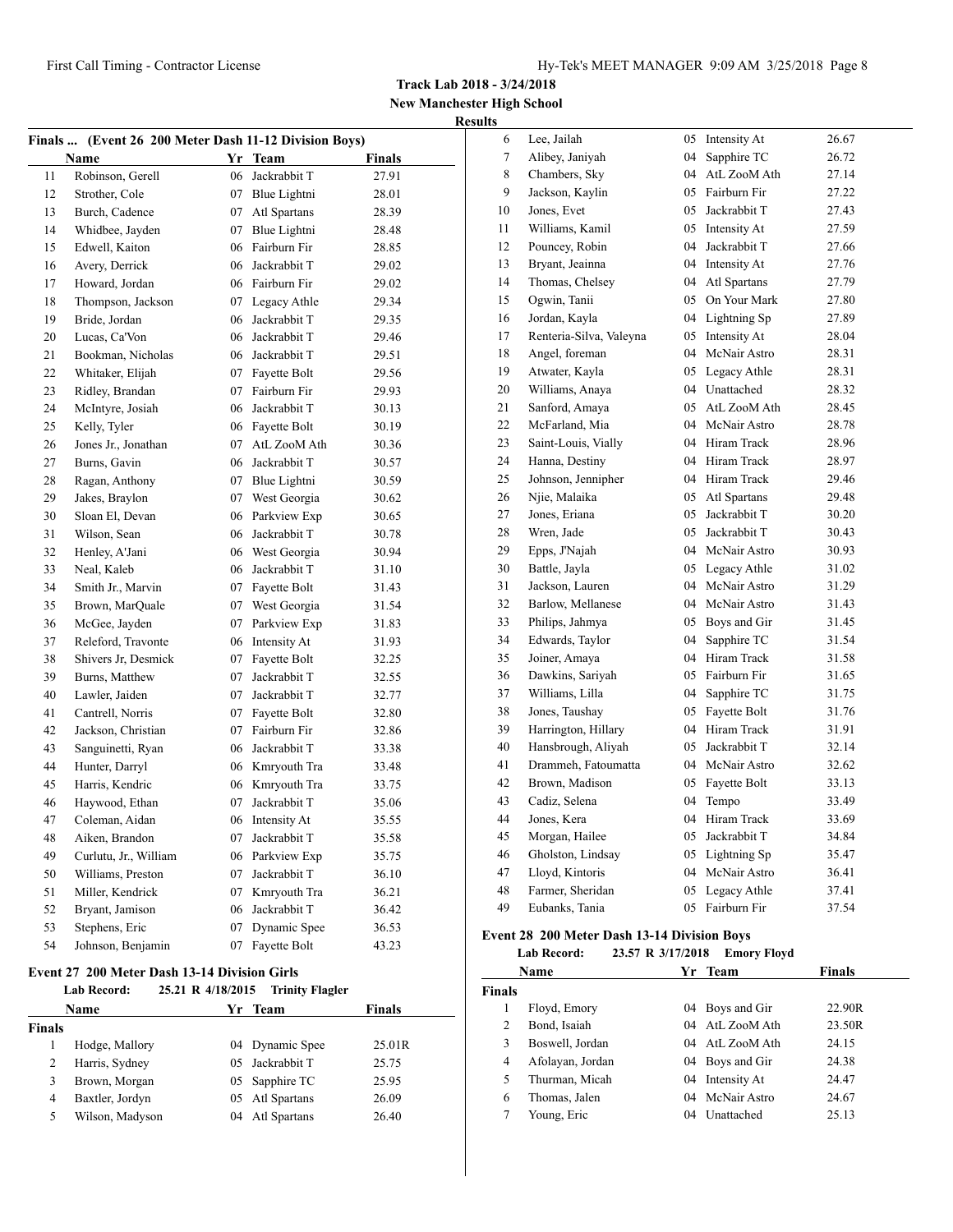# **New Manchester High School Results**

|    | Finals  (Event 26 200 Meter Dash 11-12 Division Boys) |    |                 |               |
|----|-------------------------------------------------------|----|-----------------|---------------|
|    | <b>Name</b>                                           |    | Yr Team         | <b>Finals</b> |
| 11 | Robinson, Gerell                                      | 06 | Jackrabbit T    | 27.91         |
| 12 | Strother, Cole                                        |    | 07 Blue Lightni | 28.01         |
| 13 | Burch, Cadence                                        |    | 07 Atl Spartans | 28.39         |
| 14 | Whidbee, Jayden                                       |    | 07 Blue Lightni | 28.48         |
| 15 | Edwell, Kaiton                                        |    | 06 Fairburn Fir | 28.85         |
| 16 | Avery, Derrick                                        |    | 06 Jackrabbit T | 29.02         |
| 17 | Howard, Jordan                                        |    | 06 Fairburn Fir | 29.02         |
| 18 | Thompson, Jackson                                     |    | 07 Legacy Athle | 29.34         |
| 19 | Bride, Jordan                                         | 06 | Jackrabbit T    | 29.35         |
| 20 | Lucas, Ca'Von                                         | 06 | Jackrabbit T    | 29.46         |
| 21 | Bookman, Nicholas                                     |    | 06 Jackrabbit T | 29.51         |
| 22 | Whitaker, Elijah                                      |    | 07 Fayette Bolt | 29.56         |
| 23 | Ridley, Brandan                                       |    | 07 Fairburn Fir | 29.93         |
| 24 | McIntyre, Josiah                                      |    | 06 Jackrabbit T | 30.13         |
| 25 | Kelly, Tyler                                          |    | 06 Fayette Bolt | 30.19         |
| 26 | Jones Jr., Jonathan                                   |    | 07 AtL ZooM Ath | 30.36         |
| 27 | Burns, Gavin                                          |    | 06 Jackrabbit T | 30.57         |
| 28 | Ragan, Anthony                                        |    | 07 Blue Lightni | 30.59         |
| 29 | Jakes, Braylon                                        | 07 | West Georgia    | 30.62         |
| 30 | Sloan El, Devan                                       |    | 06 Parkview Exp | 30.65         |
| 31 | Wilson, Sean                                          | 06 | Jackrabbit T    | 30.78         |
| 32 | Henley, A'Jani                                        |    | 06 West Georgia | 30.94         |
| 33 | Neal, Kaleb                                           | 06 | Jackrabbit T    | 31.10         |
| 34 | Smith Jr., Marvin                                     |    | 07 Fayette Bolt | 31.43         |
| 35 | Brown, MarQuale                                       |    | 07 West Georgia | 31.54         |
| 36 | McGee, Jayden                                         |    | 07 Parkview Exp | 31.83         |
| 37 | Releford, Travonte                                    |    | 06 Intensity At | 31.93         |
| 38 | Shivers Jr, Desmick                                   |    | 07 Fayette Bolt | 32.25         |
| 39 | Burns, Matthew                                        |    | 07 Jackrabbit T | 32.55         |
| 40 | Lawler, Jaiden                                        |    | 07 Jackrabbit T | 32.77         |
| 41 | Cantrell, Norris                                      | 07 | Fayette Bolt    | 32.80         |
| 42 | Jackson, Christian                                    | 07 | Fairburn Fir    | 32.86         |
| 43 | Sanguinetti, Ryan                                     | 06 | Jackrabbit T    | 33.38         |
| 44 | Hunter, Darryl                                        |    | 06 Kmryouth Tra | 33.48         |
| 45 | Harris, Kendric                                       |    | 06 Kmryouth Tra | 33.75         |
| 46 | Haywood, Ethan                                        | 07 | Jackrabbit T    | 35.06         |
| 47 | Coleman, Aidan                                        | 06 | Intensity At    | 35.55         |
| 48 | Aiken, Brandon                                        | 07 | Jackrabbit T    | 35.58         |
| 49 | Curlutu, Jr., William                                 | 06 | Parkview Exp    | 35.75         |
| 50 | Williams, Preston                                     | 07 | Jackrabbit T    | 36.10         |
| 51 | Miller, Kendrick                                      | 07 | Kmryouth Tra    | 36.21         |
| 52 | Bryant, Jamison                                       | 06 | Jackrabbit T    | 36.42         |
| 53 | Stephens, Eric                                        | 07 | Dynamic Spee    | 36.53         |
| 54 | Johnson, Benjamin                                     | 07 | Fayette Bolt    | 43.23         |
|    |                                                       |    |                 |               |

# **Event 27 200 Meter Dash 13-14 Division Girls**

# **Lab Record: 25.21 R 4/18/2015 Trinity Flagler**

| Name   |                 | Yr Team         | <b>Finals</b> |  |  |
|--------|-----------------|-----------------|---------------|--|--|
| Finals |                 |                 |               |  |  |
|        | Hodge, Mallory  | 04 Dynamic Spee | 25.01R        |  |  |
| 2      | Harris, Sydney  | 05 Jackrabbit T | 25.75         |  |  |
| 3      | Brown, Morgan   | 05 Sapphire TC  | 25.95         |  |  |
| 4      | Baxtler, Jordyn | 05 Atl Spartans | 26.09         |  |  |
| 5      | Wilson, Madyson | 04 Atl Spartans | 26.40         |  |  |
|        |                 |                 |               |  |  |

| 6      | Lee, Jailah             | 05 | Intensity At | 26.67 |
|--------|-------------------------|----|--------------|-------|
| $\tau$ | Alibey, Janiyah         | 04 | Sapphire TC  | 26.72 |
| 8      | Chambers, Sky           | 04 | AtL ZooM Ath | 27.14 |
| 9      | Jackson, Kaylin         | 05 | Fairburn Fir | 27.22 |
| 10     | Jones, Evet             | 05 | Jackrabbit T | 27.43 |
| 11     | Williams, Kamil         | 05 | Intensity At | 27.59 |
| 12     | Pouncey, Robin          | 04 | Jackrabbit T | 27.66 |
| 13     | Bryant, Jeainna         | 04 | Intensity At | 27.76 |
| 14     | Thomas, Chelsey         | 04 | Atl Spartans | 27.79 |
| 15     | Ogwin, Tanii            | 05 | On Your Mark | 27.80 |
| 16     | Jordan, Kayla           | 04 | Lightning Sp | 27.89 |
| 17     | Renteria-Silva, Valeyna | 05 | Intensity At | 28.04 |
| 18     | Angel, foreman          | 04 | McNair Astro | 28.31 |
| 19     | Atwater, Kayla          | 05 | Legacy Athle | 28.31 |
| 20     | Williams, Anaya         | 04 | Unattached   | 28.32 |
| 21     | Sanford, Amaya          | 05 | AtL ZooM Ath | 28.45 |
| 22     | McFarland, Mia          | 04 | McNair Astro | 28.78 |
| 23     | Saint-Louis, Vially     | 04 | Hiram Track  | 28.96 |
| 24     | Hanna, Destiny          | 04 | Hiram Track  | 28.97 |
| 25     | Johnson, Jennipher      | 04 | Hiram Track  | 29.46 |
| 26     | Njie, Malaika           | 05 | Atl Spartans | 29.48 |
| 27     | Jones, Eriana           | 05 | Jackrabbit T | 30.20 |
| 28     | Wren, Jade              | 05 | Jackrabbit T | 30.43 |
| 29     | Epps, J'Najah           | 04 | McNair Astro | 30.93 |
| 30     | Battle, Jayla           | 05 | Legacy Athle | 31.02 |
| 31     | Jackson, Lauren         | 04 | McNair Astro | 31.29 |
| 32     | Barlow, Mellanese       | 04 | McNair Astro | 31.43 |
| 33     | Philips, Jahmya         | 05 | Boys and Gir | 31.45 |
| 34     | Edwards, Taylor         | 04 | Sapphire TC  | 31.54 |
| 35     | Joiner, Amaya           | 04 | Hiram Track  | 31.58 |
| 36     | Dawkins, Sariyah        | 05 | Fairburn Fir | 31.65 |
| 37     | Williams, Lilla         | 04 | Sapphire TC  | 31.75 |
| 38     | Jones, Taushay          | 05 | Fayette Bolt | 31.76 |
| 39     | Harrington, Hillary     | 04 | Hiram Track  | 31.91 |
| 40     | Hansbrough, Aliyah      | 05 | Jackrabbit T | 32.14 |
| 41     | Drammeh, Fatoumatta     | 04 | McNair Astro | 32.62 |
| 42     | Brown, Madison          | 05 | Fayette Bolt | 33.13 |
| 43     | Cadiz, Selena           | 04 | Tempo        | 33.49 |
| 44     | Jones, Kera             | 04 | Hiram Track  | 33.69 |
| 45     | Morgan, Hailee          | 05 | Jackrabbit T | 34.84 |
| 46     | Gholston, Lindsay       | 05 | Lightning Sp | 35.47 |
| 47     | Lloyd, Kintoris         | 04 | McNair Astro | 36.41 |
| 48     | Farmer, Sheridan        | 05 | Legacy Athle | 37.41 |
| 49     | Eubanks, Tania          | 05 | Fairburn Fir | 37.54 |

# **Event 28 200 Meter Dash 13-14 Division Boys**

# **Lab Record: 23.57 R 3/17/2018 Emory Floyd**

| Name          |                  |    | Yr Team         | <b>Finals</b> |
|---------------|------------------|----|-----------------|---------------|
| <b>Finals</b> |                  |    |                 |               |
|               | Floyd, Emory     |    | 04 Boys and Gir | 22.90R        |
| 2             | Bond, Isaiah     |    | 04 AtL ZooM Ath | 23.50R        |
| 3             | Boswell, Jordan  |    | 04 AtL ZooM Ath | 24.15         |
| 4             | Afolayan, Jordan |    | 04 Boys and Gir | 24.38         |
| 5             | Thurman, Micah   |    | 04 Intensity At | 24.47         |
| 6             | Thomas, Jalen    |    | 04 McNair Astro | 24.67         |
|               | Young, Eric      | 04 | Unattached      | 25.13         |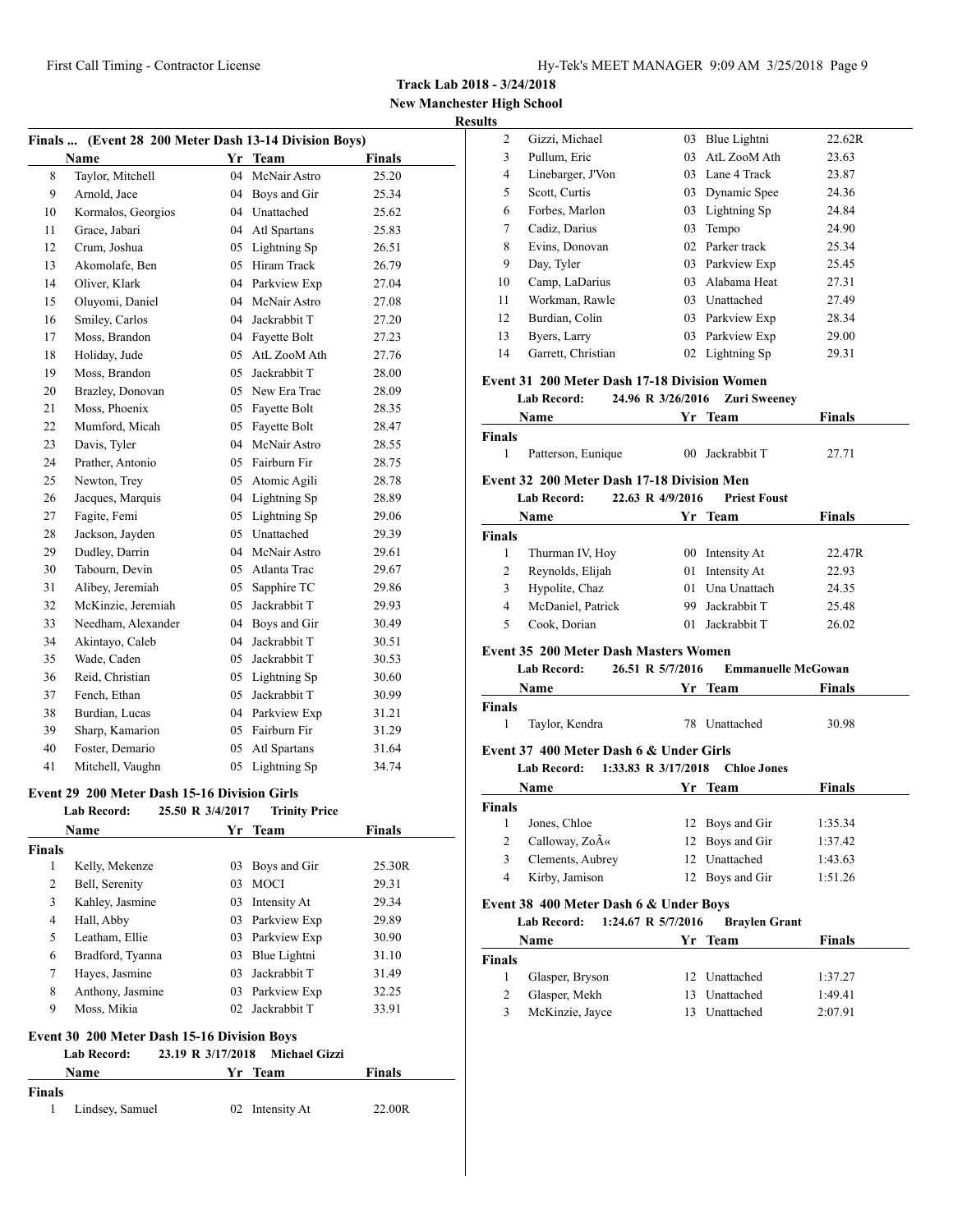Gizzi, Michael 03 Blue Lightni 22.62R Pullum, Eric 03 AtL ZooM Ath 23.63 Linebarger, J'Von 03 Lane 4 Track 23.87 Scott, Curtis 03 Dynamic Spee 24.36 Forbes, Marlon 03 Lightning Sp 24.84 Cadiz, Darius 03 Tempo 24.90 Evins, Donovan 02 Parker track 25.34 Day, Tyler 03 Parkview Exp 25.45

**Track Lab 2018 - 3/24/2018**

**New Manchester High School Results**

| Finals  (Event 28 200 Meter Dash 13-14 Division Boys) |                                                     |                  |                      |               |  |  |  |
|-------------------------------------------------------|-----------------------------------------------------|------------------|----------------------|---------------|--|--|--|
|                                                       | <b>Name</b>                                         | Yr               | <b>Team</b>          | <b>Finals</b> |  |  |  |
| 8                                                     | Taylor, Mitchell                                    | 04               | McNair Astro         | 25.20         |  |  |  |
| 9                                                     | Arnold, Jace                                        | 04               | Boys and Gir         | 25.34         |  |  |  |
| 10                                                    | Kormalos, Georgios                                  | 04               | Unattached           | 25.62         |  |  |  |
| 11                                                    | Grace, Jabari                                       | 04               | Atl Spartans         | 25.83         |  |  |  |
| 12                                                    | Crum, Joshua                                        | 05               | Lightning Sp         | 26.51         |  |  |  |
| 13                                                    | Akomolafe, Ben                                      | 05               | Hiram Track          | 26.79         |  |  |  |
| 14                                                    | Oliver, Klark                                       | 04               | Parkview Exp         | 27.04         |  |  |  |
| 15                                                    | Oluyomi, Daniel                                     | 04               | McNair Astro         | 27.08         |  |  |  |
| 16                                                    | Smiley, Carlos                                      | 04               | Jackrabbit T         | 27.20         |  |  |  |
| 17                                                    | Moss, Brandon                                       | 04               | Fayette Bolt         | 27.23         |  |  |  |
| 18                                                    | Holiday, Jude                                       | 05               | AtL ZooM Ath         | 27.76         |  |  |  |
| 19                                                    | Moss, Brandon                                       | 05               | Jackrabbit T         | 28.00         |  |  |  |
| 20                                                    | Brazley, Donovan                                    | 05               | New Era Trac         | 28.09         |  |  |  |
| 21                                                    | Moss, Phoenix                                       | 05               | Fayette Bolt         | 28.35         |  |  |  |
| 22                                                    | Mumford, Micah                                      | 05               | Fayette Bolt         | 28.47         |  |  |  |
| 23                                                    | Davis, Tyler                                        | 04               | McNair Astro         | 28.55         |  |  |  |
| 24                                                    | Prather, Antonio                                    | 05               | Fairburn Fir         | 28.75         |  |  |  |
| 25                                                    | Newton, Trey                                        | 05               | Atomic Agili         | 28.78         |  |  |  |
| 26                                                    | Jacques, Marquis                                    | 04               | Lightning Sp         | 28.89         |  |  |  |
| 27                                                    | Fagite, Femi                                        | 05               | Lightning Sp         | 29.06         |  |  |  |
| 28                                                    | Jackson, Jayden                                     | 05               | Unattached           | 29.39         |  |  |  |
| 29                                                    | Dudley, Darrin                                      | 04               | McNair Astro         | 29.61         |  |  |  |
| 30                                                    | Tabourn, Devin                                      | 05               | Atlanta Trac         | 29.67         |  |  |  |
| 31                                                    | Alibey, Jeremiah                                    | 05               | Sapphire TC          | 29.86         |  |  |  |
| 32                                                    | McKinzie, Jeremiah                                  | 05               | Jackrabbit T         | 29.93         |  |  |  |
| 33                                                    | Needham, Alexander                                  | 04               | Boys and Gir         | 30.49         |  |  |  |
| 34                                                    | Akintayo, Caleb                                     | 04               | Jackrabbit T         | 30.51         |  |  |  |
| 35                                                    | Wade, Caden                                         | 05               | Jackrabbit T         | 30.53         |  |  |  |
| 36                                                    | Reid, Christian                                     | 05               | Lightning Sp         | 30.60         |  |  |  |
| 37                                                    | Fench, Ethan                                        | 05               | Jackrabbit T         | 30.99         |  |  |  |
| 38                                                    | Burdian, Lucas                                      | 04               | Parkview Exp         | 31.21         |  |  |  |
| 39                                                    | Sharp, Kamarion                                     | 05               | Fairburn Fir         | 31.29         |  |  |  |
| 40                                                    | Foster, Demario                                     | 05               | Atl Spartans         | 31.64         |  |  |  |
| 41                                                    | Mitchell, Vaughn                                    | 05               | Lightning Sp         | 34.74         |  |  |  |
|                                                       | <b>Event 29 200 Meter Dash 15-16 Division Girls</b> |                  |                      |               |  |  |  |
|                                                       | <b>Lab Record:</b>                                  | 25.50 R 3/4/2017 | <b>Trinity Price</b> |               |  |  |  |
|                                                       | Name                                                |                  | Yr Team              | <b>Finals</b> |  |  |  |
| Finals                                                |                                                     |                  |                      |               |  |  |  |
| 1                                                     | Kelly, Mekenze                                      | 03               | Boys and Gir         | 25.30R        |  |  |  |

 Bell, Serenity 03 MOCI 29.31 Kahley, Jasmine 03 Intensity At 29.34 Hall, Abby 03 Parkview Exp 29.89 5 Leatham, Ellie 03 Parkview Exp 30.90 Bradford, Tyanna 03 Blue Lightni 31.10 Hayes, Jasmine 03 Jackrabbit T 31.49 Anthony, Jasmine 03 Parkview Exp 32.25 Moss, Mikia 02 Jackrabbit T 33.91

**Event 30 200 Meter Dash 15-16 Division Boys**

**Finals**

**Lab Record: 23.19 R 3/17/2018 Michael Gizzi**

**Name Yr** Team **Finals** 

Lindsey, Samuel 02 Intensity At 22.00R

| 10             | Camp, LaDarius                                                                     |                   | 03 Alabama Heat                                                            | 27.31                  |
|----------------|------------------------------------------------------------------------------------|-------------------|----------------------------------------------------------------------------|------------------------|
| 11             | Workman, Rawle                                                                     |                   | 03 Unattached                                                              | 27.49                  |
| 12             | Burdian, Colin                                                                     |                   | 03 Parkview Exp                                                            | 28.34                  |
| 13             | Byers, Larry                                                                       |                   | 03 Parkview Exp                                                            | 29.00                  |
| 14             | Garrett, Christian                                                                 |                   | 02 Lightning Sp                                                            | 29.31                  |
|                | <b>Event 31 200 Meter Dash 17-18 Division Women</b>                                |                   |                                                                            |                        |
|                | <b>Lab Record:</b>                                                                 | 24.96 R 3/26/2016 | <b>Zuri Sweeney</b>                                                        |                        |
|                | Name Yr Team                                                                       |                   |                                                                            | <b>Finals</b>          |
| Finals         |                                                                                    |                   |                                                                            |                        |
| $\mathbf{1}$   | Patterson, Eunique                                                                 |                   | 00 Jackrabbit T                                                            | 27.71                  |
|                | Event 32 200 Meter Dash 17-18 Division Men                                         |                   |                                                                            |                        |
|                | <b>Lab Record:</b>                                                                 | 22.63 R 4/9/2016  | <b>Priest Foust</b>                                                        |                        |
|                | Name                                                                               |                   | Yr Team                                                                    | Finals                 |
| <b>Finals</b>  |                                                                                    |                   |                                                                            |                        |
| 1              | Thurman IV, Hoy                                                                    |                   | 00 Intensity At                                                            | 22.47R                 |
| $\overline{2}$ | Reynolds, Elijah                                                                   |                   | 01 Intensity At                                                            | 22.93                  |
| 3              | Hypolite, Chaz                                                                     | 01                | Una Unattach                                                               | 24.35                  |
|                |                                                                                    |                   | 99 Jackrabbit T                                                            | 25.48                  |
| $\overline{4}$ | McDaniel, Patrick                                                                  |                   |                                                                            |                        |
| 5              | Cook. Dorian<br><b>Event 35 200 Meter Dash Masters Women</b><br><b>Lab Record:</b> | 26.51 R 5/7/2016  | 01 Jackrabbit T<br><b>Emmanuelle McGowan</b><br><b>Solution Start Team</b> | 26.02<br><b>Finals</b> |
| Finals         | Name                                                                               |                   |                                                                            |                        |
| $\mathbf{1}$   | Taylor, Kendra                                                                     |                   | 78 Unattached                                                              | 30.98                  |
|                | Event 37 400 Meter Dash 6 & Under Girls                                            |                   |                                                                            |                        |
|                | Lab Record: 1:33.83 R 3/17/2018                                                    |                   | <b>Chloe Jones</b>                                                         |                        |
|                |                                                                                    |                   | Yr Team                                                                    | Finals                 |
| <b>Finals</b>  | Name                                                                               |                   |                                                                            |                        |
| 1              | Jones, Chloe                                                                       |                   | 12 Boys and Gir                                                            | 1:35.34                |
| $\overline{2}$ | Calloway, Zo«                                                                      |                   | 12 Boys and Gir                                                            | 1:37.42                |
| 3              | Clements, Aubrey                                                                   |                   | 12 Unattached                                                              | 1:43.63                |
| $\overline{4}$ | Kirby, Jamison                                                                     |                   | 12 Boys and Gir                                                            | 1:51.26                |
|                |                                                                                    |                   |                                                                            |                        |
|                | Event 38 400 Meter Dash 6 & Under Boys<br>Lab Record: 1:24.67 R 5/7/2016           |                   | <b>Braylen Grant</b>                                                       |                        |
|                | Name                                                                               |                   | Yr Team                                                                    | <b>Finals</b>          |
| <b>Finals</b>  |                                                                                    |                   |                                                                            |                        |
| $\mathbf{1}$   | Glasper, Bryson                                                                    |                   | 12 Unattached                                                              | 1:37.27                |
| $\overline{2}$ | Glasper, Mekh                                                                      |                   | 13 Unattached                                                              | 1:49.41                |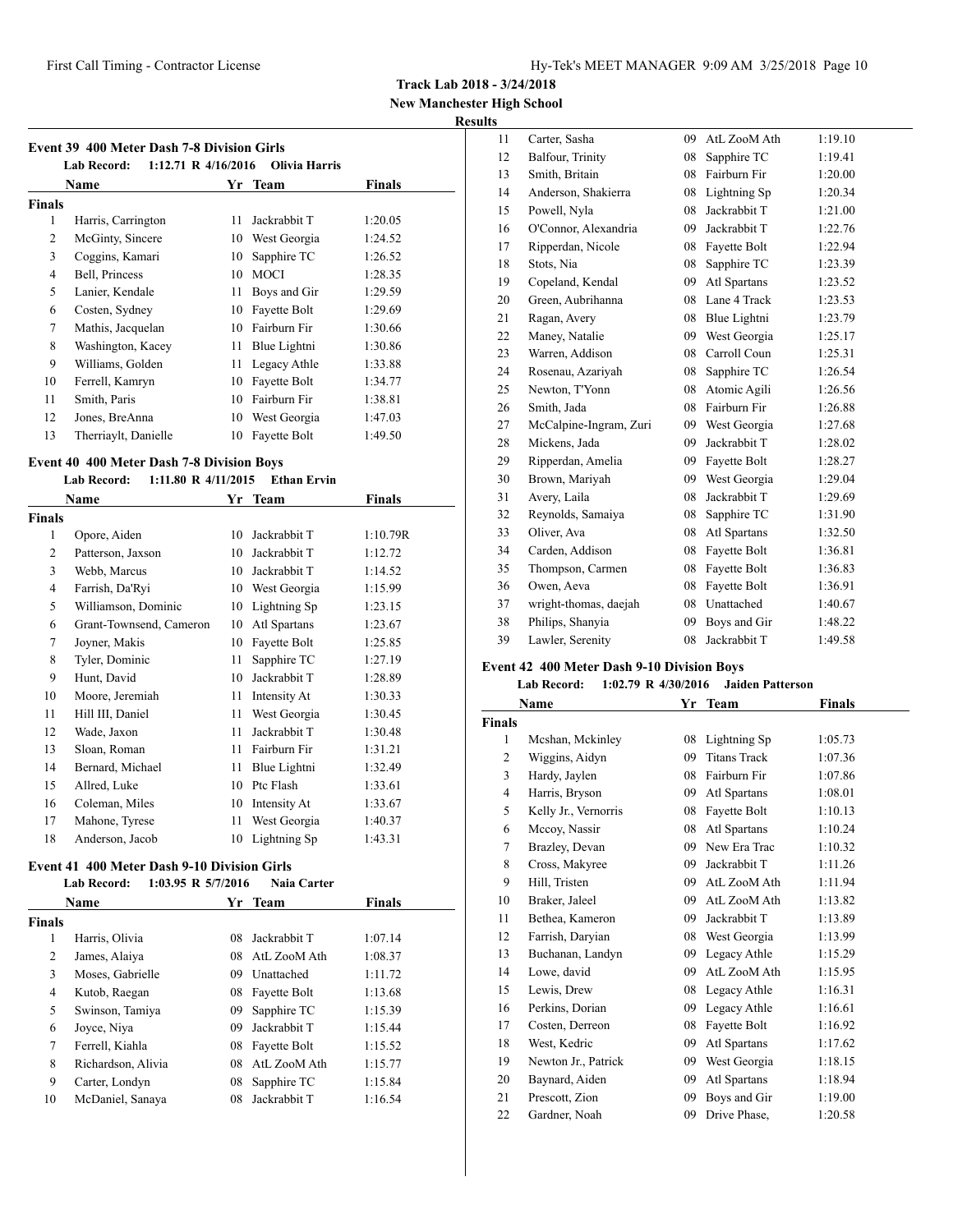**Track Lab 2018 - 3/24/2018**

**New Manchester High School**

# **Results**

| <b>Event 39 400 Meter Dash 7-8 Division Girls</b><br>1:12.71 R $4/16/2016$<br><b>Lab Record:</b><br>Olivia Harris |                      |    |              |         |  |  |  |  |
|-------------------------------------------------------------------------------------------------------------------|----------------------|----|--------------|---------|--|--|--|--|
|                                                                                                                   | Name                 |    | Yr Team      | Finals  |  |  |  |  |
| <b>Finals</b>                                                                                                     |                      |    |              |         |  |  |  |  |
| 1                                                                                                                 | Harris, Carrington   | 11 | Jackrabbit T | 1:20.05 |  |  |  |  |
| 2                                                                                                                 | McGinty, Sincere     | 10 | West Georgia | 1:24.52 |  |  |  |  |
| 3                                                                                                                 | Coggins, Kamari      | 10 | Sapphire TC  | 1:26.52 |  |  |  |  |
| 4                                                                                                                 | Bell, Princess       | 10 | <b>MOCI</b>  | 1:28.35 |  |  |  |  |
| 5                                                                                                                 | Lanier, Kendale      | 11 | Boys and Gir | 1:29.59 |  |  |  |  |
| 6                                                                                                                 | Costen, Sydney       | 10 | Fayette Bolt | 1:29.69 |  |  |  |  |
| 7                                                                                                                 | Mathis, Jacquelan    | 10 | Fairburn Fir | 1:30.66 |  |  |  |  |
| 8                                                                                                                 | Washington, Kacey    | 11 | Blue Lightni | 1:30.86 |  |  |  |  |
| 9                                                                                                                 | Williams, Golden     | 11 | Legacy Athle | 1:33.88 |  |  |  |  |
| 10                                                                                                                | Ferrell, Kamryn      | 10 | Fayette Bolt | 1:34.77 |  |  |  |  |
| 11                                                                                                                | Smith, Paris         | 10 | Fairburn Fir | 1:38.81 |  |  |  |  |
| 12                                                                                                                | Jones, BreAnna       | 10 | West Georgia | 1:47.03 |  |  |  |  |
| 13                                                                                                                | Therriaylt, Danielle | 10 | Fayette Bolt | 1:49.50 |  |  |  |  |

# **Event 40 400 Meter Dash 7-8 Division Boys**

# **Lab Record: 1:11.80 R 4/11/2015 Ethan Ervin**

|                | Name                    | Yr | <b>Team</b>  | Finals   |
|----------------|-------------------------|----|--------------|----------|
| Finals         |                         |    |              |          |
| 1              | Opore, Aiden            | 10 | Jackrabbit T | 1:10.79R |
| 2              | Patterson, Jaxson       | 10 | Jackrabbit T | 1:12.72  |
| 3              | Webb, Marcus            | 10 | Jackrabbit T | 1:14.52  |
| $\overline{4}$ | Farrish, Da'Ryi         | 10 | West Georgia | 1:15.99  |
| 5              | Williamson, Dominic     | 10 | Lightning Sp | 1:23.15  |
| 6              | Grant-Townsend, Cameron | 10 | Atl Spartans | 1:23.67  |
| 7              | Joyner, Makis           | 10 | Fayette Bolt | 1:25.85  |
| 8              | Tyler, Dominic          | 11 | Sapphire TC  | 1:27.19  |
| 9              | Hunt, David             | 10 | Jackrabbit T | 1:28.89  |
| 10             | Moore, Jeremiah         | 11 | Intensity At | 1:30.33  |
| 11             | Hill III, Daniel        | 11 | West Georgia | 1:30.45  |
| 12             | Wade, Jaxon             | 11 | Jackrabbit T | 1:30.48  |
| 13             | Sloan, Roman            | 11 | Fairburn Fir | 1:31.21  |
| 14             | Bernard, Michael        | 11 | Blue Lightni | 1:32.49  |
| 15             | Allred, Luke            | 10 | Ptc Flash    | 1:33.61  |
| 16             | Coleman, Miles          | 10 | Intensity At | 1:33.67  |
| 17             | Mahone, Tyrese          | 11 | West Georgia | 1:40.37  |
| 18             | Anderson, Jacob         | 10 | Lightning Sp | 1:43.31  |

# **Event 41 400 Meter Dash 9-10 Division Girls**

|                | <b>Lab Record:</b> | $1:03.95$ R $5/7/2016$ | Naia Carter     |               |  |
|----------------|--------------------|------------------------|-----------------|---------------|--|
|                | <b>Name</b>        |                        | Yr Team         | <b>Finals</b> |  |
| <b>Finals</b>  |                    |                        |                 |               |  |
| 1              | Harris, Olivia     | 08                     | Jackrabbit T    | 1:07.14       |  |
| 2              | James, Alaiya      | 08                     | AtL ZooM Ath    | 1:08.37       |  |
| 3              | Moses, Gabrielle   | 09                     | Unattached      | 1:11.72       |  |
| $\overline{4}$ | Kutob, Raegan      |                        | 08 Fayette Bolt | 1:13.68       |  |
| 5              | Swinson, Tamiya    | 09                     | Sapphire TC     | 1:15.39       |  |
| 6              | Joyce, Niya        | 09                     | Jackrabbit T    | 1:15.44       |  |
| 7              | Ferrell, Kiahla    | 08                     | Fayette Bolt    | 1:15.52       |  |
| 8              | Richardson, Alivia | 08                     | AtL ZooM Ath    | 1:15.77       |  |
| 9              | Carter, Londyn     | 08                     | Sapphire TC     | 1:15.84       |  |
| 10             | McDaniel, Sanaya   | 08                     | Jackrabbit T    | 1:16.54       |  |

| 11 | Carter, Sasha          | 09 | AtL ZooM Ath | 1:19.10 |
|----|------------------------|----|--------------|---------|
| 12 | Balfour, Trinity       | 08 | Sapphire TC  | 1:19.41 |
| 13 | Smith, Britain         | 08 | Fairburn Fir | 1:20.00 |
| 14 | Anderson, Shakierra    | 08 | Lightning Sp | 1:20.34 |
| 15 | Powell, Nyla           | 08 | Jackrabbit T | 1:21.00 |
| 16 | O'Connor, Alexandria   | 09 | Jackrabbit T | 1:22.76 |
| 17 | Ripperdan, Nicole      | 08 | Fayette Bolt | 1:22.94 |
| 18 | Stots, Nia             | 08 | Sapphire TC  | 1:23.39 |
| 19 | Copeland, Kendal       | 09 | Atl Spartans | 1:23.52 |
| 20 | Green, Aubrihanna      | 08 | Lane 4 Track | 1:23.53 |
| 21 | Ragan, Avery           | 08 | Blue Lightni | 1:23.79 |
| 22 | Maney, Natalie         | 09 | West Georgia | 1:25.17 |
| 23 | Warren, Addison        | 08 | Carroll Coun | 1:25.31 |
| 24 | Rosenau, Azariyah      | 08 | Sapphire TC  | 1:26.54 |
| 25 | Newton, T'Yonn         | 08 | Atomic Agili | 1:26.56 |
| 26 | Smith, Jada            | 08 | Fairburn Fir | 1:26.88 |
| 27 | McCalpine-Ingram, Zuri | 09 | West Georgia | 1:27.68 |
| 28 | Mickens, Jada          | 09 | Jackrabbit T | 1:28.02 |
| 29 | Ripperdan, Amelia      | 09 | Fayette Bolt | 1:28.27 |
| 30 | Brown, Mariyah         | 09 | West Georgia | 1:29.04 |
| 31 | Avery, Laila           | 08 | Jackrabbit T | 1:29.69 |
| 32 | Reynolds, Samaiya      | 08 | Sapphire TC  | 1:31.90 |
| 33 | Oliver, Ava            | 08 | Atl Spartans | 1:32.50 |
| 34 | Carden, Addison        | 08 | Fayette Bolt | 1:36.81 |
| 35 | Thompson, Carmen       | 08 | Fayette Bolt | 1:36.83 |
| 36 | Owen, Aeva             | 08 | Fayette Bolt | 1:36.91 |
| 37 | wright-thomas, daejah  | 08 | Unattached   | 1:40.67 |
| 38 | Philips, Shanyia       | 09 | Boys and Gir | 1:48.22 |
| 39 | Lawler, Serenity       | 08 | Jackrabbit T | 1:49.58 |

### **Event 42 400 Meter Dash 9-10 Division Boys Lab Record: 1:02.79 R 4/30/2016 Jaiden Patterson**

|                | Name                 | Yr | <b>Team</b>         | <b>Finals</b> |  |
|----------------|----------------------|----|---------------------|---------------|--|
| Finals         |                      |    |                     |               |  |
| 1              | Mcshan, Mckinley     | 08 | Lightning Sp        | 1:05.73       |  |
| $\overline{c}$ | Wiggins, Aidyn       | 09 | <b>Titans Track</b> | 1:07.36       |  |
| 3              | Hardy, Jaylen        | 08 | Fairburn Fir        | 1:07.86       |  |
| $\overline{4}$ | Harris, Bryson       | 09 | Atl Spartans        | 1:08.01       |  |
| 5              | Kelly Jr., Vernorris | 08 | Fayette Bolt        | 1:10.13       |  |
| 6              | Mccoy, Nassir        | 08 | Atl Spartans        | 1:10.24       |  |
| 7              | Brazley, Devan       | 09 | New Era Trac        | 1:10.32       |  |
| 8              | Cross, Makyree       | 09 | Jackrabbit T        | 1:11.26       |  |
| 9              | Hill, Tristen        | 09 | AtL ZooM Ath        | 1:11.94       |  |
| 10             | Braker, Jaleel       | 09 | AtL ZooM Ath        | 1:13.82       |  |
| 11             | Bethea, Kameron      | 09 | Jackrabbit T        | 1:13.89       |  |
| 12             | Farrish, Daryian     | 08 | West Georgia        | 1:13.99       |  |
| 13             | Buchanan, Landyn     | 09 | Legacy Athle        | 1:15.29       |  |
| 14             | Lowe, david          | 09 | AtL ZooM Ath        | 1:15.95       |  |
| 15             | Lewis, Drew          | 08 | Legacy Athle        | 1:16.31       |  |
| 16             | Perkins, Dorian      | 09 | Legacy Athle        | 1:16.61       |  |
| 17             | Costen, Derreon      | 08 | Fayette Bolt        | 1:16.92       |  |
| 18             | West, Kedric         | 09 | Atl Spartans        | 1:17.62       |  |
| 19             | Newton Jr., Patrick  | 09 | West Georgia        | 1:18.15       |  |
| 20             | Baynard, Aiden       | 09 | Atl Spartans        | 1:18.94       |  |
| 21             | Prescott, Zion       | 09 | Boys and Gir        | 1:19.00       |  |
| 22             | Gardner, Noah        | 09 | Drive Phase.        | 1:20.58       |  |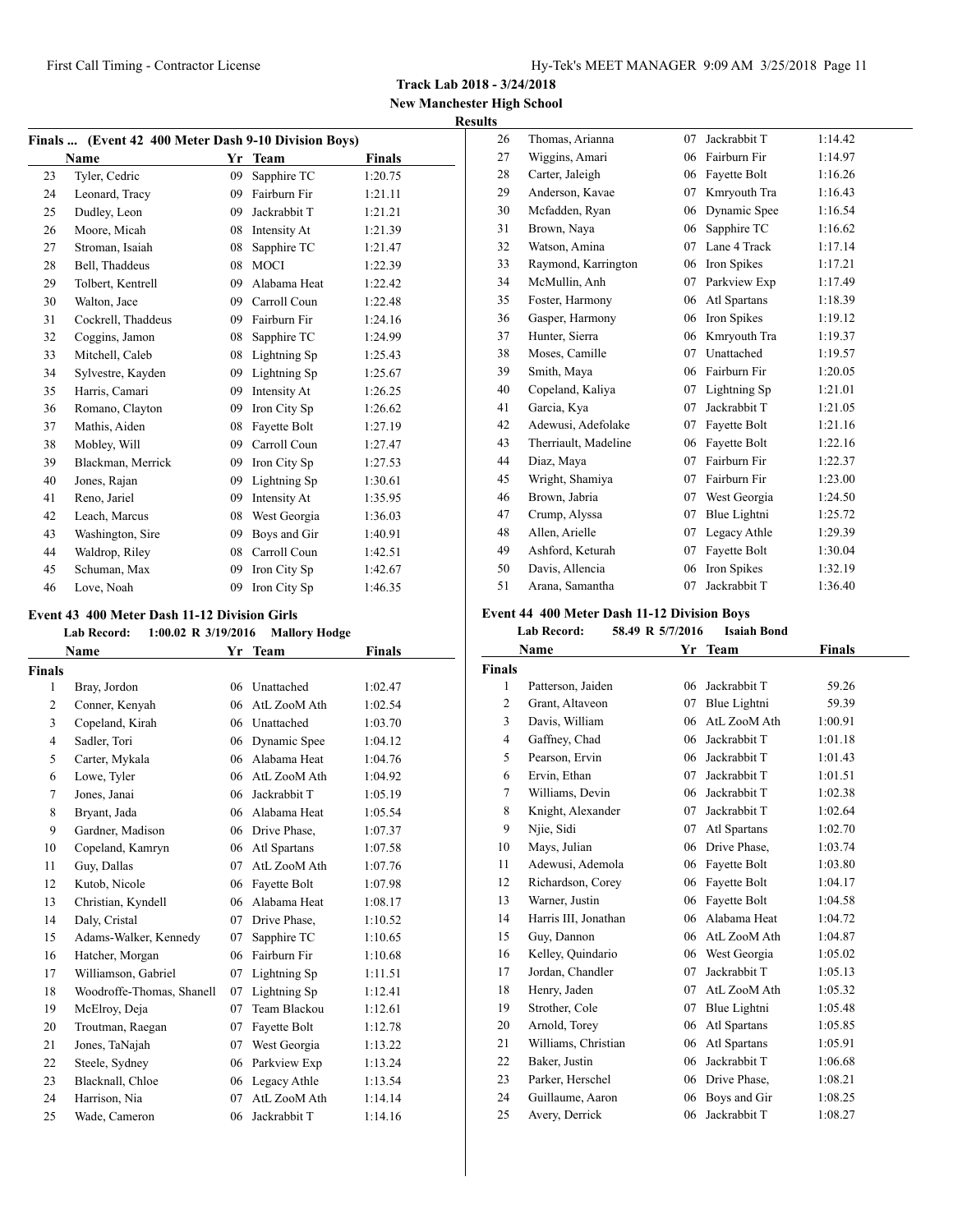**Track Lab 2018 - 3/24/2018**

**New Manchester High School Results**

| Finals  (Event 42 400 Meter Dash 9-10 Division Boys) |                    |    |              |               |  |
|------------------------------------------------------|--------------------|----|--------------|---------------|--|
|                                                      | Name               | Yr | <b>Team</b>  | <b>Finals</b> |  |
| 23                                                   | Tyler, Cedric      | 09 | Sapphire TC  | 1:20.75       |  |
| 24                                                   | Leonard, Tracy     | 09 | Fairburn Fir | 1:21.11       |  |
| 25                                                   | Dudley, Leon       | 09 | Jackrabbit T | 1:21.21       |  |
| 26                                                   | Moore, Micah       | 08 | Intensity At | 1:21.39       |  |
| 27                                                   | Stroman, Isaiah    | 08 | Sapphire TC  | 1:21.47       |  |
| 28                                                   | Bell, Thaddeus     | 08 | <b>MOCI</b>  | 1:22.39       |  |
| 29                                                   | Tolbert, Kentrell  | 09 | Alabama Heat | 1:22.42       |  |
| 30                                                   | Walton, Jace       | 09 | Carroll Coun | 1:22.48       |  |
| 31                                                   | Cockrell, Thaddeus | 09 | Fairburn Fir | 1:24.16       |  |
| 32                                                   | Coggins, Jamon     | 08 | Sapphire TC  | 1:24.99       |  |
| 33                                                   | Mitchell, Caleb    | 08 | Lightning Sp | 1:25.43       |  |
| 34                                                   | Sylvestre, Kayden  | 09 | Lightning Sp | 1:25.67       |  |
| 35                                                   | Harris, Camari     | 09 | Intensity At | 1:26.25       |  |
| 36                                                   | Romano, Clayton    | 09 | Iron City Sp | 1:26.62       |  |
| 37                                                   | Mathis, Aiden      | 08 | Fayette Bolt | 1:27.19       |  |
| 38                                                   | Mobley, Will       | 09 | Carroll Coun | 1:27.47       |  |
| 39                                                   | Blackman, Merrick  | 09 | Iron City Sp | 1:27.53       |  |
| 40                                                   | Jones, Rajan       | 09 | Lightning Sp | 1:30.61       |  |
| 41                                                   | Reno, Jariel       | 09 | Intensity At | 1:35.95       |  |
| 42                                                   | Leach, Marcus      | 08 | West Georgia | 1:36.03       |  |
| 43                                                   | Washington, Sire   | 09 | Boys and Gir | 1:40.91       |  |
| 44                                                   | Waldrop, Riley     | 08 | Carroll Coun | 1:42.51       |  |
| 45                                                   | Schuman, Max       | 09 | Iron City Sp | 1:42.67       |  |
| 46                                                   | Love, Noah         | 09 | Iron City Sp | 1:46.35       |  |

### **Event 43 400 Meter Dash 11-12 Division Girls**

# **Lab Record: 1:00.02 R 3/19/2016 Mallory Hodge**

|                | Name                      | Yr | Team         | <b>Finals</b> |
|----------------|---------------------------|----|--------------|---------------|
| <b>Finals</b>  |                           |    |              |               |
| 1              | Bray, Jordon              | 06 | Unattached   | 1:02.47       |
| 2              | Conner, Kenyah            | 06 | AtL ZooM Ath | 1:02.54       |
| 3              | Copeland, Kirah           | 06 | Unattached   | 1:03.70       |
| $\overline{4}$ | Sadler, Tori              | 06 | Dynamic Spee | 1:04.12       |
| 5              | Carter, Mykala            | 06 | Alabama Heat | 1:04.76       |
| 6              | Lowe, Tyler               | 06 | AtL ZooM Ath | 1:04.92       |
| 7              | Jones, Janai              | 06 | Jackrabbit T | 1:05.19       |
| 8              | Bryant, Jada              | 06 | Alabama Heat | 1:05.54       |
| 9              | Gardner, Madison          | 06 | Drive Phase, | 1:07.37       |
| 10             | Copeland, Kamryn          | 06 | Atl Spartans | 1:07.58       |
| 11             | Guy, Dallas               | 07 | AtL ZooM Ath | 1:07.76       |
| 12             | Kutob, Nicole             | 06 | Fayette Bolt | 1:07.98       |
| 13             | Christian, Kyndell        | 06 | Alabama Heat | 1:08.17       |
| 14             | Daly, Cristal             | 07 | Drive Phase, | 1:10.52       |
| 15             | Adams-Walker, Kennedy     | 07 | Sapphire TC  | 1:10.65       |
| 16             | Hatcher, Morgan           | 06 | Fairburn Fir | 1:10.68       |
| 17             | Williamson, Gabriel       | 07 | Lightning Sp | 1:11.51       |
| 18             | Woodroffe-Thomas, Shanell | 07 | Lightning Sp | 1:12.41       |
| 19             | McElroy, Deja             | 07 | Team Blackou | 1:12.61       |
| 20             | Troutman, Raegan          | 07 | Fayette Bolt | 1:12.78       |
| 21             | Jones, TaNajah            | 07 | West Georgia | 1:13.22       |
| 22             | Steele, Sydney            | 06 | Parkview Exp | 1:13.24       |
| 23             | Blacknall, Chloe          | 06 | Legacy Athle | 1:13.54       |
| 24             | Harrison, Nia             | 07 | AtL ZooM Ath | 1:14.14       |
| 25             | Wade, Cameron             | 06 | Jackrabbit T | 1:14.16       |

| 26 | Thomas, Arianna      | 07 | Jackrabbit T | 1:14.42 |
|----|----------------------|----|--------------|---------|
| 27 | Wiggins, Amari       | 06 | Fairburn Fir | 1:14.97 |
| 28 | Carter, Jaleigh      | 06 | Fayette Bolt | 1:16.26 |
| 29 | Anderson, Kavae      | 07 | Kmryouth Tra | 1:16.43 |
| 30 | Mcfadden, Ryan       | 06 | Dynamic Spee | 1:16.54 |
| 31 | Brown, Naya          | 06 | Sapphire TC  | 1:16.62 |
| 32 | Watson, Amina        | 07 | Lane 4 Track | 1:17.14 |
| 33 | Raymond, Karrington  | 06 | Iron Spikes  | 1:17.21 |
| 34 | McMullin, Anh        | 07 | Parkview Exp | 1:17.49 |
| 35 | Foster, Harmony      | 06 | Atl Spartans | 1:18.39 |
| 36 | Gasper, Harmony      | 06 | Iron Spikes  | 1:19.12 |
| 37 | Hunter, Sierra       | 06 | Kmryouth Tra | 1:19.37 |
| 38 | Moses, Camille       | 07 | Unattached   | 1:19.57 |
| 39 | Smith, Maya          | 06 | Fairburn Fir | 1:20.05 |
| 40 | Copeland, Kaliya     | 07 | Lightning Sp | 1:21.01 |
| 41 | Garcia, Kya          | 07 | Jackrabbit T | 1:21.05 |
| 42 | Adewusi, Adefolake   | 07 | Fayette Bolt | 1:21.16 |
| 43 | Therriault, Madeline | 06 | Fayette Bolt | 1:22.16 |
| 44 | Diaz, Maya           | 07 | Fairburn Fir | 1:22.37 |
| 45 | Wright, Shamiya      | 07 | Fairburn Fir | 1:23.00 |
| 46 | Brown, Jabria        | 07 | West Georgia | 1:24.50 |
| 47 | Crump, Alyssa        | 07 | Blue Lightni | 1:25.72 |
| 48 | Allen, Arielle       | 07 | Legacy Athle | 1:29.39 |
| 49 | Ashford, Keturah     | 07 | Fayette Bolt | 1:30.04 |
| 50 | Davis, Allencia      | 06 | Iron Spikes  | 1:32.19 |
| 51 | Arana, Samantha      | 07 | Jackrabbit T | 1:36.40 |

# **Event 44 400 Meter Dash 11-12 Division Boys**

### **Lab Record: 58.49 R 5/7/2016 Isaiah Bond**

|                | Name                 | Yr | Team         | Finals  |  |
|----------------|----------------------|----|--------------|---------|--|
| Finals         |                      |    |              |         |  |
| 1              | Patterson, Jaiden    | 06 | Jackrabbit T | 59.26   |  |
| 2              | Grant, Altaveon      | 07 | Blue Lightni | 59.39   |  |
| 3              | Davis, William       | 06 | AtL ZooM Ath | 1:00.91 |  |
| $\overline{4}$ | Gaffney, Chad        | 06 | Jackrabbit T | 1:01.18 |  |
| 5              | Pearson, Ervin       | 06 | Jackrabbit T | 1:01.43 |  |
| 6              | Ervin, Ethan         | 07 | Jackrabbit T | 1:01.51 |  |
| 7              | Williams, Devin      | 06 | Jackrabbit T | 1:02.38 |  |
| 8              | Knight, Alexander    | 07 | Jackrabbit T | 1:02.64 |  |
| 9              | Njie, Sidi           | 07 | Atl Spartans | 1:02.70 |  |
| 10             | Mays, Julian         | 06 | Drive Phase, | 1:03.74 |  |
| 11             | Adewusi, Ademola     | 06 | Fayette Bolt | 1:03.80 |  |
| 12             | Richardson, Corey    | 06 | Fayette Bolt | 1:04.17 |  |
| 13             | Warner, Justin       | 06 | Fayette Bolt | 1:04.58 |  |
| 14             | Harris III, Jonathan | 06 | Alabama Heat | 1:04.72 |  |
| 15             | Guy, Dannon          | 06 | AtL ZooM Ath | 1:04.87 |  |
| 16             | Kelley, Quindario    | 06 | West Georgia | 1:05.02 |  |
| 17             | Jordan, Chandler     | 07 | Jackrabbit T | 1:05.13 |  |
| 18             | Henry, Jaden         | 07 | AtL ZooM Ath | 1:05.32 |  |
| 19             | Strother, Cole       | 07 | Blue Lightni | 1:05.48 |  |
| 20             | Arnold, Torey        | 06 | Atl Spartans | 1:05.85 |  |
| 21             | Williams, Christian  | 06 | Atl Spartans | 1:05.91 |  |
| 22             | Baker, Justin        | 06 | Jackrabbit T | 1:06.68 |  |
| 23             | Parker, Herschel     | 06 | Drive Phase, | 1:08.21 |  |
| 24             | Guillaume, Aaron     | 06 | Boys and Gir | 1:08.25 |  |
| 25             | Avery, Derrick       | 06 | Jackrabbit T | 1:08.27 |  |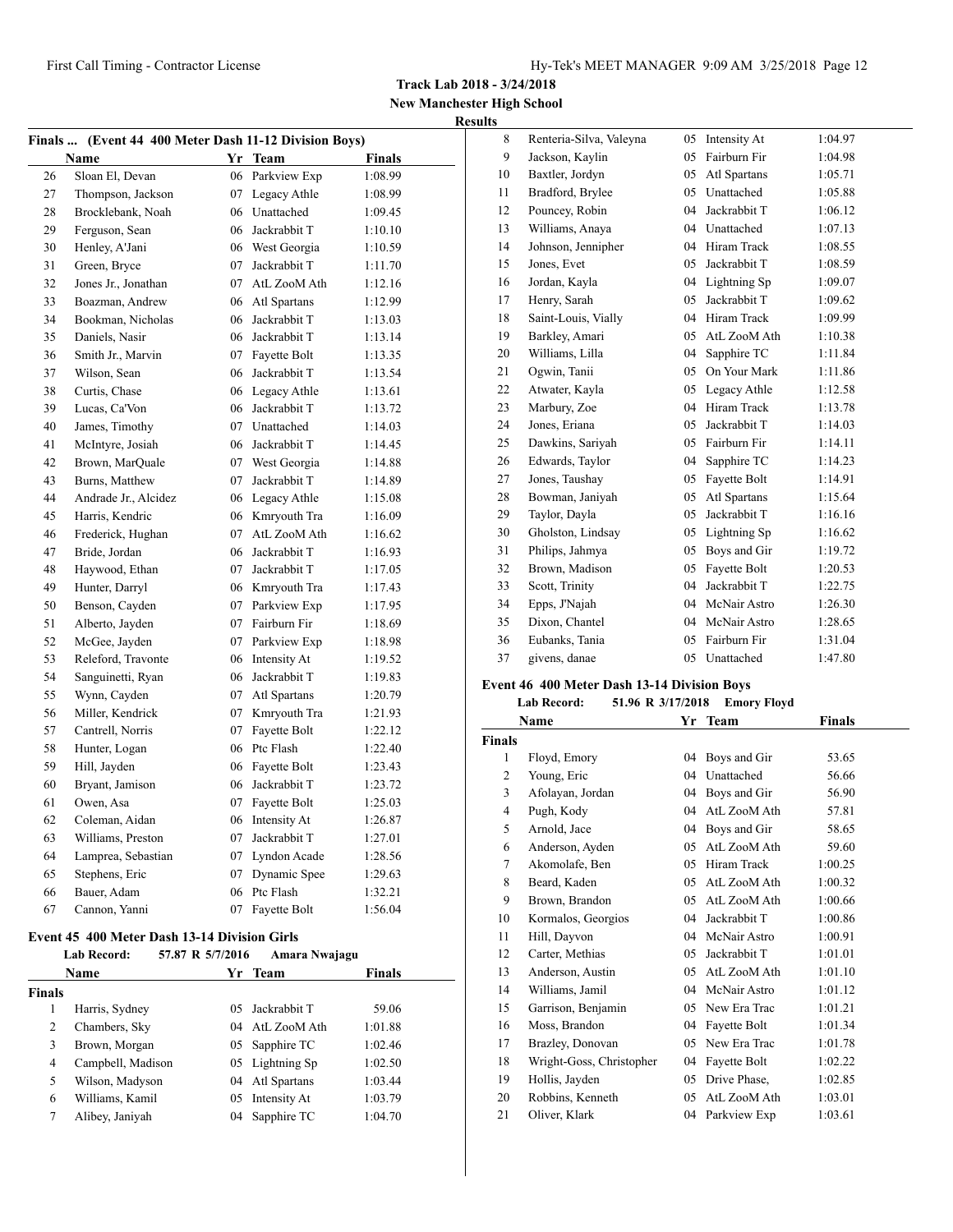**Track Lab 2018 - 3/24/2018**

**New Manchester High School Results**

|    | Finals  (Event 44 400 Meter Dash 11-12 Division Boys) |    |                 |               |  |
|----|-------------------------------------------------------|----|-----------------|---------------|--|
|    | Name                                                  |    | Yr Team         | <b>Finals</b> |  |
| 26 | Sloan El, Devan                                       |    | 06 Parkview Exp | 1:08.99       |  |
| 27 | Thompson, Jackson                                     |    | 07 Legacy Athle | 1:08.99       |  |
| 28 | Brocklebank, Noah                                     |    | 06 Unattached   | 1:09.45       |  |
| 29 | Ferguson, Sean                                        | 06 | Jackrabbit T    | 1:10.10       |  |
| 30 | Henley, A'Jani                                        |    | 06 West Georgia | 1:10.59       |  |
| 31 | Green, Bryce                                          | 07 | Jackrabbit T    | 1:11.70       |  |
| 32 | Jones Jr., Jonathan                                   |    | 07 AtL ZooM Ath | 1:12.16       |  |
| 33 | Boazman, Andrew                                       |    | 06 Atl Spartans | 1:12.99       |  |
| 34 | Bookman, Nicholas                                     | 06 | Jackrabbit T    | 1:13.03       |  |
| 35 | Daniels, Nasir                                        |    | 06 Jackrabbit T | 1:13.14       |  |
| 36 | Smith Jr., Marvin                                     |    | 07 Fayette Bolt | 1:13.35       |  |
| 37 | Wilson, Sean                                          |    | 06 Jackrabbit T | 1:13.54       |  |
| 38 | Curtis, Chase                                         |    | 06 Legacy Athle | 1:13.61       |  |
| 39 | Lucas, Ca'Von                                         |    | 06 Jackrabbit T | 1:13.72       |  |
| 40 | James, Timothy                                        |    | 07 Unattached   | 1:14.03       |  |
| 41 | McIntyre, Josiah                                      |    | 06 Jackrabbit T | 1:14.45       |  |
| 42 | Brown, MarQuale                                       |    | 07 West Georgia | 1:14.88       |  |
| 43 | Burns, Matthew                                        | 07 | Jackrabbit T    | 1:14.89       |  |
| 44 | Andrade Jr., Alcidez                                  |    | 06 Legacy Athle | 1:15.08       |  |
| 45 | Harris, Kendric                                       |    | 06 Kmryouth Tra | 1:16.09       |  |
| 46 | Frederick, Hughan                                     | 07 | AtL ZooM Ath    | 1:16.62       |  |
| 47 | Bride, Jordan                                         |    | 06 Jackrabbit T | 1:16.93       |  |
| 48 | Haywood, Ethan                                        |    | 07 Jackrabbit T | 1:17.05       |  |
| 49 | Hunter, Darryl                                        |    | 06 Kmryouth Tra | 1:17.43       |  |
| 50 | Benson, Cayden                                        |    | 07 Parkview Exp | 1:17.95       |  |
| 51 | Alberto, Jayden                                       |    | 07 Fairburn Fir | 1:18.69       |  |
| 52 | McGee, Jayden                                         |    | 07 Parkview Exp | 1:18.98       |  |
| 53 | Releford, Travonte                                    |    | 06 Intensity At | 1:19.52       |  |
| 54 | Sanguinetti, Ryan                                     |    | 06 Jackrabbit T | 1:19.83       |  |
| 55 | Wynn, Cayden                                          | 07 | Atl Spartans    | 1:20.79       |  |
| 56 | Miller, Kendrick                                      |    | 07 Kmryouth Tra | 1:21.93       |  |
| 57 | Cantrell, Norris                                      |    | 07 Fayette Bolt | 1:22.12       |  |
| 58 | Hunter, Logan                                         |    | 06 Ptc Flash    | 1:22.40       |  |
| 59 | Hill, Jayden                                          |    | 06 Fayette Bolt | 1:23.43       |  |
| 60 | Bryant, Jamison                                       |    | 06 Jackrabbit T | 1:23.72       |  |
| 61 | Owen, Asa                                             |    | 07 Fayette Bolt | 1:25.03       |  |
| 62 | Coleman, Aidan                                        |    | 06 Intensity At | 1:26.87       |  |
| 63 | Williams, Preston                                     | 07 | Jackrabbit T    | 1:27.01       |  |
| 64 | Lamprea, Sebastian                                    |    | 07 Lyndon Acade | 1:28.56       |  |
| 65 | Stephens, Eric                                        | 07 | Dynamic Spee    | 1:29.63       |  |
| 66 | Bauer, Adam                                           |    | 06 Ptc Flash    | 1:32.21       |  |
| 67 | Cannon, Yanni                                         | 07 | Fayette Bolt    | 1:56.04       |  |

# **Event 45 400 Meter Dash 13-14 Division Girls**

| <b>Lab Record:</b> |    | Amara Nwajagu     |                                                                                                                                                          |
|--------------------|----|-------------------|----------------------------------------------------------------------------------------------------------------------------------------------------------|
| Name               |    |                   | <b>Finals</b>                                                                                                                                            |
|                    |    |                   |                                                                                                                                                          |
| Harris, Sydney     |    |                   | 59.06                                                                                                                                                    |
| Chambers, Sky      |    |                   | 1:01.88                                                                                                                                                  |
| Brown, Morgan      |    |                   | 1:02.46                                                                                                                                                  |
|                    |    |                   | 1:02.50                                                                                                                                                  |
| Wilson, Madyson    |    |                   | 1:03.44                                                                                                                                                  |
| Williams, Kamil    | 05 |                   | 1:03.79                                                                                                                                                  |
| Alibey, Janiyah    | 04 |                   | 1:04.70                                                                                                                                                  |
|                    |    | Campbell, Madison | 57.87 R 5/7/2016<br>Yr Team<br>05 Jackrabbit T<br>04 AtL ZooM Ath<br>05 Sapphire TC<br>05 Lightning Sp<br>04 Atl Spartans<br>Intensity At<br>Sapphire TC |

| 8  | Renteria-Silva, Valeyna | 05 | Intensity At | 1:04.97 |
|----|-------------------------|----|--------------|---------|
| 9  | Jackson, Kaylin         | 05 | Fairburn Fir | 1:04.98 |
| 10 | Baxtler, Jordyn         | 05 | Atl Spartans | 1:05.71 |
| 11 | Bradford, Brylee        | 05 | Unattached   | 1:05.88 |
| 12 | Pouncey, Robin          | 04 | Jackrabbit T | 1:06.12 |
| 13 | Williams, Anaya         | 04 | Unattached   | 1:07.13 |
| 14 | Johnson, Jennipher      | 04 | Hiram Track  | 1:08.55 |
| 15 | Jones, Evet             | 05 | Jackrabbit T | 1:08.59 |
| 16 | Jordan, Kayla           | 04 | Lightning Sp | 1:09.07 |
| 17 | Henry, Sarah            | 05 | Jackrabbit T | 1:09.62 |
| 18 | Saint-Louis, Vially     | 04 | Hiram Track  | 1:09.99 |
| 19 | Barkley, Amari          | 05 | AtL ZooM Ath | 1:10.38 |
| 20 | Williams, Lilla         | 04 | Sapphire TC  | 1:11.84 |
| 21 | Ogwin, Tanii            | 05 | On Your Mark | 1:11.86 |
| 22 | Atwater, Kayla          | 05 | Legacy Athle | 1:12.58 |
| 23 | Marbury, Zoe            | 04 | Hiram Track  | 1:13.78 |
| 24 | Jones, Eriana           | 05 | Jackrabbit T | 1:14.03 |
| 25 | Dawkins, Sariyah        | 05 | Fairburn Fir | 1:14.11 |
| 26 | Edwards, Taylor         | 04 | Sapphire TC  | 1:14.23 |
| 27 | Jones, Taushay          | 05 | Fayette Bolt | 1:14.91 |
| 28 | Bowman, Janiyah         | 05 | Atl Spartans | 1:15.64 |
| 29 | Taylor, Dayla           | 05 | Jackrabbit T | 1:16.16 |
| 30 | Gholston, Lindsay       | 05 | Lightning Sp | 1:16.62 |
| 31 | Philips, Jahmya         | 05 | Boys and Gir | 1:19.72 |
| 32 | Brown, Madison          | 05 | Fayette Bolt | 1:20.53 |
| 33 | Scott, Trinity          | 04 | Jackrabbit T | 1:22.75 |
| 34 | Epps, J'Najah           | 04 | McNair Astro | 1:26.30 |
| 35 | Dixon, Chantel          | 04 | McNair Astro | 1:28.65 |
| 36 | Eubanks, Tania          | 05 | Fairburn Fir | 1:31.04 |
| 37 | givens, danae           | 05 | Unattached   | 1:47.80 |

# **Event 46 400 Meter Dash 13-14 Division Boys**

|                | <b>Lab Record:</b><br>51.96 R 3/17/2018 |    | <b>Emory Floyd</b> |         |
|----------------|-----------------------------------------|----|--------------------|---------|
|                | Name                                    |    | Yr Team            | Finals  |
| <b>Finals</b>  |                                         |    |                    |         |
| 1              | Floyd, Emory                            | 04 | Boys and Gir       | 53.65   |
| $\overline{c}$ | Young, Eric                             | 04 | Unattached         | 56.66   |
| 3              | Afolayan, Jordan                        | 04 | Boys and Gir       | 56.90   |
| 4              | Pugh, Kody                              | 04 | AtL ZooM Ath       | 57.81   |
| 5              | Arnold, Jace                            | 04 | Boys and Gir       | 58.65   |
| 6              | Anderson, Ayden                         | 05 | AtL ZooM Ath       | 59.60   |
| 7              | Akomolafe, Ben                          | 05 | Hiram Track        | 1:00.25 |
| 8              | Beard, Kaden                            | 05 | AtL ZooM Ath       | 1:00.32 |
| 9              | Brown, Brandon                          | 05 | AtL ZooM Ath       | 1:00.66 |
| 10             | Kormalos, Georgios                      | 04 | Jackrabbit T       | 1:00.86 |
| 11             | Hill, Dayvon                            | 04 | McNair Astro       | 1:00.91 |
| 12             | Carter, Methias                         | 05 | Jackrabbit T       | 1:01.01 |
| 13             | Anderson, Austin                        | 05 | AtL ZooM Ath       | 1:01.10 |
| 14             | Williams, Jamil                         | 04 | McNair Astro       | 1:01.12 |
| 15             | Garrison, Benjamin                      | 05 | New Era Trac       | 1:01.21 |
| 16             | Moss, Brandon                           | 04 | Fayette Bolt       | 1:01.34 |
| 17             | Brazley, Donovan                        | 05 | New Era Trac       | 1:01.78 |
| 18             | Wright-Goss, Christopher                | 04 | Fayette Bolt       | 1:02.22 |
| 19             | Hollis, Jayden                          | 05 | Drive Phase,       | 1:02.85 |
| 20             | Robbins, Kenneth                        | 05 | AtL ZooM Ath       | 1:03.01 |
| 21             | Oliver, Klark                           | 04 | Parkview Exp       | 1:03.61 |
|                |                                         |    |                    |         |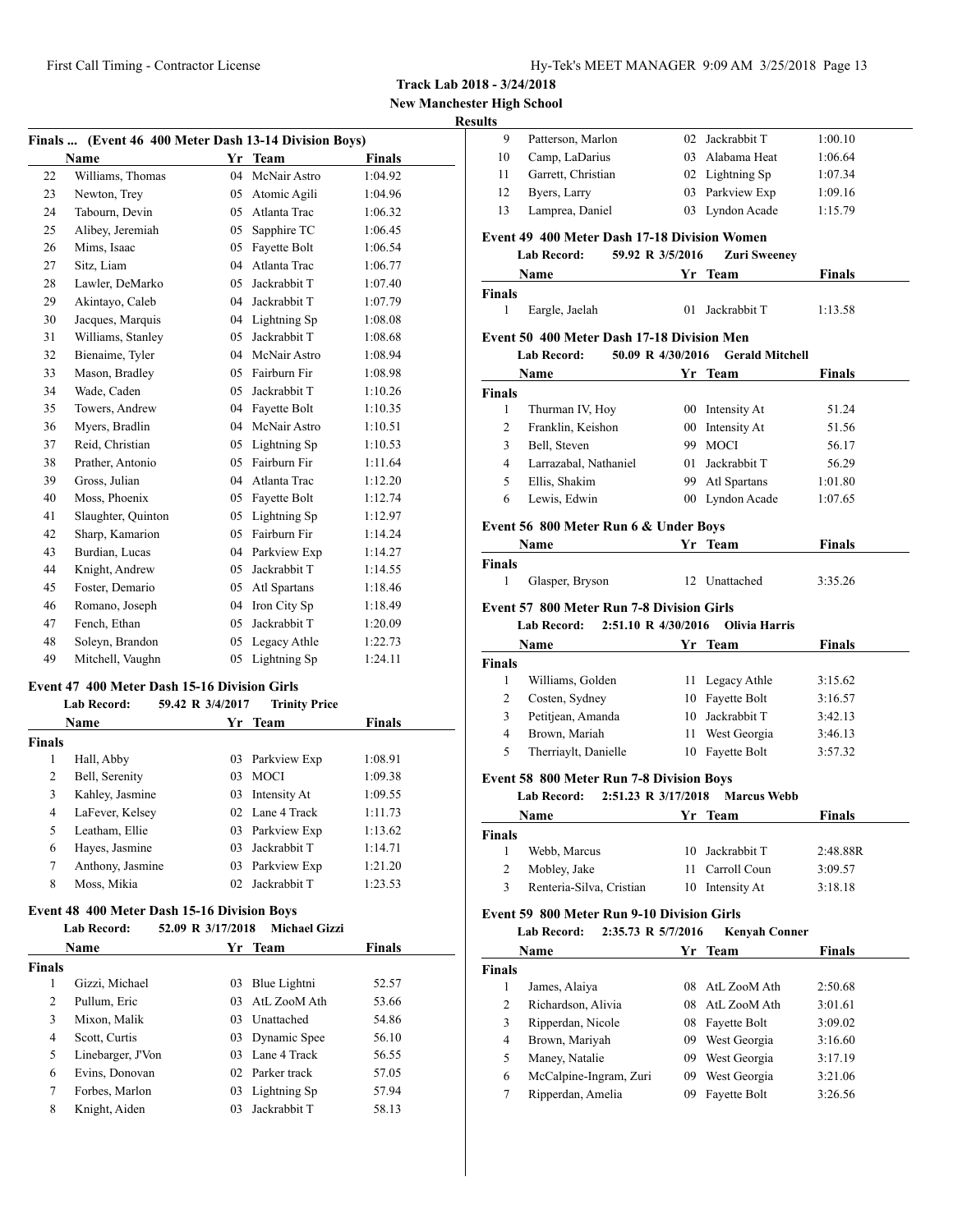**New Manchester High School**

# **Result**

| Finals  (Event 46 400 Meter Dash 13-14 Division Boys) |                    |     |              |               |  |
|-------------------------------------------------------|--------------------|-----|--------------|---------------|--|
|                                                       | <b>Name</b>        | Yr  | <b>Team</b>  | <b>Finals</b> |  |
| 22                                                    | Williams, Thomas   | 04  | McNair Astro | 1:04.92       |  |
| 23                                                    | Newton, Trey       | 05  | Atomic Agili | 1:04.96       |  |
| 24                                                    | Tabourn, Devin     | 05  | Atlanta Trac | 1:06.32       |  |
| 25                                                    | Alibey, Jeremiah   | 05  | Sapphire TC  | 1:06.45       |  |
| 26                                                    | Mims, Isaac        | 05  | Fayette Bolt | 1:06.54       |  |
| 27                                                    | Sitz, Liam         | 04  | Atlanta Trac | 1:06.77       |  |
| 28                                                    | Lawler, DeMarko    | 0.5 | Jackrabbit T | 1:07.40       |  |
| 29                                                    | Akintayo, Caleb    | 04  | Jackrabbit T | 1:07.79       |  |
| 30                                                    | Jacques, Marquis   | 04  | Lightning Sp | 1:08.08       |  |
| 31                                                    | Williams, Stanley  | 05  | Jackrabbit T | 1:08.68       |  |
| 32                                                    | Bienaime, Tyler    | 04  | McNair Astro | 1:08.94       |  |
| 33                                                    | Mason, Bradley     | 0.5 | Fairburn Fir | 1:08.98       |  |
| 34                                                    | Wade, Caden        | 0.5 | Jackrabbit T | 1:10.26       |  |
| 35                                                    | Towers, Andrew     | 04  | Fayette Bolt | 1:10.35       |  |
| 36                                                    | Myers, Bradlin     | 04  | McNair Astro | 1:10.51       |  |
| 37                                                    | Reid, Christian    | 05  | Lightning Sp | 1:10.53       |  |
| 38                                                    | Prather, Antonio   | 0.5 | Fairburn Fir | 1:11.64       |  |
| 39                                                    | Gross, Julian      | 04  | Atlanta Trac | 1:12.20       |  |
| 40                                                    | Moss, Phoenix      | 05  | Fayette Bolt | 1:12.74       |  |
| 41                                                    | Slaughter, Quinton | 05  | Lightning Sp | 1:12.97       |  |
| 42                                                    | Sharp, Kamarion    | 05  | Fairburn Fir | 1:14.24       |  |
| 43                                                    | Burdian, Lucas     | 04  | Parkview Exp | 1:14.27       |  |
| 44                                                    | Knight, Andrew     | 05  | Jackrabbit T | 1:14.55       |  |
| 45                                                    | Foster, Demario    | 05  | Atl Spartans | 1:18.46       |  |
| 46                                                    | Romano, Joseph     | 04  | Iron City Sp | 1:18.49       |  |
| 47                                                    | Fench, Ethan       | 05  | Jackrabbit T | 1:20.09       |  |
| 48                                                    | Soleyn, Brandon    | 05  | Legacy Athle | 1:22.73       |  |
| 49                                                    | Mitchell, Vaughn   | 05  | Lightning Sp | 1:24.11       |  |

# **Event 47 400 Meter Dash 15-16 Division Girls**

|        | <b>Lab Record:</b> | 59.42 R 3/4/2017 | <b>Trinity Price</b> |               |
|--------|--------------------|------------------|----------------------|---------------|
|        | <b>Name</b>        |                  | Yr Team              | <b>Finals</b> |
| Finals |                    |                  |                      |               |
| 1      | Hall, Abby         |                  | 03 Parkview Exp      | 1:08.91       |
| 2      | Bell, Serenity     | 03               | <b>MOCI</b>          | 1:09.38       |
| 3      | Kahley, Jasmine    |                  | 03 Intensity At      | 1:09.55       |
| 4      | LaFever, Kelsey    |                  | 02 Lane 4 Track      | 1:11.73       |
| 5      | Leatham, Ellie     |                  | 03 Parkview Exp      | 1:13.62       |
| 6      | Hayes, Jasmine     | 03               | Jackrabbit T         | 1:14.71       |
| 7      | Anthony, Jasmine   |                  | 03 Parkview Exp      | 1:21.20       |
| 8      | Moss, Mikia        | 02 <sup>1</sup>  | Jackrabbit T         | 1:23.53       |

# **Event 48 400 Meter Dash 15-16 Division Boys**

| Lab Record: | 52.09 R 3/17/2018<br><b>Michael Gizzi</b> |               |
|-------------|-------------------------------------------|---------------|
| <b>Name</b> | Yr Team                                   | <b>Finals</b> |
| Finals      |                                           |               |

|   | Gizzi, Michael    |     | 03 Blue Lightni | 52.57 |
|---|-------------------|-----|-----------------|-------|
| 2 | Pullum, Eric      |     | 03 AtL ZooM Ath | 53.66 |
| 3 | Mixon, Malik      | 03. | Unattached      | 54.86 |
| 4 | Scott, Curtis     |     | 03 Dynamic Spee | 56.10 |
| 5 | Linebarger, J'Von |     | 03 Lane 4 Track | 56.55 |
| 6 | Evins, Donovan    |     | 02 Parker track | 57.05 |
|   | Forbes, Marlon    |     | 03 Lightning Sp | 57.94 |
| 8 | Knight, Aiden     | 03  | Jackrabbit T    | 58.13 |

| uits           |                                                     |    |                        |               |
|----------------|-----------------------------------------------------|----|------------------------|---------------|
| 9              | Patterson, Marlon                                   |    | 02 Jackrabbit T        | 1:00.10       |
| 10             | Camp, LaDarius                                      |    | 03 Alabama Heat        | 1:06.64       |
| 11             | Garrett, Christian                                  |    | 02 Lightning Sp        | 1:07.34       |
| 12             | Byers, Larry                                        |    | 03 Parkview Exp        | 1:09.16       |
| 13             | Lamprea, Daniel                                     |    | 03 Lyndon Acade        | 1:15.79       |
|                | <b>Event 49 400 Meter Dash 17-18 Division Women</b> |    |                        |               |
|                | Lab Record:<br>59.92 R 3/5/2016                     |    | <b>Zuri Sweeney</b>    |               |
|                | Name<br><b>Example 18 Service Street Team</b>       |    |                        | <b>Finals</b> |
| <b>Finals</b>  |                                                     |    |                        |               |
| 1              | Eargle, Jaelah                                      | 01 | Jackrabbit T           | 1:13.58       |
|                | Event 50 400 Meter Dash 17-18 Division Men          |    |                        |               |
|                | 50.09 R 4/30/2016<br>Lab Record:                    |    | <b>Gerald Mitchell</b> |               |
|                | Name                                                |    | Yr Team                | Finals        |
| Finals         |                                                     |    |                        |               |
| 1              | Thurman IV, Hoy                                     |    | 00 Intensity At        | 51.24         |
| 2              | Franklin, Keishon                                   |    | 00 Intensity At        | 51.56         |
| 3              | Bell, Steven                                        |    | 99 MOCI                | 56.17         |
| 4              | Larrazabal, Nathaniel                               |    | 01 Jackrabbit T        | 56.29         |
| 5              | Ellis, Shakim                                       |    | 99 Atl Spartans        | 1:01.80       |
| 6              | Lewis, Edwin                                        |    | 00 Lyndon Acade        | 1:07.65       |
|                |                                                     |    |                        |               |
|                | Event 56 800 Meter Run 6 & Under Boys               |    |                        |               |
|                | Name                                                |    | Yr Team                | Finals        |
| Finals         |                                                     |    |                        |               |
| 1              | Glasper, Bryson                                     |    | 12 Unattached          | 3:35.26       |
|                | <b>Event 57 800 Meter Run 7-8 Division Girls</b>    |    |                        |               |
|                | 2:51.10 R 4/30/2016<br>Lab Record:                  |    | <b>Olivia Harris</b>   |               |
|                | Name                                                |    | Yr Team                | <b>Finals</b> |
| Finals         |                                                     |    |                        |               |
| 1              | Williams, Golden                                    |    | 11 Legacy Athle        | 3:15.62       |
| 2              | Costen, Sydney                                      |    | 10 Fayette Bolt        | 3:16.57       |
| 3              | Petitjean, Amanda                                   |    | 10 Jackrabbit T        | 3:42.13       |
| $\overline{4}$ | Brown, Mariah                                       |    | 11 West Georgia        | 3:46.13       |
| 5              | Therriaylt, Danielle                                |    | 10 Fayette Bolt        | 3:57.32       |
|                |                                                     |    |                        |               |
|                | <b>Event 58 800 Meter Run 7-8 Division Boys</b>     |    |                        |               |
|                | <b>Lab Record:</b><br>2:51.23 R 3/17/2018           |    | <b>Marcus Webb</b>     |               |
|                | <b>Name</b>                                         |    | Yr Team                | Finals        |
| <b>Finals</b>  |                                                     |    |                        |               |
| 1              | Webb, Marcus                                        | 10 | Jackrabbit T           | 2:48.88R      |
| 2              | Mobley, Jake                                        | 11 | Carroll Coun           | 3:09.57       |
| 3              | Renteria-Silva, Cristian                            | 10 | Intensity At           | 3:18.18       |
|                | <b>Event 59 800 Meter Run 9-10 Division Girls</b>   |    |                        |               |
|                | 2:35.73 R 5/7/2016<br><b>Lab Record:</b>            |    | <b>Kenyah Conner</b>   |               |
|                | Name                                                |    | Yr Team                | Finals        |
| <b>Finals</b>  |                                                     |    |                        |               |
| 1              | James, Alaiya                                       | 08 | AtL ZooM Ath           | 2:50.68       |
| 2              | Richardson, Alivia                                  | 08 | AtL ZooM Ath           | 3:01.61       |
| 3              | Ripperdan, Nicole                                   | 08 | Fayette Bolt           | 3:09.02       |
| 4              | Brown, Mariyah                                      | 09 | West Georgia           | 3:16.60       |
| 5              | Maney, Natalie                                      | 09 | West Georgia           | 3:17.19       |
| 6              | McCalpine-Ingram, Zuri                              | 09 | West Georgia           | 3:21.06       |
| 7              | Ripperdan, Amelia                                   | 09 | Fayette Bolt           | 3:26.56       |
|                |                                                     |    |                        |               |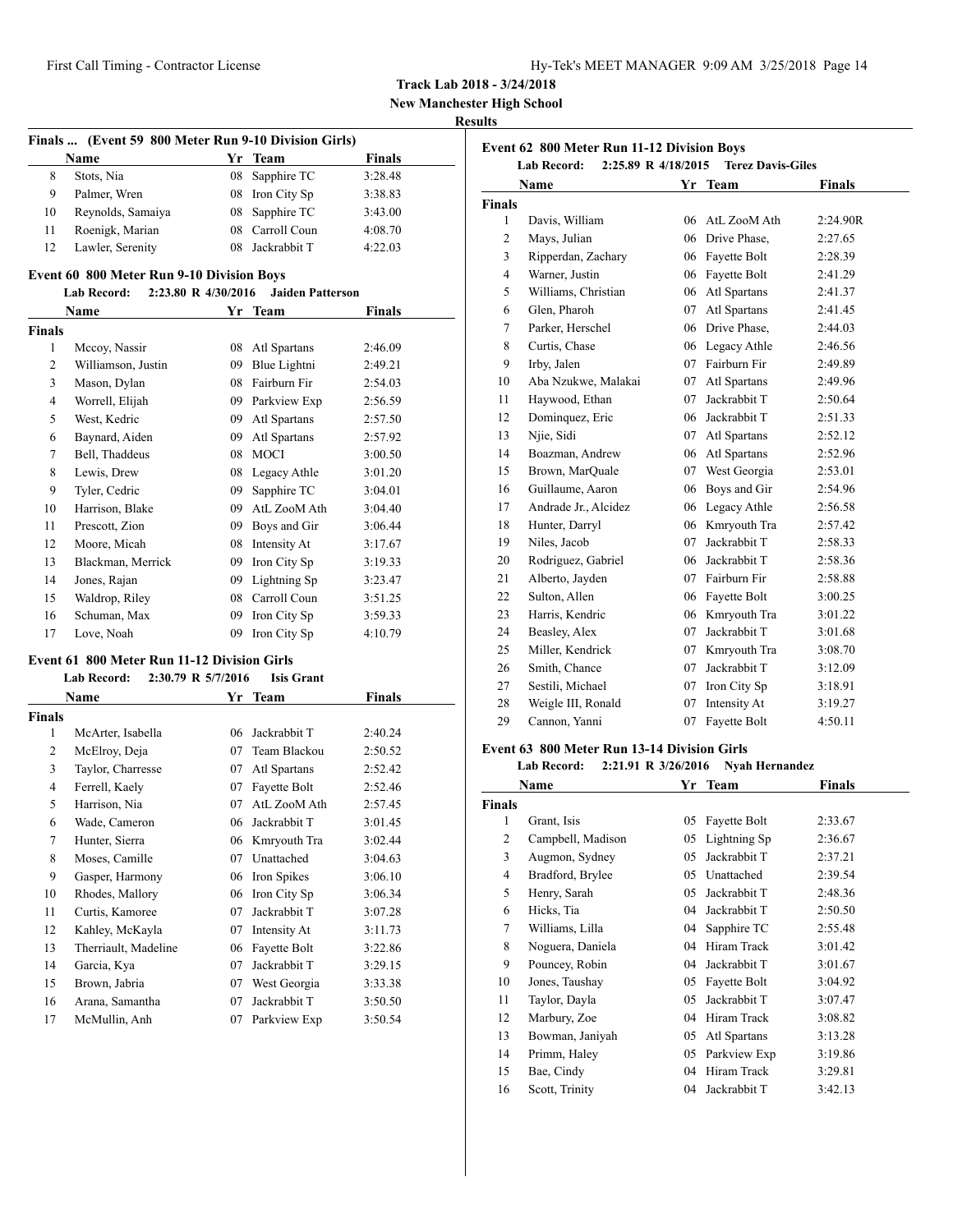| Hy-Tek's MEET MANAGER 9:09 AM 3/25/2018 Page 14 |  |  |  |
|-------------------------------------------------|--|--|--|
|-------------------------------------------------|--|--|--|

**New Manchester High School**

# **Results**

|    | Name              |    | Yr Team         | <b>Finals</b> |
|----|-------------------|----|-----------------|---------------|
| 8  | Stots, Nia        |    | 08 Sapphire TC  | 3:28.48       |
| 9  | Palmer, Wren      |    | 08 Iron City Sp | 3:38.83       |
| 10 | Reynolds, Samaiya |    | 08 Sapphire TC  | 3:43.00       |
| 11 | Roenigk, Marian   |    | 08 Carroll Coun | 4:08.70       |
| 12 | Lawler, Serenity  | 08 | Jackrabbit T    | 4:22.03       |

|                | Name               |    | Yr Team      | Finals  |  |  |
|----------------|--------------------|----|--------------|---------|--|--|
| Finals         |                    |    |              |         |  |  |
| 1              | Mccoy, Nassir      | 08 | Atl Spartans | 2:46.09 |  |  |
| 2              | Williamson, Justin | 09 | Blue Lightni | 2:49.21 |  |  |
| 3              | Mason, Dylan       | 08 | Fairburn Fir | 2:54.03 |  |  |
| $\overline{4}$ | Worrell, Elijah    | 09 | Parkview Exp | 2:56.59 |  |  |
| 5              | West, Kedric       | 09 | Atl Spartans | 2:57.50 |  |  |
| 6              | Baynard, Aiden     | 09 | Atl Spartans | 2:57.92 |  |  |
| 7              | Bell, Thaddeus     | 08 | <b>MOCI</b>  | 3:00.50 |  |  |
| 8              | Lewis, Drew        | 08 | Legacy Athle | 3:01.20 |  |  |
| 9              | Tyler, Cedric      | 09 | Sapphire TC  | 3:04.01 |  |  |
| 10             | Harrison, Blake    | 09 | AtL ZooM Ath | 3:04.40 |  |  |
| 11             | Prescott, Zion     | 09 | Boys and Gir | 3:06.44 |  |  |
| 12             | Moore, Micah       | 08 | Intensity At | 3:17.67 |  |  |
| 13             | Blackman, Merrick  | 09 | Iron City Sp | 3:19.33 |  |  |
| 14             | Jones, Rajan       | 09 | Lightning Sp | 3:23.47 |  |  |
| 15             | Waldrop, Riley     | 08 | Carroll Coun | 3:51.25 |  |  |
| 16             | Schuman, Max       | 09 | Iron City Sp | 3:59.33 |  |  |
| 17             | Love, Noah         | 09 | Iron City Sp | 4:10.79 |  |  |

### **Event 61 800 Meter Run 11-12 Division Girls**

|                | <b>Lab Record:</b>   | 2:30.79 R 5/7/2016 | <b>Isis Grant</b> |         |
|----------------|----------------------|--------------------|-------------------|---------|
|                | Name                 |                    | Yr Team           | Finals  |
| <b>Finals</b>  |                      |                    |                   |         |
| 1              | McArter, Isabella    | 06                 | Jackrabbit T      | 2:40.24 |
| $\overline{2}$ | McElroy, Deja        | 07                 | Team Blackou      | 2:50.52 |
| 3              | Taylor, Charresse    | 07                 | Atl Spartans      | 2:52.42 |
| 4              | Ferrell, Kaely       | 07                 | Fayette Bolt      | 2:52.46 |
| 5              | Harrison, Nia        | 07                 | AtL ZooM Ath      | 2:57.45 |
| 6              | Wade, Cameron        | 06                 | Jackrabbit T      | 3:01.45 |
| 7              | Hunter, Sierra       | 06                 | Kmryouth Tra      | 3:02.44 |
| 8              | Moses, Camille       | 07                 | Unattached        | 3:04.63 |
| 9              | Gasper, Harmony      | 06                 | Iron Spikes       | 3:06.10 |
| 10             | Rhodes, Mallory      | 06                 | Iron City Sp      | 3:06.34 |
| 11             | Curtis, Kamoree      | 07                 | Jackrabbit T      | 3:07.28 |
| 12             | Kahley, McKayla      | 07                 | Intensity At      | 3:11.73 |
| 13             | Therriault, Madeline | 06                 | Fayette Bolt      | 3:22.86 |
| 14             | Garcia, Kya          | 07                 | Jackrabbit T      | 3:29.15 |
| 15             | Brown, Jabria        | 07                 | West Georgia      | 3:33.38 |
| 16             | Arana, Samantha      | 07                 | Jackrabbit T      | 3:50.50 |
| 17             | McMullin, Anh        | 07                 | Parkview Exp      | 3:50.54 |

| Event 62 800 Meter Run 11-12 Division Boys<br><b>Terez Davis-Giles</b><br>2:25.89 R 4/18/2015 |                            |    |                 |               |
|-----------------------------------------------------------------------------------------------|----------------------------|----|-----------------|---------------|
|                                                                                               | <b>Lab Record:</b><br>Name |    | Yr Team         | <b>Finals</b> |
| Finals                                                                                        |                            |    |                 |               |
| $\mathbf{1}$                                                                                  | Davis, William             | 06 | AtL ZooM Ath    | 2:24.90R      |
| $\overline{c}$                                                                                | Mays, Julian               |    | 06 Drive Phase, | 2:27.65       |
| 3                                                                                             | Ripperdan, Zachary         | 06 | Fayette Bolt    | 2:28.39       |
| $\overline{4}$                                                                                | Warner, Justin             | 06 | Fayette Bolt    | 2:41.29       |
| 5                                                                                             | Williams, Christian        |    | 06 Atl Spartans | 2:41.37       |
| 6                                                                                             | Glen, Pharoh               | 07 | Atl Spartans    | 2:41.45       |
| $\overline{7}$                                                                                | Parker, Herschel           |    | 06 Drive Phase, | 2:44.03       |
| 8                                                                                             | Curtis, Chase              | 06 | Legacy Athle    | 2:46.56       |
| 9                                                                                             | Irby, Jalen                | 07 | Fairburn Fir    | 2:49.89       |
| 10                                                                                            | Aba Nzukwe, Malakai        | 07 | Atl Spartans    | 2:49.96       |
| 11                                                                                            | Haywood, Ethan             | 07 | Jackrabbit T    | 2:50.64       |
| 12                                                                                            | Dominquez, Eric            | 06 | Jackrabbit T    | 2:51.33       |
| 13                                                                                            | Njie, Sidi                 |    | 07 Atl Spartans | 2:52.12       |
| 14                                                                                            | Boazman, Andrew            |    | 06 Atl Spartans | 2:52.96       |
| 15                                                                                            | Brown, MarQuale            | 07 | West Georgia    | 2:53.01       |
| 16                                                                                            | Guillaume, Aaron           | 06 | Boys and Gir    | 2:54.96       |
| 17                                                                                            | Andrade Jr., Alcidez       | 06 | Legacy Athle    | 2:56.58       |
| 18                                                                                            | Hunter, Darryl             | 06 | Kmryouth Tra    | 2:57.42       |
| 19                                                                                            | Niles, Jacob               | 07 | Jackrabbit T    | 2:58.33       |
| 20                                                                                            | Rodriguez, Gabriel         | 06 | Jackrabbit T    | 2:58.36       |
| 21                                                                                            | Alberto, Jayden            |    | 07 Fairburn Fir | 2:58.88       |
| 22                                                                                            | Sulton, Allen              | 06 | Fayette Bolt    | 3:00.25       |
| 23                                                                                            | Harris, Kendric            | 06 | Kmryouth Tra    | 3:01.22       |
| 24                                                                                            | Beasley, Alex              | 07 | Jackrabbit T    | 3:01.68       |
| 25                                                                                            | Miller, Kendrick           | 07 | Kmryouth Tra    | 3:08.70       |
| 26                                                                                            | Smith, Chance              | 07 | Jackrabbit T    | 3:12.09       |
| 27                                                                                            | Sestili, Michael           | 07 | Iron City Sp    | 3:18.91       |
| 28                                                                                            | Weigle III, Ronald         | 07 | Intensity At    | 3:19.27       |
| 29                                                                                            | Cannon, Yanni              | 07 | Fayette Bolt    | 4:50.11       |

# **Event 63 800 Meter Run 13-14 Division Girls**

**Lab Record: 2:21.91 R 3/26/2016 Nyah Hernandez**

|                | Name              |    | Yr Team      | Finals  |  |
|----------------|-------------------|----|--------------|---------|--|
| <b>Finals</b>  |                   |    |              |         |  |
| 1              | Grant, Isis       | 05 | Fayette Bolt | 2:33.67 |  |
| $\overline{c}$ | Campbell, Madison | 05 | Lightning Sp | 2:36.67 |  |
| 3              | Augmon, Sydney    | 05 | Jackrabbit T | 2:37.21 |  |
| $\overline{4}$ | Bradford, Brylee  | 05 | Unattached   | 2:39.54 |  |
| 5              | Henry, Sarah      | 05 | Jackrabbit T | 2:48.36 |  |
| 6              | Hicks, Tia        | 04 | Jackrabbit T | 2:50.50 |  |
| 7              | Williams, Lilla   | 04 | Sapphire TC  | 2:55.48 |  |
| 8              | Noguera, Daniela  | 04 | Hiram Track  | 3:01.42 |  |
| 9              | Pouncey, Robin    | 04 | Jackrabbit T | 3:01.67 |  |
| 10             | Jones, Taushay    | 05 | Fayette Bolt | 3:04.92 |  |
| 11             | Taylor, Dayla     | 05 | Jackrabbit T | 3:07.47 |  |
| 12             | Marbury, Zoe      | 04 | Hiram Track  | 3:08.82 |  |
| 13             | Bowman, Janiyah   | 05 | Atl Spartans | 3:13.28 |  |
| 14             | Primm, Haley      | 05 | Parkview Exp | 3:19.86 |  |
| 15             | Bae, Cindy        | 04 | Hiram Track  | 3:29.81 |  |
| 16             | Scott, Trinity    | 04 | Jackrabbit T | 3:42.13 |  |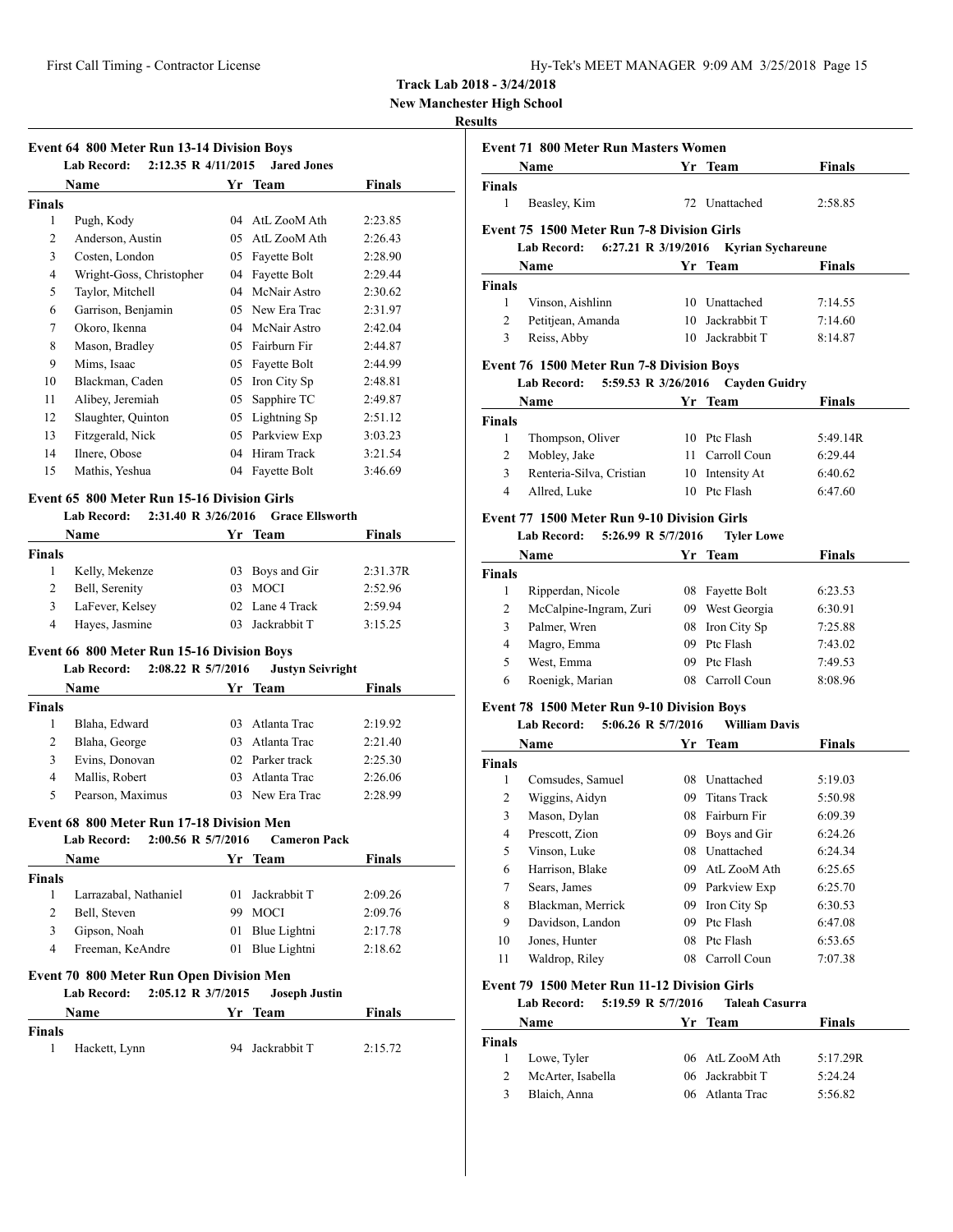| Hy-Tek's MEET MANAGER 9:09 AM 3/25/2018 Page 15 |  |  |  |
|-------------------------------------------------|--|--|--|
|-------------------------------------------------|--|--|--|

**New Manchester High School**

# **Results**

| <b>Event 64 800 Meter Run 13-14 Division Boys</b> |                                                                                                               |    |              |         |  |  |
|---------------------------------------------------|---------------------------------------------------------------------------------------------------------------|----|--------------|---------|--|--|
|                                                   | $2:12.35 \text{ R}$ 4/11/2015<br><b>Lab Record:</b><br><b>Jared Jones</b><br><b>Finals</b><br>Name<br>Yr Team |    |              |         |  |  |
| Finals                                            |                                                                                                               |    |              |         |  |  |
| 1                                                 | Pugh, Kody                                                                                                    | 04 | AtL ZooM Ath | 2:23.85 |  |  |
| 2                                                 | Anderson, Austin                                                                                              | 05 | AtL ZooM Ath | 2:26.43 |  |  |
| 3                                                 | Costen, London                                                                                                | 05 | Fayette Bolt | 2:28.90 |  |  |
| 4                                                 | Wright-Goss, Christopher                                                                                      | 04 | Fayette Bolt | 2:29.44 |  |  |
| 5                                                 | Taylor, Mitchell                                                                                              | 04 | McNair Astro | 2:30.62 |  |  |
| 6                                                 | Garrison, Benjamin                                                                                            | 05 | New Era Trac | 2:31.97 |  |  |
| 7                                                 | Okoro, Ikenna                                                                                                 | 04 | McNair Astro | 2:42.04 |  |  |
| 8                                                 | Mason, Bradley                                                                                                | 05 | Fairburn Fir | 2:44.87 |  |  |
| 9                                                 | Mims, Isaac                                                                                                   | 05 | Fayette Bolt | 2:44.99 |  |  |
| 10                                                | Blackman, Caden                                                                                               | 05 | Iron City Sp | 2:48.81 |  |  |
| 11                                                | Alibey, Jeremiah                                                                                              | 05 | Sapphire TC  | 2:49.87 |  |  |
| 12                                                | Slaughter, Quinton                                                                                            | 05 | Lightning Sp | 2:51.12 |  |  |
| 13                                                | Fitzgerald, Nick                                                                                              | 05 | Parkview Exp | 3:03.23 |  |  |
| 14                                                | Ilnere, Obose                                                                                                 | 04 | Hiram Track  | 3:21.54 |  |  |
| 15                                                | Mathis, Yeshua                                                                                                | 04 | Fayette Bolt | 3:46.69 |  |  |
|                                                   |                                                                                                               |    |              |         |  |  |

# **Event 65 800 Meter Run 15-16 Division Girls**

# **Lab Record: 2:31.40 R 3/26/2016 Grace Ellsworth**

|        | Name            | Yr Team         | <b>Finals</b> |  |
|--------|-----------------|-----------------|---------------|--|
| Finals |                 |                 |               |  |
|        | Kelly, Mekenze  | 03 Boys and Gir | 2:31.37R      |  |
|        | Bell, Serenity  | 03 MOCI         | 2:52.96       |  |
|        | LaFever, Kelsey | 02 Lane 4 Track | 2:59.94       |  |
|        | Hayes, Jasmine  | 03 Jackrabbit T | 3:15.25       |  |

# **Event 66 800 Meter Run 15-16 Division Boys**

### **Lab Record: 2:08.22 R 5/7/2016 Justyn Seivright**

|               | Name             |         | Yr Team         | <b>Finals</b> |  |
|---------------|------------------|---------|-----------------|---------------|--|
| <b>Finals</b> |                  |         |                 |               |  |
|               | Blaha, Edward    | 03.     | Atlanta Trac    | 2:19.92       |  |
| 2             | Blaha, George    | $^{03}$ | Atlanta Trac    | 2:21.40       |  |
| 3             | Evins, Donovan   |         | 02 Parker track | 2:25.30       |  |
| 4             | Mallis, Robert   | 03      | Atlanta Trac    | 2:26.06       |  |
| 5             | Pearson, Maximus |         | 03 New Era Trac | 2:28.99       |  |

# **Event 68 800 Meter Run 17-18 Division Men**

# **Lab Record: 2:00.56 R 5/7/2016 Cameron Pack**

|                                                 | <b>Name</b>                              |         | Yr Team              | <b>Finals</b> |  |
|-------------------------------------------------|------------------------------------------|---------|----------------------|---------------|--|
| <b>Finals</b>                                   |                                          |         |                      |               |  |
|                                                 | Larrazabal, Nathaniel                    | $^{01}$ | Jackrabbit T         | 2:09.26       |  |
| 2                                               | Bell, Steven                             | 99      | <b>MOCI</b>          | 2:09.76       |  |
| 3                                               | Gipson, Noah                             | 01      | Blue Lightni         | 2:17.78       |  |
| 4                                               | Freeman, KeAndre                         | 01      | Blue Lightni         | 2:18.62       |  |
| <b>Event 70 800 Meter Run Open Division Men</b> |                                          |         |                      |               |  |
|                                                 | 2:05.12 R 3/7/2015<br><b>Lab Record:</b> |         | <b>Joseph Justin</b> |               |  |

|               | Name          | Yr Team         | <b>Finals</b> |
|---------------|---------------|-----------------|---------------|
| <b>Finals</b> | Hackett, Lynn | 94 Jackrabbit T | 2:15.72       |

|               | <b>Event 71 800 Meter Run Masters Women</b>        |    |                                 |               |
|---------------|----------------------------------------------------|----|---------------------------------|---------------|
|               | Name                                               |    | Yr Team                         | <b>Finals</b> |
| <b>Finals</b> |                                                    |    |                                 |               |
| $\mathbf{1}$  | Beasley, Kim                                       |    | 72 Unattached                   | 2:58.85       |
|               | <b>Event 75 1500 Meter Run 7-8 Division Girls</b>  |    |                                 |               |
|               | <b>Lab Record:</b><br>6:27.21 R 3/19/2016          |    | <b>Kyrian Sychareune</b>        |               |
|               | Name                                               |    | Yr Team                         | Finals        |
| Finals        |                                                    |    |                                 |               |
| 1             | Vinson, Aishlinn                                   |    | 10 Unattached                   | 7:14.55       |
| 2             | Petitjean, Amanda                                  |    | 10 Jackrabbit T                 | 7:14.60       |
| 3             | Reiss, Abby                                        |    | 10 Jackrabbit T                 | 8:14.87       |
|               |                                                    |    |                                 |               |
|               | <b>Event 76 1500 Meter Run 7-8 Division Boys</b>   |    |                                 |               |
|               | 5:59.53 R 3/26/2016<br>Lab Record:                 |    | <b>Cayden Guidry</b>            |               |
|               | Name                                               |    | Yr Team                         | Finals        |
| Finals        |                                                    |    |                                 |               |
| 1             | Thompson, Oliver                                   |    | 10 Ptc Flash                    | 5:49.14R      |
| 2             | Mobley, Jake                                       |    | 11 Carroll Coun                 | 6:29.44       |
| 3             | Renteria-Silva, Cristian                           |    | 10 Intensity At<br>10 Ptc Flash | 6:40.62       |
| 4             | Allred, Luke                                       |    |                                 | 6:47.60       |
|               | <b>Event 77 1500 Meter Run 9-10 Division Girls</b> |    |                                 |               |
|               | 5:26.99 R 5/7/2016<br><b>Lab Record:</b>           |    | <b>Tyler Lowe</b>               |               |
|               | Name                                               |    | Yr Team                         | <b>Finals</b> |
| <b>Finals</b> |                                                    |    |                                 |               |
| 1             | Ripperdan, Nicole                                  |    | 08 Fayette Bolt                 | 6:23.53       |
| 2             | McCalpine-Ingram, Zuri                             |    | 09 West Georgia                 | 6:30.91       |
| 3             | Palmer, Wren                                       |    | 08 Iron City Sp                 | 7:25.88       |
| 4             | Magro, Emma                                        |    | 09 Ptc Flash                    | 7:43.02       |
| 5             | West, Emma                                         |    | 09 Ptc Flash                    | 7:49.53       |
| 6             | Roenigk, Marian                                    |    | 08 Carroll Coun                 | 8:08.96       |
|               | <b>Event 78 1500 Meter Run 9-10 Division Boys</b>  |    |                                 |               |
|               | <b>Lab Record:</b><br>5:06.26 R 5/7/2016           |    | <b>William Davis</b>            |               |
|               | Name                                               |    | Yr Team                         | <b>Finals</b> |
| Finals        |                                                    |    |                                 |               |
| 1             | Comsudes, Samuel                                   |    | 08 Unattached                   | 5:19.03       |
| 2             | Wiggins, Aidyn                                     |    | 09 Titans Track                 | 5:50.98       |
| 3             | Mason, Dylan                                       |    | 08 Fairburn Fir                 | 6:09.39       |
| 4             | Prescott, Zion                                     | 09 | Bovs and Gir                    | 6:24.26       |
| 5             | Vinson, Luke                                       | 08 | Unattached                      | 6:24.34       |
| 6             | Harrison, Blake                                    |    | 09 AtL ZooM Ath                 | 6:25.65       |
| 7             | Sears, James                                       |    | 09 Parkview Exp                 | 6:25.70       |
| 8             | Blackman, Merrick                                  |    | 09 Iron City Sp                 | 6:30.53       |
| 9             | Davidson, Landon                                   |    | 09 Ptc Flash                    | 6:47.08       |
| 10            | Jones, Hunter                                      |    | 08 Ptc Flash                    | 6:53.65       |
| 11            | Waldrop, Riley                                     |    | 08 Carroll Coun                 | 7:07.38       |
|               |                                                    |    |                                 |               |
|               | Event 79 1500 Meter Run 11-12 Division Girls       |    |                                 |               |
|               | 5:19.59 R 5/7/2016<br>Lab Record:                  |    | <b>Taleah Casurra</b>           |               |
|               | Name                                               |    | Yr Team                         | <b>Finals</b> |
| <b>Finals</b> |                                                    |    |                                 |               |
| 1             | Lowe, Tyler                                        |    | 06 AtL ZooM Ath                 | 5:17.29R      |
| $\mathbf{2}$  | McArter, Isabella                                  |    | 06 Jackrabbit T                 | 5:24.24       |
| 3             | Blaich, Anna                                       |    | 06 Atlanta Trac                 | 5:56.82       |
|               |                                                    |    |                                 |               |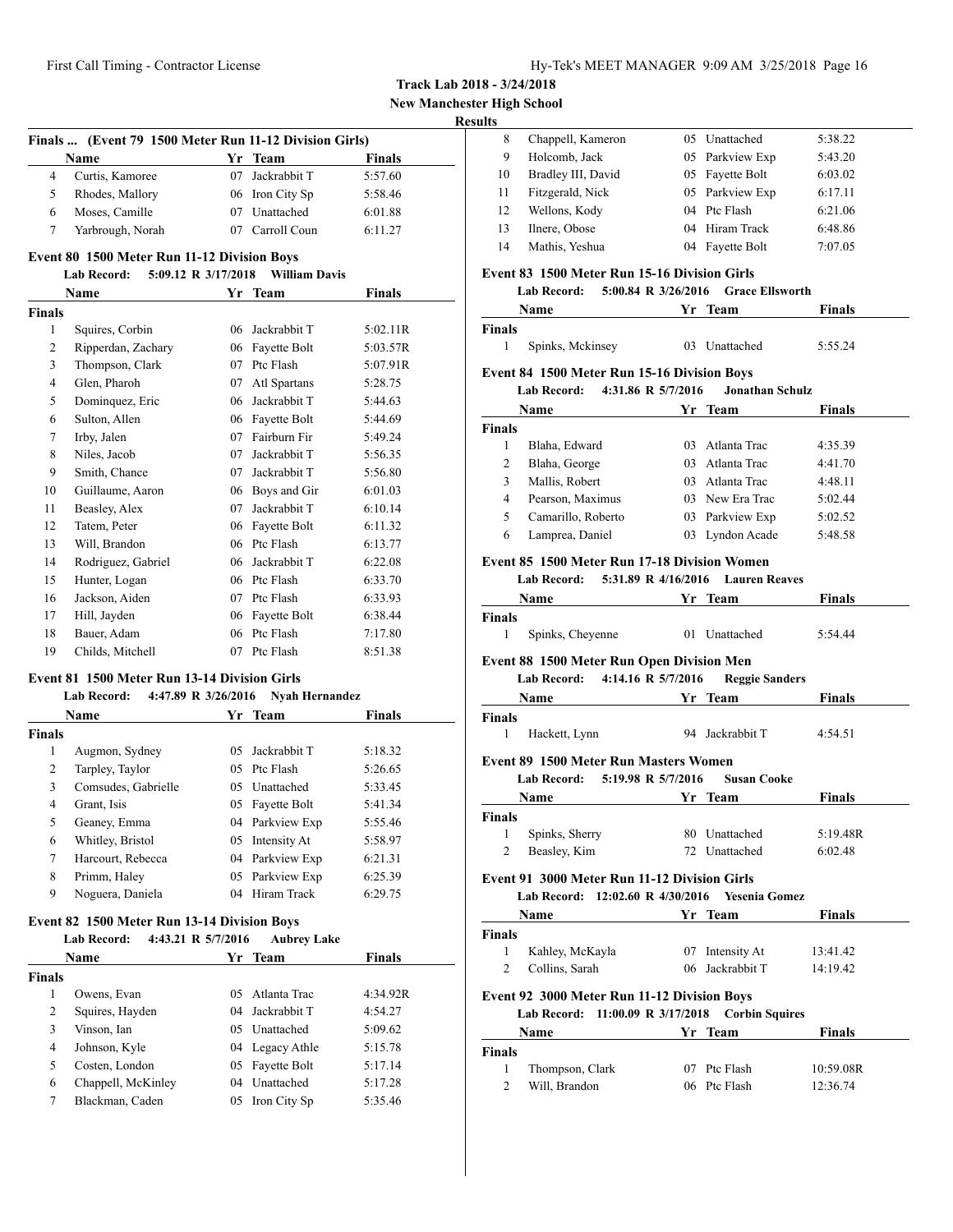**New Manchester High School**

# **Results**

| Finals  (Event 79 1500 Meter Run 11-12 Division Girls) |                  |    |                 |               |
|--------------------------------------------------------|------------------|----|-----------------|---------------|
|                                                        | <b>Name</b>      |    | Yr Team         | <b>Finals</b> |
|                                                        | Curtis, Kamoree  |    | 07 Jackrabbit T | 5:57.60       |
| 5                                                      | Rhodes, Mallory  |    | 06 Iron City Sp | 5:58.46       |
| 6                                                      | Moses, Camille   | 07 | Unattached      | 6:01.88       |
|                                                        | Yarbrough, Norah |    | 07 Carroll Coun | 6:11.27       |
|                                                        |                  |    |                 |               |

# **Event 80 1500 Meter Run 11-12 Division Boys**

# **Lab Record: 5:09.12 R 3/17/2018 William Davis**

| Name           |                    | Yr | <b>Team</b>  | Finals   |
|----------------|--------------------|----|--------------|----------|
| <b>Finals</b>  |                    |    |              |          |
| 1              | Squires, Corbin    | 06 | Jackrabbit T | 5:02.11R |
| 2              | Ripperdan, Zachary | 06 | Fayette Bolt | 5:03.57R |
| 3              | Thompson, Clark    | 07 | Ptc Flash    | 5:07.91R |
| $\overline{4}$ | Glen, Pharoh       | 07 | Atl Spartans | 5:28.75  |
| 5              | Dominquez, Eric    | 06 | Jackrabbit T | 5:44.63  |
| 6              | Sulton, Allen      | 06 | Fayette Bolt | 5:44.69  |
| 7              | Irby, Jalen        | 07 | Fairburn Fir | 5:49.24  |
| 8              | Niles, Jacob       | 07 | Jackrabbit T | 5:56.35  |
| 9              | Smith, Chance      | 07 | Jackrabbit T | 5:56.80  |
| 10             | Guillaume, Aaron   | 06 | Boys and Gir | 6:01.03  |
| 11             | Beasley, Alex      | 07 | Jackrabbit T | 6:10.14  |
| 12             | Tatem, Peter       | 06 | Fayette Bolt | 6:11.32  |
| 13             | Will, Brandon      | 06 | Ptc Flash    | 6:13.77  |
| 14             | Rodriguez, Gabriel | 06 | Jackrabbit T | 6:22.08  |
| 15             | Hunter, Logan      | 06 | Ptc Flash    | 6:33.70  |
| 16             | Jackson, Aiden     | 07 | Ptc Flash    | 6:33.93  |
| 17             | Hill, Jayden       | 06 | Fayette Bolt | 6:38.44  |
| 18             | Bauer, Adam        | 06 | Ptc Flash    | 7:17.80  |
| 19             | Childs, Mitchell   | 07 | Ptc Flash    | 8:51.38  |

# **Event 81 1500 Meter Run 13-14 Division Girls**

# **Lab Record: 4:47.89 R 3/26/2016 Nyah Hernandez**

|               | <b>Name</b>         |         | Yr Team         | <b>Finals</b> |  |
|---------------|---------------------|---------|-----------------|---------------|--|
| <b>Finals</b> |                     |         |                 |               |  |
| 1             | Augmon, Sydney      | 05.     | Jackrabbit T    | 5:18.32       |  |
| 2             | Tarpley, Taylor     |         | 05 Ptc Flash    | 5:26.65       |  |
| 3             | Comsudes, Gabrielle | 05      | Unattached      | 5:33.45       |  |
| 4             | Grant, Isis         |         | 05 Fayette Bolt | 5:41.34       |  |
| 5             | Geaney, Emma        |         | 04 Parkview Exp | 5:55.46       |  |
| 6             | Whitley, Bristol    | 05      | Intensity At    | 5:58.97       |  |
| 7             | Harcourt, Rebecca   |         | 04 Parkview Exp | 6:21.31       |  |
| 8             | Primm, Haley        |         | 05 Parkview Exp | 6:25.39       |  |
| 9             | Noguera, Daniela    | $^{04}$ | Hiram Track     | 6:29.75       |  |

# **Event 82 1500 Meter Run 13-14 Division Boys**

|        | Name               |     | Yr Team         | <b>Finals</b> |
|--------|--------------------|-----|-----------------|---------------|
| Finals |                    |     |                 |               |
| 1      | Owens, Evan        | 05. | Atlanta Trac    | 4:34.92R      |
| 2      | Squires, Hayden    |     | 04 Jackrabbit T | 4:54.27       |
| 3      | Vinson, Ian        | 05. | Unattached      | 5:09.62       |
| 4      | Johnson, Kyle      |     | 04 Legacy Athle | 5:15.78       |
| 5      | Costen, London     | 05  | Fayette Bolt    | 5:17.14       |
| 6      | Chappell, McKinley |     | 04 Unattached   | 5:17.28       |
| 7      | Blackman, Caden    | 05  | Iron City Sp    | 5:35.46       |

| LJ. |                    |    |                 |         |
|-----|--------------------|----|-----------------|---------|
| 8   | Chappell, Kameron  |    | 05 Unattached   | 5:38.22 |
| 9   | Holcomb, Jack      |    | 05 Parkview Exp | 5:43.20 |
| 10  | Bradley III, David |    | 05 Fayette Bolt | 6:03.02 |
| 11  | Fitzgerald, Nick   |    | 05 Parkview Exp | 6:17.11 |
| 12  | Wellons, Kody      |    | 04 Ptc Flash    | 6:21.06 |
| 13  | Ilnere, Obose      |    | 04 Hiram Track  | 6:48.86 |
| 14  | Mathis, Yeshua     | 04 | Fayette Bolt    | 7:07.05 |
|     |                    |    |                 |         |

### **Event 83 1500 Meter Run 15-16 Division Girls**

**Lab Record: 5:00.84 R 3/26/2016 Grace Ellsworth**

|                | Lab Record: 5:00.84 R 3/26/2016                     |                              | <b>Grace Ellsworth</b>                                                                                                                                                                                                             |               |
|----------------|-----------------------------------------------------|------------------------------|------------------------------------------------------------------------------------------------------------------------------------------------------------------------------------------------------------------------------------|---------------|
|                | Name                                                | <u><b>1986 - Yr Team</b></u> |                                                                                                                                                                                                                                    | Finals        |
| <b>Finals</b>  |                                                     |                              |                                                                                                                                                                                                                                    |               |
| $\mathbf{1}$   | Spinks, Mckinsey                                    |                              | 03 Unattached                                                                                                                                                                                                                      | 5:55.24       |
|                | <b>Event 84 1500 Meter Run 15-16 Division Boys</b>  |                              |                                                                                                                                                                                                                                    |               |
|                | Lab Record: 4:31.86 R 5/7/2016                      |                              | <b>Jonathan Schulz</b>                                                                                                                                                                                                             |               |
|                | <b>Name</b>                                         |                              | Yr Team                                                                                                                                                                                                                            | <b>Finals</b> |
| Finals         |                                                     |                              |                                                                                                                                                                                                                                    |               |
| $\mathbf{1}$   | Blaha, Edward                                       |                              | 03 Atlanta Trac                                                                                                                                                                                                                    | 4:35.39       |
| $\overline{2}$ | Blaha, George                                       |                              | 03 Atlanta Trac                                                                                                                                                                                                                    | 4:41.70       |
| 3              | Mallis, Robert                                      |                              | 03 Atlanta Trac                                                                                                                                                                                                                    | 4:48.11       |
| $\overline{4}$ | Pearson, Maximus                                    |                              | 03 New Era Trac                                                                                                                                                                                                                    | 5:02.44       |
| 5              | Camarillo, Roberto                                  |                              | 03 Parkview Exp                                                                                                                                                                                                                    | 5:02.52       |
| 6              | Lamprea, Daniel                                     |                              | 03 Lyndon Acade                                                                                                                                                                                                                    | 5:48.58       |
|                | Event 85 1500 Meter Run 17-18 Division Women        |                              |                                                                                                                                                                                                                                    |               |
|                | Lab Record: 5:31.89 R 4/16/2016                     |                              | <b>Lauren Reaves</b>                                                                                                                                                                                                               |               |
|                | Name Yr Team                                        |                              |                                                                                                                                                                                                                                    | <b>Finals</b> |
| Finals         |                                                     |                              |                                                                                                                                                                                                                                    |               |
| 1              | Spinks, Cheyenne                                    |                              | 01 Unattached                                                                                                                                                                                                                      | 5:54.44       |
|                | <b>Event 88 1500 Meter Run Open Division Men</b>    |                              |                                                                                                                                                                                                                                    |               |
|                | Lab Record: 4:14.16 R 5/7/2016                      |                              | <b>Reggie Sanders</b>                                                                                                                                                                                                              |               |
|                | Name Yr Team                                        |                              |                                                                                                                                                                                                                                    | <b>Finals</b> |
| Finals         |                                                     |                              |                                                                                                                                                                                                                                    |               |
|                | $1 \quad$<br>Hackett, Lynn                          |                              | 94 Jackrabbit T                                                                                                                                                                                                                    | 4:54.51       |
|                | Event 89 1500 Meter Run Masters Women               |                              |                                                                                                                                                                                                                                    |               |
|                | Lab Record: 5:19.98 R 5/7/2016                      |                              | <b>Susan Cooke</b>                                                                                                                                                                                                                 |               |
|                | Name                                                |                              | <b>Example 18 Service Startup</b> 19 Service Startup 19 Service Startup 19 Service Startup 19 Service Startup 19 Service Startup 19 Service Startup 19 Service Startup 19 Service Startup 19 Service Startup 19 Service Startup 19 | Finals        |
| <b>Finals</b>  |                                                     |                              |                                                                                                                                                                                                                                    |               |
| 1              | Spinks, Sherry                                      |                              | 80 Unattached                                                                                                                                                                                                                      | 5:19.48R      |
| $\overline{2}$ | Beasley, Kim                                        |                              | 72 Unattached                                                                                                                                                                                                                      | 6:02.48       |
|                | <b>Event 91 3000 Meter Run 11-12 Division Girls</b> |                              |                                                                                                                                                                                                                                    |               |
|                | Lab Record: 12:02.60 R 4/30/2016 Yesenia Gomez      |                              |                                                                                                                                                                                                                                    |               |
|                | Name Yr Team                                        |                              |                                                                                                                                                                                                                                    | <b>Finals</b> |
| <b>Finals</b>  |                                                     |                              |                                                                                                                                                                                                                                    |               |
| $\mathbf{1}$   | Kahley, McKayla                                     |                              | 07 Intensity At                                                                                                                                                                                                                    | 13:41.42      |
| $\overline{2}$ | Collins, Sarah                                      |                              | 06 Jackrabbit T 14:19.42                                                                                                                                                                                                           |               |
|                |                                                     |                              |                                                                                                                                                                                                                                    |               |
|                | Event 92 3000 Meter Run 11-12 Division Boys         |                              |                                                                                                                                                                                                                                    |               |
|                | Lab Record: 11:00.09 R 3/17/2018 Corbin Squires     |                              |                                                                                                                                                                                                                                    |               |
|                | Name                                                |                              | Yr Team                                                                                                                                                                                                                            | Finals        |
| <b>Finals</b>  |                                                     |                              |                                                                                                                                                                                                                                    |               |
| $\mathbf{1}$   | Thompson, Clark                                     |                              | 07 Ptc Flash                                                                                                                                                                                                                       | 10:59.08R     |
| $\overline{c}$ | Will, Brandon                                       |                              | 06 Ptc Flash                                                                                                                                                                                                                       | 12:36.74      |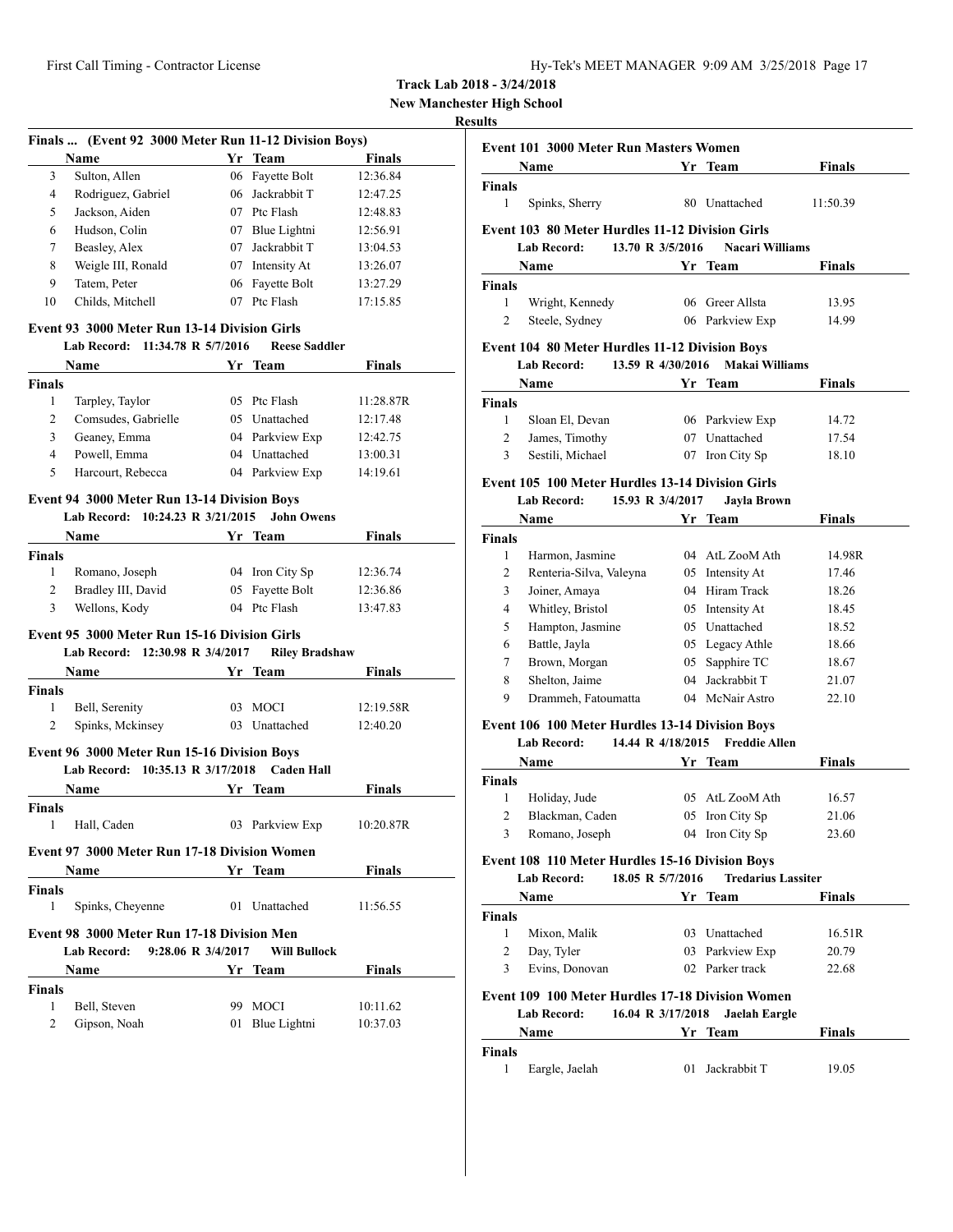**New Manchester High School**

# **Results**

|                | Finals  (Event 92 3000 Meter Run 11-12 Division Boys) |         |                       |               |
|----------------|-------------------------------------------------------|---------|-----------------------|---------------|
|                | Name                                                  |         | Yr Team               | <b>Finals</b> |
| 3              | Sulton, Allen                                         |         | 06 Fayette Bolt       | 12:36.84      |
| 4              | Rodriguez, Gabriel                                    |         | 06 Jackrabbit T       | 12:47.25      |
| 5              | Jackson, Aiden                                        |         | 07 Ptc Flash          | 12:48.83      |
| 6              | Hudson, Colin                                         |         | 07 Blue Lightni       | 12:56.91      |
| 7              | Beasley, Alex                                         | 07      | Jackrabbit T          | 13:04.53      |
| 8              | Weigle III, Ronald                                    | 07      | Intensity At          | 13:26.07      |
| 9              | Tatem, Peter                                          | 06      | Fayette Bolt          | 13:27.29      |
| 10             | Childs, Mitchell                                      |         | 07 Ptc Flash          | 17:15.85      |
|                | Event 93 3000 Meter Run 13-14 Division Girls          |         |                       |               |
|                | Lab Record: 11:34.78 R 5/7/2016                       |         | <b>Reese Saddler</b>  |               |
|                | Name                                                  |         | Yr Team               | Finals        |
| <b>Finals</b>  |                                                       |         |                       |               |
| 1              | Tarpley, Taylor                                       |         | 05 Ptc Flash          | 11:28.87R     |
| 2              | Comsudes, Gabrielle                                   |         | 05 Unattached         | 12:17.48      |
| 3              | Geaney, Emma                                          |         | 04 Parkview Exp       | 12:42.75      |
| $\overline{4}$ | Powell, Emma                                          | 04      | Unattached            | 13:00.31      |
| 5              | Harcourt, Rebecca                                     |         | 04 Parkview Exp       | 14:19.61      |
|                | <b>Event 94 3000 Meter Run 13-14 Division Boys</b>    |         |                       |               |
|                | Lab Record: 10:24.23 R 3/21/2015                      |         | <b>John Owens</b>     |               |
|                | Name                                                  |         | Yr Team               | <b>Finals</b> |
| Finals         |                                                       |         |                       |               |
| 1              | Romano, Joseph                                        |         | 04 Iron City Sp       | 12:36.74      |
| 2              | Bradley III, David                                    | 05      | Fayette Bolt          | 12:36.86      |
| 3              | Wellons, Kody                                         |         | 04 Ptc Flash          | 13:47.83      |
|                | Event 95 3000 Meter Run 15-16 Division Girls          |         |                       |               |
|                | Lab Record: 12:30.98 R 3/4/2017                       |         | <b>Riley Bradshaw</b> |               |
|                | <b>Name</b>                                           | Yr Team |                       | <b>Finals</b> |
| <b>Finals</b>  |                                                       |         |                       |               |
| 1              | Bell, Serenity                                        | 03      | MOCI                  | 12:19.58R     |
| 2              | Spinks, Mckinsey                                      |         | 03 Unattached         | 12:40.20      |
|                |                                                       |         |                       |               |
|                | Event 96 3000 Meter Run 15-16 Division Boys           |         |                       |               |
|                | Lab Record: 10:35.13 R 3/17/2018                      |         | <b>Caden Hall</b>     |               |
|                | Name                                                  |         | Yr Team               | <b>Finals</b> |
| Finals         |                                                       |         |                       |               |
| 1              | Hall, Caden                                           |         | 03 Parkview Exp       | 10:20.87R     |
|                | <b>Event 97 3000 Meter Run 17-18 Division Women</b>   |         |                       |               |
|                | Name                                                  |         | Yr Team               | <b>Finals</b> |
| <b>Finals</b>  |                                                       |         |                       |               |
| 1              | Spinks, Cheyenne                                      |         | 01 Unattached         | 11:56.55      |
|                | Event 98 3000 Meter Run 17-18 Division Men            |         |                       |               |
|                | 9:28.06 R 3/4/2017<br><b>Lab Record:</b>              |         | <b>Will Bullock</b>   |               |
|                | Name                                                  |         | Yr Team               | Finals        |
| <b>Finals</b>  |                                                       |         |                       |               |
| 1              | Bell, Steven                                          | 99      | <b>MOCI</b>           | 10:11.62      |
| 2              | Gipson, Noah                                          | 01      | Blue Lightni          | 10:37.03      |
|                |                                                       |         |                       |               |

|                    | Name                                                                                   |                   | Yr Team                           | <b>Finals</b>  |
|--------------------|----------------------------------------------------------------------------------------|-------------------|-----------------------------------|----------------|
| <b>Finals</b><br>1 | Spinks, Sherry                                                                         |                   | 80 Unattached                     | 11:50.39       |
|                    |                                                                                        |                   |                                   |                |
|                    | <b>Event 103 80 Meter Hurdles 11-12 Division Girls</b><br>Lab Record: 13.70 R 3/5/2016 |                   | <b>Nacari Williams</b>            |                |
|                    | <b>Name</b><br><b>Example 18 Service Startup Street Team</b>                           |                   |                                   | Finals         |
| <b>Finals</b>      |                                                                                        |                   |                                   |                |
| 1                  | Wright, Kennedy                                                                        |                   | 06 Greer Allsta                   | 13.95          |
| $\overline{c}$     | Steele, Sydney                                                                         |                   | 06 Parkview Exp                   | 14.99          |
|                    | Event 104 80 Meter Hurdles 11-12 Division Boys                                         |                   |                                   |                |
|                    | Lab Record:                                                                            | 13.59 R 4/30/2016 | <b>Makai Williams</b>             |                |
|                    | <b>Name</b>                                                                            |                   | Yr Team                           | Finals         |
| <b>Finals</b>      |                                                                                        |                   |                                   |                |
| 1                  | Sloan El, Devan                                                                        |                   | 06 Parkview Exp                   | 14.72          |
| 2                  | James, Timothy                                                                         |                   | 07 Unattached                     | 17.54          |
| 3                  | Sestili, Michael                                                                       |                   | 07 Iron City Sp                   | 18.10          |
|                    | Event 105 100 Meter Hurdles 13-14 Division Girls                                       |                   |                                   |                |
|                    | <b>Lab Record:</b>                                                                     | 15.93 R 3/4/2017  | <b>Javla Brown</b>                |                |
|                    | <b>Name</b>                                                                            |                   | Yr Team                           | <b>Finals</b>  |
| <b>Finals</b><br>1 | Harmon, Jasmine                                                                        |                   | 04 AtL ZooM Ath                   | 14.98R         |
| 2                  | Renteria-Silva, Valeyna                                                                |                   | 05 Intensity At                   | 17.46          |
| 3                  | Joiner, Amaya                                                                          |                   | 04 Hiram Track                    | 18.26          |
| 4                  | Whitley, Bristol                                                                       |                   | 05 Intensity At                   | 18.45          |
| 5                  | Hampton, Jasmine                                                                       |                   | 05 Unattached                     | 18.52          |
| 6                  | Battle, Jayla                                                                          |                   | 05 Legacy Athle                   | 18.66          |
| 7                  |                                                                                        |                   |                                   |                |
|                    | Brown, Morgan<br>Shelton, Jaime                                                        |                   | 05 Sapphire TC<br>04 Jackrabbit T | 18.67          |
| 8<br>9             | Drammeh, Fatoumatta                                                                    |                   | 04 McNair Astro                   | 21.07<br>22.10 |
|                    |                                                                                        |                   |                                   |                |
|                    | Event 106 100 Meter Hurdles 13-14 Division Boys<br><b>Lab Record:</b>                  | 14.44 R 4/18/2015 | <b>Freddie Allen</b>              |                |
|                    | <b>Name</b>                                                                            |                   | Yr Team                           | Finals         |
| <b>Finals</b>      |                                                                                        |                   |                                   |                |
| 1                  | Holiday, Jude                                                                          |                   | 05 AtL ZooM Ath                   | 16.57          |
| $\overline{c}$     | Blackman, Caden                                                                        |                   | 05 Iron City Sp                   | 21.06          |
| 3                  | Romano, Joseph                                                                         |                   | 04 Iron City Sp                   | 23.60          |
|                    | Event 108 110 Meter Hurdles 15-16 Division Boys                                        |                   |                                   |                |
|                    | Lab Record:                                                                            | 18.05 R 5/7/2016  | <b>Tredarius Lassiter</b>         |                |
|                    | Name                                                                                   |                   | Yr Team                           | Finals         |
| <b>Finals</b>      |                                                                                        |                   |                                   |                |
| 1                  | Mixon, Malik                                                                           |                   | 03 Unattached                     | 16.51R         |
| 2                  | Day, Tyler                                                                             |                   | 03 Parkview Exp                   | 20.79          |
| 3                  | Evins, Donovan                                                                         |                   | 02 Parker track                   | 22.68          |
|                    | Event 109 100 Meter Hurdles 17-18 Division Women                                       |                   |                                   |                |
|                    | <b>Lab Record:</b>                                                                     | 16.04 R 3/17/2018 | <b>Jaelah Eargle</b>              |                |
|                    | Name                                                                                   |                   | Yr Team                           | Finals         |
|                    |                                                                                        |                   |                                   |                |
| <b>Finals</b>      |                                                                                        |                   |                                   |                |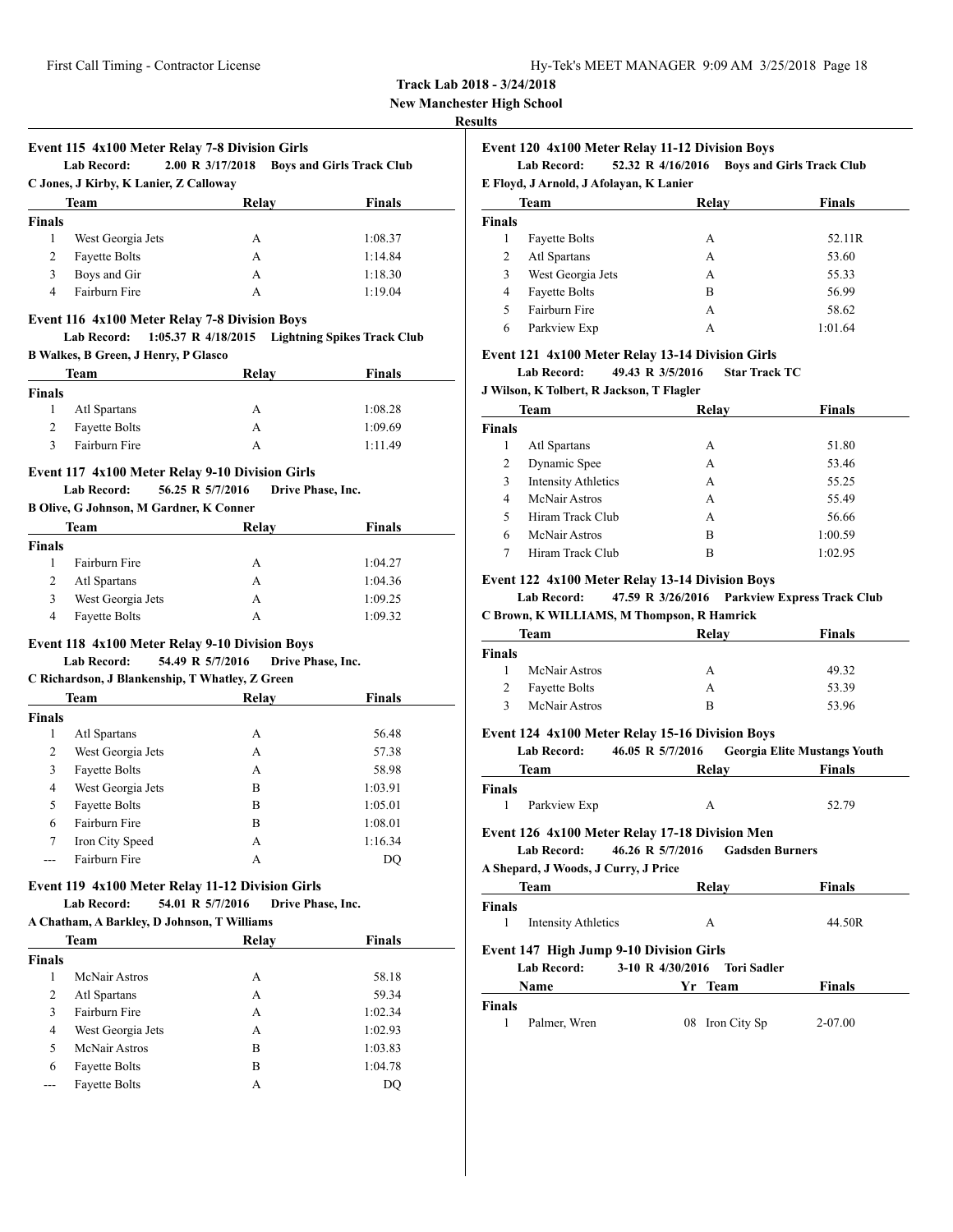| Hy-Tek's MEET MANAGER 9:09 AM 3/25/2018 Page 18 |  |  |  |  |
|-------------------------------------------------|--|--|--|--|
|-------------------------------------------------|--|--|--|--|

**New Manchester High School**

#### **Results**

# **Event 115 4x100 Meter Relay 7-8 Division Girls**

**Lab Record: 2.00 R 3/17/2018 Boys and Girls Track Club C Jones, J Kirby, K Lanier, Z Calloway**

| Team          |                      | Relay | <b>Finals</b> |
|---------------|----------------------|-------|---------------|
| <b>Finals</b> |                      |       |               |
|               | West Georgia Jets    | А     | 1:08.37       |
| 2             | <b>Fayette Bolts</b> | А     | 1:14.84       |
| 3             | Boys and Gir         | А     | 1:18.30       |
| 4             | Fairburn Fire        | А     | 1:19.04       |

#### **Event 116 4x100 Meter Relay 7-8 Division Boys**

| Lab Record:                          | $1:05.37 \text{ R}$ 4/18/2015 | Lightning Spikes Track Club |
|--------------------------------------|-------------------------------|-----------------------------|
| B Walkes, B Green, J Henry, P Glasco |                               |                             |

| Team          |                      | Relay | <b>Finals</b> |
|---------------|----------------------|-------|---------------|
| <b>Finals</b> |                      |       |               |
|               | Atl Spartans         | А     | 1:08.28       |
| 2             | <b>Fayette Bolts</b> | А     | 1:09.69       |
| 2             | Fairburn Fire        |       | 1:11.49       |

#### **Event 117 4x100 Meter Relay 9-10 Division Girls**

#### **Lab Record: 56.25 R 5/7/2016 Drive Phase, Inc.**

#### **B Olive, G Johnson, M Gardner, K Conner**

| Team          |                      | Relay | Finals  |
|---------------|----------------------|-------|---------|
| <b>Finals</b> |                      |       |         |
|               | Fairburn Fire        | А     | 1:04.27 |
| 2             | Atl Spartans         | А     | 1:04.36 |
| 3             | West Georgia Jets    | А     | 1:09.25 |
| 4             | <b>Fayette Bolts</b> | А     | 1:09.32 |

#### **Event 118 4x100 Meter Relay 9-10 Division Boys Lab Record: 54.49 R 5/7/2016 Drive Phase, Inc.**

#### **C Richardson, J Blankenship, T Whatley, Z Green**

| Team   |                      | <b>Relay</b> | <b>Finals</b> |
|--------|----------------------|--------------|---------------|
| Finals |                      |              |               |
| 1      | Atl Spartans         | А            | 56.48         |
| 2      | West Georgia Jets    | А            | 57.38         |
| 3      | <b>Fayette Bolts</b> | А            | 58.98         |
| 4      | West Georgia Jets    | B            | 1:03.91       |
| 5      | <b>Fayette Bolts</b> | B            | 1:05.01       |
| 6      | Fairburn Fire        | B            | 1:08.01       |
| 7      | Iron City Speed      | А            | 1:16.34       |
|        | Fairburn Fire        | А            | DO            |
|        |                      |              |               |

# **Event 119 4x100 Meter Relay 11-12 Division Girls**

**Lab Record: 54.01 R 5/7/2016 Drive Phase, Inc. A Chatham, A Barkley, D Johnson, T Williams**

| Team          |                      | Relay | <b>Finals</b> |  |  |
|---------------|----------------------|-------|---------------|--|--|
| <b>Finals</b> |                      |       |               |  |  |
| 1             | McNair Astros        | А     | 58.18         |  |  |
| 2             | Atl Spartans         | А     | 59.34         |  |  |
| 3             | Fairburn Fire        | А     | 1:02.34       |  |  |
| 4             | West Georgia Jets    | А     | 1:02.93       |  |  |
| 5             | McNair Astros        | B     | 1:03.83       |  |  |
| 6             | <b>Fayette Bolts</b> | в     | 1:04.78       |  |  |
| ---           | <b>Fayette Bolts</b> | А     | DO            |  |  |

# **Event 120 4x100 Meter Relay 11-12 Division Boys**

**Lab Record: 52.32 R 4/16/2016 Boys and Girls Track Club**

**E Floyd, J Arnold, J Afolayan, K Lanier**

| Team   |                      | Relay | <b>Finals</b> |
|--------|----------------------|-------|---------------|
| Finals |                      |       |               |
|        | <b>Fayette Bolts</b> | А     | 52.11R        |
| 2      | Atl Spartans         | А     | 53.60         |
| 3      | West Georgia Jets    | А     | 55.33         |
| 4      | <b>Fayette Bolts</b> | B     | 56.99         |
|        | Fairburn Fire        | А     | 58.62         |
| 6      | Parkview Exp         | А     | 1:01.64       |

### **Event 121 4x100 Meter Relay 13-14 Division Girls**

**Lab Record: 49.43 R 3/5/2016 Star Track TC**

### **J Wilson, K Tolbert, R Jackson, T Flagler**

| <b>Team</b>   |                            | Relay | <b>Finals</b> |
|---------------|----------------------------|-------|---------------|
| <b>Finals</b> |                            |       |               |
|               | Atl Spartans               | А     | 51.80         |
| 2             | Dynamic Spee               | А     | 53.46         |
| 3             | <b>Intensity Athletics</b> | A     | 55.25         |
| 4             | McNair Astros              | А     | 55.49         |
| 5             | Hiram Track Club           | A     | 56.66         |
| 6             | McNair Astros              | B     | 1:00.59       |
|               | Hiram Track Club           | в     | 1:02.95       |

### **Event 122 4x100 Meter Relay 13-14 Division Boys**

**Lab Record: 47.59 R 3/26/2016 Parkview Express Track Club C Brown, K WILLIAMS, M Thompson, R Hamrick**

| Team                 | Relav | Finals |  |
|----------------------|-------|--------|--|
|                      |       |        |  |
| McNair Astros        | А     | 49.32  |  |
| <b>Fayette Bolts</b> | А     | 53.39  |  |
| McNair Astros        | в     | 53.96  |  |
|                      |       |        |  |

## **Event 124 4x100 Meter Relay 15-16 Division Boys**

```
Lab Record: 46.05 R 5/7/2016 Georgia Elite Mustangs Youth
```

| Team          |              | Relay | <b>Finals</b> |  |
|---------------|--------------|-------|---------------|--|
| <b>Finals</b> |              |       |               |  |
|               | Parkview Exp |       | 52.79         |  |

### **Event 126 4x100 Meter Relay 17-18 Division Men**

**Lab Record: 46.26 R 5/7/2016 Gadsden Burners**

# **A Shepard, J Woods, J Curry, J Price Team Relay Finals**

| <b>Finals</b>                                                                                             |                    |               |  |  |  |
|-----------------------------------------------------------------------------------------------------------|--------------------|---------------|--|--|--|
| <b>Intensity Athletics</b>                                                                                | А                  | 44.50R        |  |  |  |
| <b>Event 147 High Jump 9-10 Division Girls</b><br>3-10 R $4/30/2016$<br><b>Lab Record:</b><br>Tori Sadler |                    |               |  |  |  |
| <b>Name</b>                                                                                               | Yr Team            | <b>Finals</b> |  |  |  |
| <b>Finals</b>                                                                                             |                    |               |  |  |  |
| Palmer, Wren                                                                                              | Iron City Sp<br>08 | 2-07.00       |  |  |  |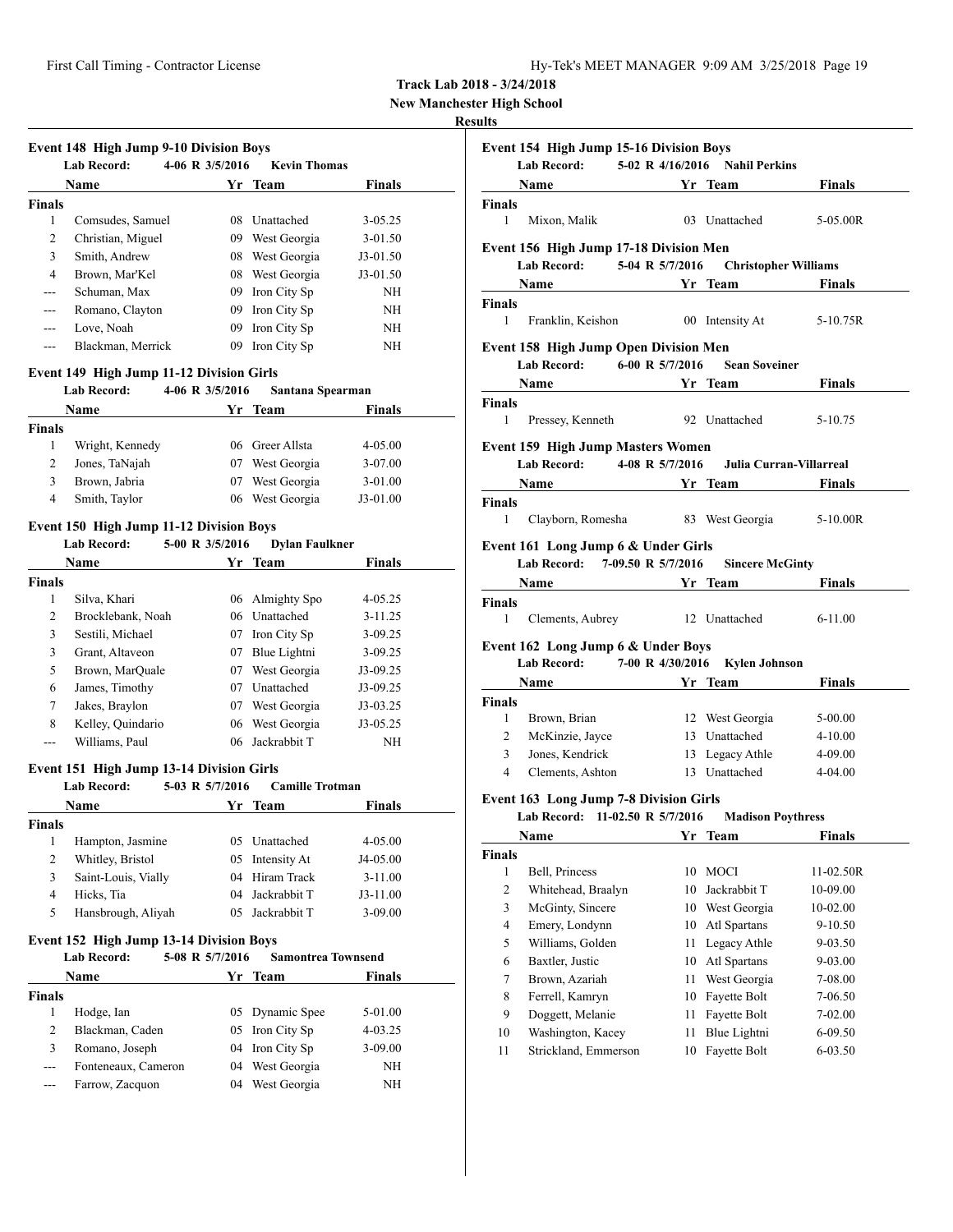**New Manchester High School**

# **Results**

|               | <b>Event 148 High Jump 9-10 Division Boys</b><br><b>Lab Record:</b> | 4-06 R $3/5/2016$ | <b>Kevin Thomas</b> |               |
|---------------|---------------------------------------------------------------------|-------------------|---------------------|---------------|
|               | Name                                                                |                   | Yr Team             | <b>Finals</b> |
| <b>Finals</b> |                                                                     |                   |                     |               |
| 1             | Comsudes, Samuel                                                    | 08                | Unattached          | $3 - 05.25$   |
| 2             | Christian, Miguel                                                   | 09                | West Georgia        | $3 - 01.50$   |
| 3             | Smith, Andrew                                                       | 08                | West Georgia        | $J3-01.50$    |
| 4             | Brown, Mar'Kel                                                      | 08                | West Georgia        | $J3-01.50$    |
| ---           | Schuman, Max                                                        | 09                | Iron City Sp        | <b>NH</b>     |
| ---           | Romano, Clayton                                                     | 09                | Iron City Sp        | NH            |
| ---           | Love, Noah                                                          | 09                | Iron City Sp        | <b>NH</b>     |
|               | Blackman, Merrick                                                   | 09                | Iron City Sp        | NH            |

#### **Event 149 High Jump 11-12 Division Girls**

# **Lab Record: 4-06 R 3/5/2016 Santana Spearman Name Yr Team Finals Finals** 1 Wright, Kennedy 06 Greer Allsta 4-05.00 2 Jones, TaNajah 07 West Georgia 3-07.00 3 Brown, Jabria 07 West Georgia 3-01.00 4 Smith, Taylor 06 West Georgia J3-01.00

# **Event 150 High Jump 11-12 Division Boys**

|               | <b>Lab Record:</b> | 5-00 R 3/5/2016 | <b>Dylan Faulkner</b> |               |  |
|---------------|--------------------|-----------------|-----------------------|---------------|--|
|               | Name               | Yr              | Team                  | <b>Finals</b> |  |
| <b>Finals</b> |                    |                 |                       |               |  |
| 1             | Silva, Khari       |                 | 06 Almighty Spo       | $4 - 05.25$   |  |
| 2             | Brocklebank, Noah  |                 | 06 Unattached         | $3 - 11.25$   |  |
| 3             | Sestili, Michael   | 07              | Iron City Sp          | $3 - 09.25$   |  |
| 3             | Grant, Altaveon    | 07              | Blue Lightni          | $3 - 09.25$   |  |
| 5             | Brown, MarQuale    | 07              | West Georgia          | J3-09.25      |  |
| 6             | James, Timothy     | 07              | Unattached            | J3-09.25      |  |
| 7             | Jakes, Braylon     | 07              | West Georgia          | $J3-03.25$    |  |
| 8             | Kelley, Quindario  | 06              | West Georgia          | $J3-05.25$    |  |
|               | Williams, Paul     | 06              | Jackrabbit T          | NΗ            |  |

### **Event 151 High Jump 13-14 Division Girls**

### **Lab Record: 5-03 R 5/7/2016 Camille Trotman**

| Name                |  | <b>Finals</b>                                                                                       |
|---------------------|--|-----------------------------------------------------------------------------------------------------|
|                     |  |                                                                                                     |
| Hampton, Jasmine    |  | $4 - 05.00$                                                                                         |
| Whitley, Bristol    |  | $J4-05.00$                                                                                          |
| Saint-Louis, Vially |  | $3 - 11.00$                                                                                         |
| Hicks, Tia          |  | $J3-11.00$                                                                                          |
| Hansbrough, Aliyah  |  | $3-09.00$                                                                                           |
|                     |  | Yr Team<br>05 Unattached<br>05 Intensity At<br>04 Hiram Track<br>04 Jackrabbit T<br>05 Jackrabbit T |

# **Event 152 High Jump 13-14 Division Boys**

|               | <b>Lab Record:</b>  | 5-08 R 5/7/2016 | <b>Samontrea Townsend</b> |               |  |
|---------------|---------------------|-----------------|---------------------------|---------------|--|
|               | Name                |                 | Yr Team                   | <b>Finals</b> |  |
| <b>Finals</b> |                     |                 |                           |               |  |
|               | Hodge, Ian          |                 | 05 Dynamic Spee           | $5-01.00$     |  |
| 2             | Blackman, Caden     |                 | 05 Iron City Sp           | $4 - 03.25$   |  |
| 3             | Romano, Joseph      |                 | 04 Iron City Sp           | $3 - 09.00$   |  |
| $--$          | Fonteneaux, Cameron |                 | 04 West Georgia           | NH            |  |
| ---           | Farrow, Zacquon     | 04              | West Georgia              | NH            |  |

| uns                |                                                                       |                   |                                                                                                                       |               |
|--------------------|-----------------------------------------------------------------------|-------------------|-----------------------------------------------------------------------------------------------------------------------|---------------|
|                    | Event 154 High Jump 15-16 Division Boys<br>Lab Record:                |                   | 5-02 R 4/16/2016 Nahil Perkins                                                                                        |               |
|                    | Name Yr Team                                                          |                   |                                                                                                                       | Finals        |
| <b>Finals</b>      |                                                                       |                   |                                                                                                                       |               |
| 1                  | Mixon, Malik                                                          |                   | 03 Unattached                                                                                                         | 5-05.00R      |
|                    | Event 156 High Jump 17-18 Division Men                                |                   |                                                                                                                       |               |
|                    | Lab Record: 5-04 R 5/7/2016                                           |                   | <b>Christopher Williams</b>                                                                                           |               |
|                    | Name                                                                  |                   | <b>Solution</b> Section 2 and Section 2 and 2 and 2 and 2 and 2 and 2 and 2 and 2 and 2 and 2 and 2 and 2 and 2 and 2 | <b>Finals</b> |
| Finals<br>1        | Franklin, Keishon                                                     |                   | 00 Intensity At                                                                                                       | 5-10.75R      |
|                    | <b>Event 158 High Jump Open Division Men</b>                          |                   |                                                                                                                       |               |
|                    | <b>Lab Record:</b>                                                    | 6-00 R $5/7/2016$ | <b>Sean Soveiner</b>                                                                                                  |               |
|                    | Name                                                                  |                   | Yr_Team                                                                                                               | Finals        |
| <b>Finals</b><br>1 | Pressey, Kenneth                                                      |                   | 92 Unattached                                                                                                         | 5-10.75       |
|                    | <b>Event 159 High Jump Masters Women</b>                              |                   |                                                                                                                       |               |
|                    | <b>Lab Record:</b>                                                    |                   | 4-08 R 5/7/2016 Julia Curran-Villarreal                                                                               |               |
|                    | Name Yr Team Finals                                                   |                   |                                                                                                                       |               |
| <b>Finals</b>      |                                                                       |                   |                                                                                                                       |               |
| $\mathbf{1}$       | Clayborn, Romesha 83 West Georgia                                     |                   |                                                                                                                       | 5-10.00R      |
|                    | Event 161 Long Jump 6 & Under Girls<br>Lab Record: 7-09.50 R 5/7/2016 |                   | <b>Sincere McGinty</b>                                                                                                |               |
|                    | Name<br><b>Example 18 Second Street Team</b>                          |                   |                                                                                                                       | <b>Finals</b> |
| Finals             |                                                                       |                   |                                                                                                                       |               |
| 1                  | Clements, Aubrey                                                      |                   | 12 Unattached                                                                                                         | $6 - 11.00$   |
|                    | Event 162 Long Jump 6 & Under Boys                                    |                   |                                                                                                                       |               |
|                    | <b>Lab Record:</b>                                                    |                   | 7-00 R 4/30/2016 Kylen Johnson<br>Yr Team                                                                             | Finals        |
| <b>Finals</b>      |                                                                       |                   |                                                                                                                       |               |
| 1                  | Brown, Brian                                                          |                   | 12 West Georgia                                                                                                       | 5-00.00       |
| 2                  | McKinzie, Jayce                                                       |                   | 13 Unattached                                                                                                         | $4 - 10.00$   |
| 3                  | Jones, Kendrick                                                       |                   | 13 Legacy Athle                                                                                                       | 4-09.00       |
| $\overline{4}$     | Clements, Ashton                                                      |                   | 13 Unattached                                                                                                         | 4-04.00       |
|                    | <b>Event 163 Long Jump 7-8 Division Girls</b>                         |                   |                                                                                                                       |               |
|                    | Lab Record: 11-02.50 R 5/7/2016 Madison Poythress                     |                   |                                                                                                                       |               |
|                    | Name                                                                  |                   | Yr Team                                                                                                               | <b>Finals</b> |
| <b>Finals</b>      |                                                                       |                   |                                                                                                                       |               |
| 1                  | Bell, Princess                                                        | 10                | MOCI                                                                                                                  | 11-02.50R     |
| $\overline{c}$     | Whitehead, Braalyn                                                    | 10                | Jackrabbit T                                                                                                          | 10-09.00      |
| 3                  | McGinty, Sincere                                                      | 10                | West Georgia                                                                                                          | 10-02.00      |
| $\overline{4}$     | Emery, Londynn                                                        | 10                | Atl Spartans                                                                                                          | 9-10.50       |
| 5                  | Williams, Golden                                                      | 11                | Legacy Athle                                                                                                          | 9-03.50       |
| 6                  | Baxtler, Justic                                                       | 10                | Atl Spartans                                                                                                          | 9-03.00       |
| 7                  | Brown, Azariah                                                        | 11                | West Georgia                                                                                                          | 7-08.00       |
| 8                  | Ferrell, Kamryn                                                       | 10                | Fayette Bolt                                                                                                          | 7-06.50       |
| 9                  | Doggett, Melanie                                                      | 11                | Fayette Bolt                                                                                                          | 7-02.00       |
| 10                 | Washington, Kacey                                                     | 11                | Blue Lightni                                                                                                          | 6-09.50       |
| 11                 | Strickland, Emmerson                                                  | 10                | Fayette Bolt                                                                                                          | 6-03.50       |
|                    |                                                                       |                   |                                                                                                                       |               |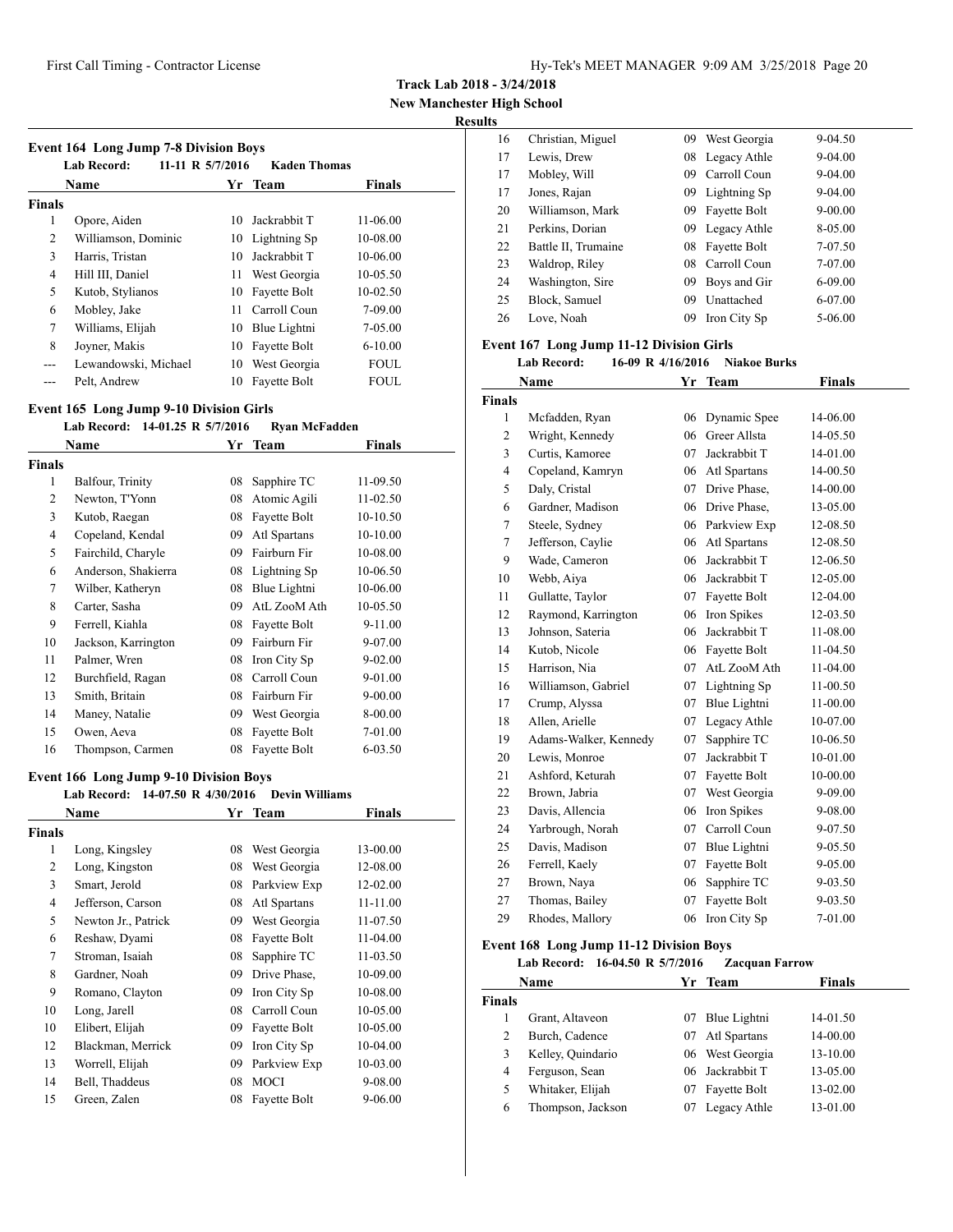**Track Lab 2018 - 3/24/2018**

**New Manchester High School**

# **Results**

| <b>Event 164 Long Jump 7-8 Division Boys</b><br><b>Lab Record:</b><br>11-11 R 5/7/2016<br><b>Kaden Thomas</b> |                      |     |              |               |  |  |
|---------------------------------------------------------------------------------------------------------------|----------------------|-----|--------------|---------------|--|--|
|                                                                                                               | <b>Name</b>          |     | Yr Team      | <b>Finals</b> |  |  |
| <b>Finals</b>                                                                                                 |                      |     |              |               |  |  |
| 1                                                                                                             | Opore, Aiden         | 10  | Jackrabbit T | 11-06.00      |  |  |
| 2                                                                                                             | Williamson, Dominic  | 10  | Lightning Sp | 10-08.00      |  |  |
| 3                                                                                                             | Harris, Tristan      | 10  | Jackrabbit T | 10-06.00      |  |  |
| 4                                                                                                             | Hill III, Daniel     | 11  | West Georgia | 10-05.50      |  |  |
| 5                                                                                                             | Kutob, Stylianos     | 10  | Fayette Bolt | $10-02.50$    |  |  |
| 6                                                                                                             | Mobley, Jake         | 11. | Carroll Coun | 7-09.00       |  |  |
| 7                                                                                                             | Williams, Elijah     | 10  | Blue Lightni | 7-05.00       |  |  |
| 8                                                                                                             | Joyner, Makis        | 10  | Fayette Bolt | $6 - 10.00$   |  |  |
| ---                                                                                                           | Lewandowski, Michael | 10  | West Georgia | <b>FOUL</b>   |  |  |
|                                                                                                               | Pelt, Andrew         | 10  | Fayette Bolt | FOUL          |  |  |

### **Event 165 Long Jump 9-10 Division Girls**

#### **Lab Record: 14-01.25 R 5/7/2016 Ryan McFadden**

|               | Name                | Yr | <b>Team</b>  | <b>Finals</b> |  |
|---------------|---------------------|----|--------------|---------------|--|
| <b>Finals</b> |                     |    |              |               |  |
| 1             | Balfour, Trinity    | 08 | Sapphire TC  | 11-09.50      |  |
| 2             | Newton, T'Yonn      | 08 | Atomic Agili | 11-02.50      |  |
| 3             | Kutob, Raegan       | 08 | Fayette Bolt | 10-10.50      |  |
| 4             | Copeland, Kendal    | 09 | Atl Spartans | 10-10.00      |  |
| 5             | Fairchild, Charyle  | 09 | Fairburn Fir | 10-08.00      |  |
| 6             | Anderson, Shakierra | 08 | Lightning Sp | 10-06.50      |  |
| 7             | Wilber, Katheryn    | 08 | Blue Lightni | 10-06.00      |  |
| 8             | Carter, Sasha       | 09 | AtL ZooM Ath | 10-05.50      |  |
| 9             | Ferrell, Kiahla     | 08 | Fayette Bolt | 9-11.00       |  |
| 10            | Jackson, Karrington | 09 | Fairburn Fir | 9-07.00       |  |
| 11            | Palmer, Wren        | 08 | Iron City Sp | $9 - 02.00$   |  |
| 12            | Burchfield, Ragan   | 08 | Carroll Coun | 9-01.00       |  |
| 13            | Smith, Britain      | 08 | Fairburn Fir | 9-00.00       |  |
| 14            | Maney, Natalie      | 09 | West Georgia | 8-00.00       |  |
| 15            | Owen, Aeva          | 08 | Fayette Bolt | 7-01.00       |  |
| 16            | Thompson, Carmen    | 08 | Fayette Bolt | 6-03.50       |  |

# **Event 166 Long Jump 9-10 Division Boys**

| <b>Lab Record:</b>  |    |              |                                 |                       |
|---------------------|----|--------------|---------------------------------|-----------------------|
| Name                |    |              | Finals                          |                       |
| Finals              |    |              |                                 |                       |
| Long, Kingsley      | 08 | West Georgia | 13-00.00                        |                       |
| Long, Kingston      | 08 | West Georgia | 12-08.00                        |                       |
| Smart, Jerold       | 08 | Parkview Exp | 12-02.00                        |                       |
| Jefferson, Carson   | 08 | Atl Spartans | 11-11.00                        |                       |
| Newton Jr., Patrick | 09 | West Georgia | 11-07.50                        |                       |
| Reshaw, Dyami       | 08 | Fayette Bolt | 11-04.00                        |                       |
| Stroman, Isaiah     | 08 | Sapphire TC  | $11 - 03.50$                    |                       |
| Gardner, Noah       | 09 | Drive Phase. | 10-09.00                        |                       |
| Romano, Clayton     | 09 | Iron City Sp | 10-08.00                        |                       |
| Long, Jarell        | 08 | Carroll Coun | 10-05.00                        |                       |
| Elibert, Elijah     | 09 | Fayette Bolt | 10-05.00                        |                       |
| Blackman, Merrick   | 09 | Iron City Sp | 10-04.00                        |                       |
| Worrell, Elijah     | 09 | Parkview Exp | 10-03.00                        |                       |
| Bell, Thaddeus      | 08 | MOCI         | 9-08.00                         |                       |
| Green, Zalen        | 08 | Fayette Bolt | 9-06.00                         |                       |
|                     |    |              | 14-07.50 R 4/30/2016<br>Yr Team | <b>Devin Williams</b> |

| 16 | Christian, Miguel   | 09 | West Georgia    | 9-04.50     |
|----|---------------------|----|-----------------|-------------|
| 17 | Lewis, Drew         |    | 08 Legacy Athle | $9 - 04.00$ |
| 17 | Mobley, Will        | 09 | Carroll Coun    | $9 - 04.00$ |
| 17 | Jones, Rajan        |    | 09 Lightning Sp | $9 - 04.00$ |
| 20 | Williamson, Mark    | 09 | Fayette Bolt    | $9 - 00.00$ |
| 21 | Perkins, Dorian     | 09 | Legacy Athle    | 8-05.00     |
| 22 | Battle II, Trumaine | 08 | Fayette Bolt    | 7-07.50     |
| 23 | Waldrop, Riley      | 08 | Carroll Coun    | 7-07.00     |
| 24 | Washington, Sire    | 09 | Boys and Gir    | 6-09.00     |
| 25 | Block, Samuel       | 09 | Unattached      | 6-07.00     |
| 26 | Love. Noah          | 09 | Iron City Sp    | 5-06.00     |

# **Event 167 Long Jump 11-12 Division Girls**

**Lab Record: 16-09 R 4/16/2016 Niakoe Burks**

|                | Name                  | Yr | <b>Team</b>  | <b>Finals</b> |  |
|----------------|-----------------------|----|--------------|---------------|--|
| Finals         |                       |    |              |               |  |
| $\mathbf{1}$   | Mcfadden, Ryan        | 06 | Dynamic Spee | 14-06.00      |  |
| 2              | Wright, Kennedy       | 06 | Greer Allsta | 14-05.50      |  |
| 3              | Curtis, Kamoree       | 07 | Jackrabbit T | 14-01.00      |  |
| $\overline{4}$ | Copeland, Kamryn      | 06 | Atl Spartans | 14-00.50      |  |
| 5              | Daly, Cristal         | 07 | Drive Phase. | 14-00.00      |  |
| 6              | Gardner, Madison      | 06 | Drive Phase, | 13-05.00      |  |
| 7              | Steele, Sydney        | 06 | Parkview Exp | 12-08.50      |  |
| 7              | Jefferson, Caylie     | 06 | Atl Spartans | 12-08.50      |  |
| 9              | Wade, Cameron         | 06 | Jackrabbit T | 12-06.50      |  |
| 10             | Webb, Aiya            | 06 | Jackrabbit T | 12-05.00      |  |
| 11             | Gullatte, Taylor      | 07 | Fayette Bolt | 12-04.00      |  |
| 12             | Raymond, Karrington   | 06 | Iron Spikes  | 12-03.50      |  |
| 13             | Johnson, Sateria      | 06 | Jackrabbit T | 11-08.00      |  |
| 14             | Kutob, Nicole         | 06 | Fayette Bolt | 11-04.50      |  |
| 15             | Harrison, Nia         | 07 | AtL ZooM Ath | 11-04.00      |  |
| 16             | Williamson, Gabriel   | 07 | Lightning Sp | 11-00.50      |  |
| 17             | Crump, Alyssa         | 07 | Blue Lightni | 11-00.00      |  |
| 18             | Allen, Arielle        | 07 | Legacy Athle | 10-07.00      |  |
| 19             | Adams-Walker, Kennedy | 07 | Sapphire TC  | 10-06.50      |  |
| 20             | Lewis, Monroe         | 07 | Jackrabbit T | 10-01.00      |  |
| 21             | Ashford, Keturah      | 07 | Fayette Bolt | 10-00.00      |  |
| 22             | Brown, Jabria         | 07 | West Georgia | 9-09.00       |  |
| 23             | Davis, Allencia       | 06 | Iron Spikes  | 9-08.00       |  |
| 24             | Yarbrough, Norah      | 07 | Carroll Coun | 9-07.50       |  |
| 25             | Davis, Madison        | 07 | Blue Lightni | 9-05.50       |  |
| 26             | Ferrell, Kaely        | 07 | Fayette Bolt | 9-05.00       |  |
| 27             | Brown, Naya           | 06 | Sapphire TC  | 9-03.50       |  |
| 27             | Thomas, Bailey        | 07 | Fayette Bolt | 9-03.50       |  |
| 29             | Rhodes, Mallory       | 06 | Iron City Sp | 7-01.00       |  |

# **Event 168 Long Jump 11-12 Division Boys**

### **Lab Record: 16-04.50 R 5/7/2016 Zacquan Farrow**

|               | Name              |    | Yr Team         | <b>Finals</b> |
|---------------|-------------------|----|-----------------|---------------|
| <b>Finals</b> |                   |    |                 |               |
|               | Grant, Altaveon   | 07 | Blue Lightni    | 14-01.50      |
| 2             | Burch, Cadence    | 07 | Atl Spartans    | 14-00.00      |
| 3             | Kelley, Quindario | 06 | West Georgia    | 13-10.00      |
| 4             | Ferguson, Sean    |    | 06 Jackrabbit T | 13-05.00      |
| 5             | Whitaker, Elijah  | 07 | Fayette Bolt    | 13-02.00      |
| 6             | Thompson, Jackson | 07 | Legacy Athle    | 13-01.00      |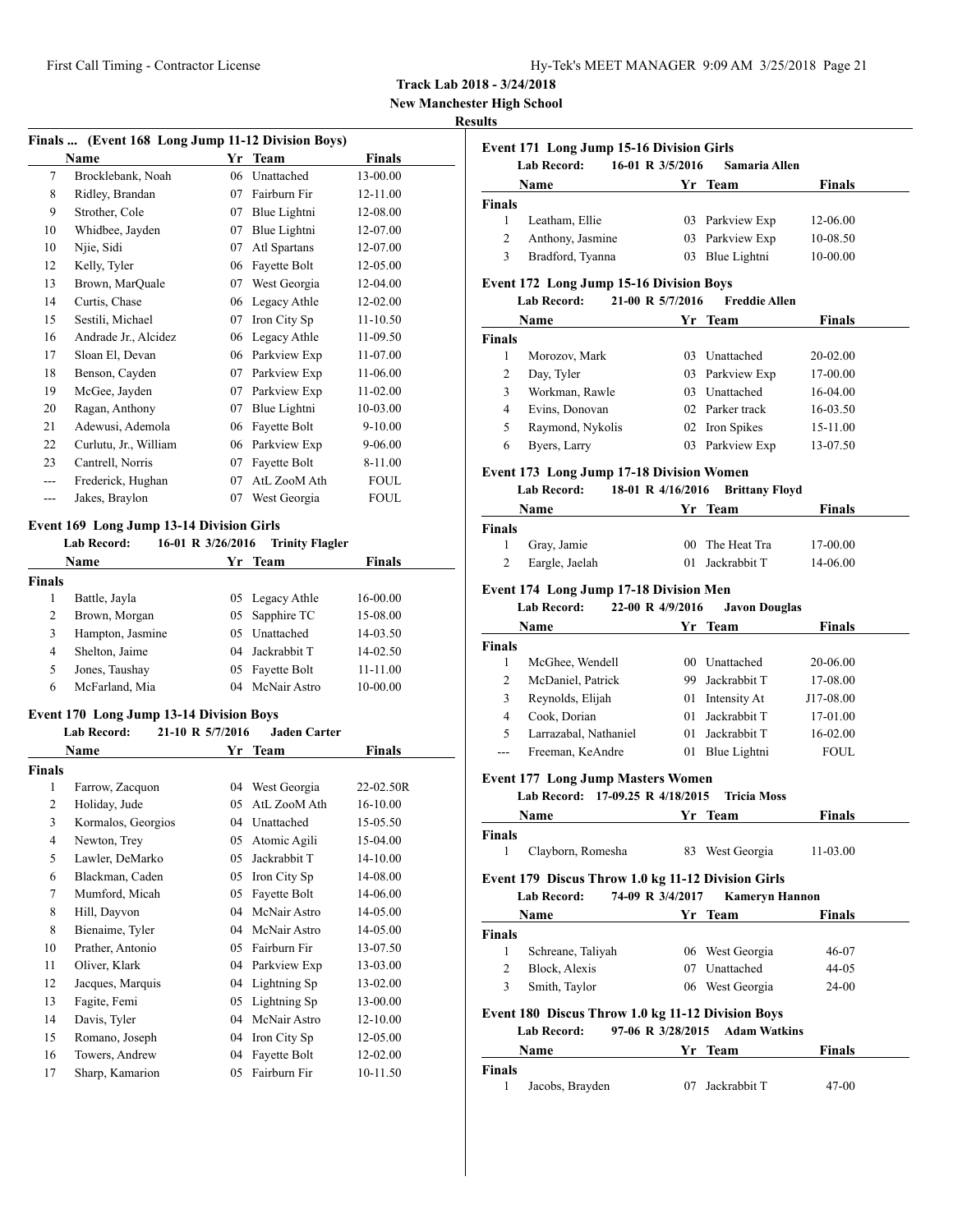| Hy-Tek's MEET MANAGER 9:09 AM 3/25/2018 Page 21 |  |  |  |
|-------------------------------------------------|--|--|--|
|-------------------------------------------------|--|--|--|

**New Manchester High School**

# **Results**

| Finals  (Event 168 Long Jump 11-12 Division Boys) |                       |    |              |               |  |
|---------------------------------------------------|-----------------------|----|--------------|---------------|--|
|                                                   | <b>Name</b>           | Yr | <b>Team</b>  | <b>Finals</b> |  |
| 7                                                 | Brocklebank, Noah     | 06 | Unattached   | 13-00.00      |  |
| 8                                                 | Ridley, Brandan       | 07 | Fairburn Fir | 12-11.00      |  |
| 9                                                 | Strother, Cole        | 07 | Blue Lightni | 12-08.00      |  |
| 10                                                | Whidbee, Jayden       | 07 | Blue Lightni | 12-07.00      |  |
| 10                                                | Njie, Sidi            | 07 | Atl Spartans | 12-07.00      |  |
| 12                                                | Kelly, Tyler          | 06 | Fayette Bolt | 12-05.00      |  |
| 13                                                | Brown, MarQuale       | 07 | West Georgia | 12-04.00      |  |
| 14                                                | Curtis, Chase         | 06 | Legacy Athle | 12-02.00      |  |
| 15                                                | Sestili, Michael      | 07 | Iron City Sp | $11 - 10.50$  |  |
| 16                                                | Andrade Jr., Alcidez  | 06 | Legacy Athle | 11-09.50      |  |
| 17                                                | Sloan El, Devan       | 06 | Parkview Exp | 11-07.00      |  |
| 18                                                | Benson, Cayden        | 07 | Parkview Exp | 11-06.00      |  |
| 19                                                | McGee, Jayden         | 07 | Parkview Exp | $11-02.00$    |  |
| 20                                                | Ragan, Anthony        | 07 | Blue Lightni | 10-03.00      |  |
| 21                                                | Adewusi, Ademola      | 06 | Fayette Bolt | $9 - 10.00$   |  |
| 22                                                | Curlutu, Jr., William | 06 | Parkview Exp | $9 - 06.00$   |  |
| 23                                                | Cantrell, Norris      | 07 | Fayette Bolt | 8-11.00       |  |
| $---$                                             | Frederick, Hughan     | 07 | AtL ZooM Ath | <b>FOUL</b>   |  |
| ---                                               | Jakes, Braylon        | 07 | West Georgia | <b>FOUL</b>   |  |
|                                                   |                       |    |              |               |  |

# **Event 169 Long Jump 13-14 Division Girls**

|               | <b>Lab Record:</b> | 16-01 R 3/26/2016 | <b>Trinity Flagler</b> |               |  |
|---------------|--------------------|-------------------|------------------------|---------------|--|
|               | Name               | Yr.               | Team                   | <b>Finals</b> |  |
| <b>Finals</b> |                    |                   |                        |               |  |
|               | Battle, Jayla      |                   | 05 Legacy Athle        | 16-00.00      |  |
| 2             | Brown, Morgan      |                   | 05 Sapphire TC         | 15-08.00      |  |
| 3             | Hampton, Jasmine   | 05                | Unattached             | 14-03.50      |  |
| 4             | Shelton, Jaime     |                   | 04 Jackrabbit T        | 14-02.50      |  |
| 5             | Jones, Taushay     |                   | 05 Fayette Bolt        | 11-11.00      |  |
| 6             | McFarland, Mia     | 04                | McNair Astro           | 10-00.00      |  |

# **Event 170 Long Jump 13-14 Division Boys**

### **Lab Record: 21-10 R 5/7/2016 Jaden Carter Name Yr Team Finals**

|                | гуание             | 11 | теаш         | г шаіз    |
|----------------|--------------------|----|--------------|-----------|
| Finals         |                    |    |              |           |
| 1              | Farrow, Zacquon    | 04 | West Georgia | 22-02.50R |
| 2              | Holiday, Jude      | 05 | AtL ZooM Ath | 16-10.00  |
| 3              | Kormalos, Georgios | 04 | Unattached   | 15-05.50  |
| $\overline{4}$ | Newton, Trey       | 05 | Atomic Agili | 15-04.00  |
| 5              | Lawler, DeMarko    | 05 | Jackrabbit T | 14-10.00  |
| 6              | Blackman, Caden    | 05 | Iron City Sp | 14-08.00  |
| 7              | Mumford, Micah     | 05 | Fayette Bolt | 14-06.00  |
| 8              | Hill, Dayvon       | 04 | McNair Astro | 14-05.00  |
| 8              | Bienaime, Tyler    | 04 | McNair Astro | 14-05.00  |
| 10             | Prather, Antonio   | 05 | Fairburn Fir | 13-07.50  |
| 11             | Oliver, Klark      | 04 | Parkview Exp | 13-03.00  |
| 12             | Jacques, Marquis   | 04 | Lightning Sp | 13-02.00  |
| 13             | Fagite, Femi       | 05 | Lightning Sp | 13-00.00  |
| 14             | Davis, Tyler       | 04 | McNair Astro | 12-10.00  |
| 15             | Romano, Joseph     | 04 | Iron City Sp | 12-05.00  |
| 16             | Towers, Andrew     | 04 | Fayette Bolt | 12-02.00  |
| 17             | Sharp, Kamarion    | 05 | Fairburn Fir | 10-11.50  |

|                    | <b>Event 171 Long Jump 15-16 Division Girls</b><br><b>Lab Record:</b> | 16-01 R 3/5/2016  | Samaria Allen                   |               |
|--------------------|-----------------------------------------------------------------------|-------------------|---------------------------------|---------------|
|                    | Name                                                                  |                   | Yr Team                         | <b>Finals</b> |
| Finals             |                                                                       |                   |                                 |               |
| 1                  | Leatham, Ellie                                                        |                   | 03 Parkview Exp                 | 12-06.00      |
| 2                  | Anthony, Jasmine                                                      |                   | 03 Parkview Exp                 | 10-08.50      |
| 3                  | Bradford, Tyanna                                                      |                   | 03 Blue Lightni                 | 10-00.00      |
|                    | Event 172 Long Jump 15-16 Division Boys                               |                   |                                 |               |
|                    | <b>Lab Record:</b>                                                    | 21-00 R 5/7/2016  | <b>Freddie Allen</b>            |               |
|                    | Name                                                                  |                   | Yr Team                         | <b>Finals</b> |
| Finals             |                                                                       |                   |                                 |               |
| 1                  | Morozov, Mark                                                         |                   | 03 Unattached                   | 20-02.00      |
| 2                  | Day, Tyler                                                            |                   | 03 Parkview Exp                 | 17-00.00      |
| 3                  | Workman, Rawle                                                        |                   | 03 Unattached                   | 16-04.00      |
| 4                  | Evins, Donovan                                                        |                   | 02 Parker track                 | 16-03.50      |
| 5                  | Raymond, Nykolis                                                      |                   | 02 Iron Spikes                  | 15-11.00      |
| 6                  | Byers, Larry                                                          |                   | 03 Parkview Exp                 | 13-07.50      |
|                    | <b>Event 173 Long Jump 17-18 Division Women</b>                       |                   |                                 |               |
|                    | <b>Lab Record:</b>                                                    | 18-01 R 4/16/2016 | <b>Brittany Floyd</b>           |               |
|                    | Name                                                                  |                   | Yr Team                         | <b>Finals</b> |
| <b>Finals</b>      |                                                                       |                   |                                 |               |
| 1                  | Gray, Jamie                                                           |                   | 00 The Heat Tra                 | 17-00.00      |
| 2                  | Eargle, Jaelah                                                        |                   | 01 Jackrabbit T                 | 14-06.00      |
|                    | <b>Lab Record:</b><br><b>Name</b>                                     | 22-00 R 4/9/2016  | <b>Javon Douglas</b><br>Yr Team | <b>Finals</b> |
| <b>Finals</b>      |                                                                       |                   |                                 |               |
|                    |                                                                       |                   | 00 Unattached                   | 20-06.00      |
| 1                  | McGhee, Wendell                                                       |                   |                                 |               |
| 2                  | McDaniel, Patrick                                                     |                   | 99 Jackrabbit T                 | 17-08.00      |
| 3                  | Reynolds, Elijah                                                      |                   | 01 Intensity At                 | J17-08.00     |
| 4                  | Cook, Dorian                                                          |                   | 01 Jackrabbit T                 | 17-01.00      |
| 5                  | Larrazabal, Nathaniel                                                 |                   | 01 Jackrabbit T                 | 16-02.00      |
| ---                | Freeman, KeAndre                                                      |                   | 01 Blue Lightni                 | FOUL          |
|                    | <b>Event 177 Long Jump Masters Women</b>                              |                   |                                 |               |
|                    | Lab Record: 17-09.25 R 4/18/2015                                      |                   | <b>Tricia Moss</b>              |               |
|                    | <b>Name</b>                                                           | Yr                | <b>Team</b>                     | Finals        |
| Finals             |                                                                       |                   |                                 |               |
| 1                  | Clayborn, Romesha                                                     |                   | 83 West Georgia                 | 11-03.00      |
|                    | Event 179 Discus Throw 1.0 kg 11-12 Division Girls                    |                   |                                 |               |
|                    | <b>Lab Record:</b>                                                    | 74-09 R 3/4/2017  | <b>Kameryn Hannon</b>           |               |
|                    | Name                                                                  |                   | Yr Team                         |               |
| 1                  |                                                                       |                   |                                 | <b>Finals</b> |
|                    | Schreane, Taliyah                                                     |                   | 06 West Georgia                 | 46-07         |
| 2<br>3             | Block, Alexis                                                         |                   | 07 Unattached                   | 44-05         |
|                    | Smith, Taylor                                                         |                   | 06 West Georgia                 | 24-00         |
|                    | Event 180 Discus Throw 1.0 kg 11-12 Division Boys                     |                   |                                 |               |
| <b>Finals</b>      | <b>Lab Record:</b>                                                    | 97-06 R 3/28/2015 | <b>Adam Watkins</b>             |               |
|                    | Name                                                                  |                   | Yr Team                         | Finals        |
| <b>Finals</b><br>1 | Jacobs, Brayden                                                       |                   | 07 Jackrabbit T                 | 47-00         |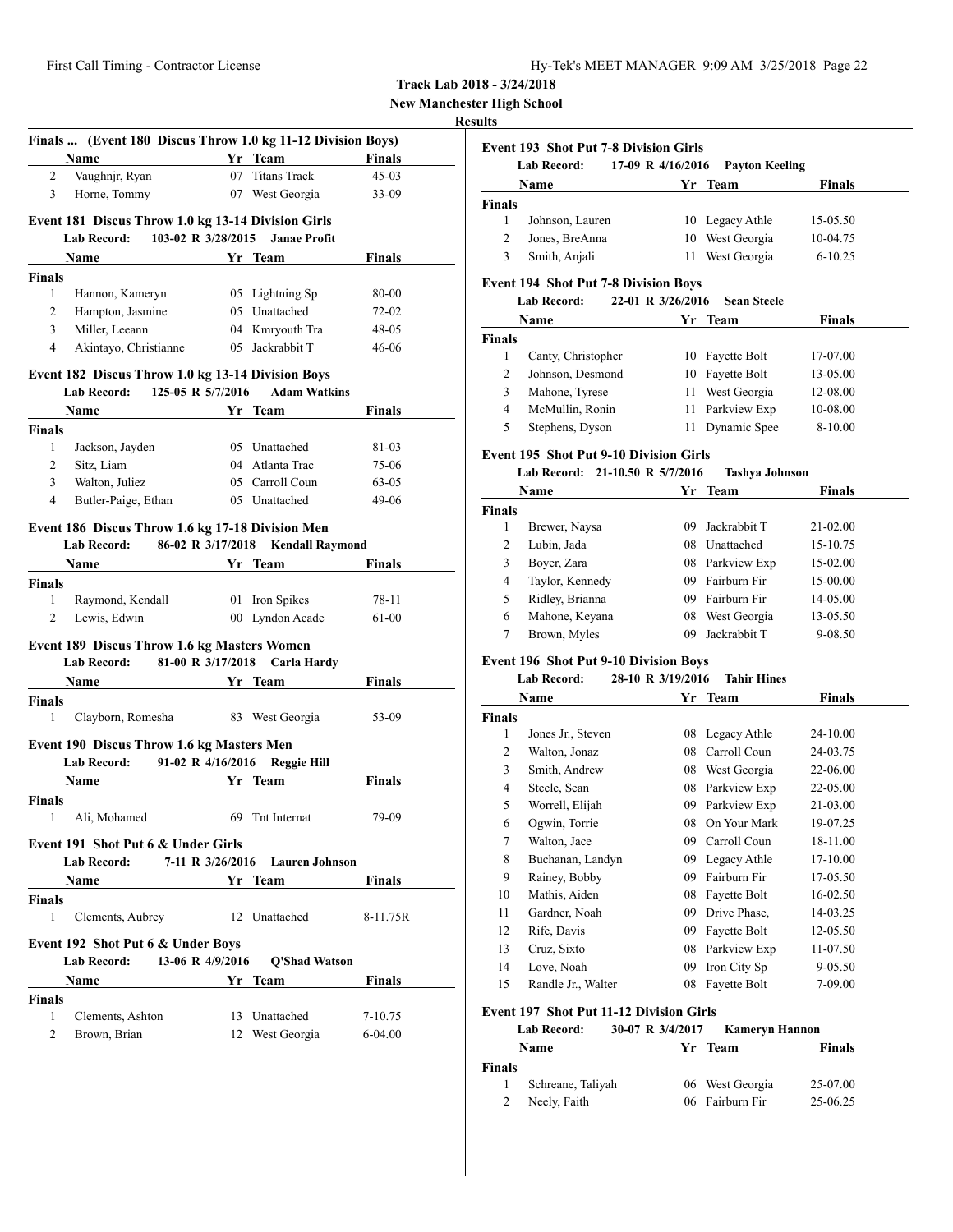**New Manchester High School**

# **Results**

|               | Finals  (Event 180 Discus Throw 1.0 kg 11-12 Division Boys)                            |    |                        |               |
|---------------|----------------------------------------------------------------------------------------|----|------------------------|---------------|
|               | Name                                                                                   |    | Yr Team                | Finals        |
| 2             | Vaughnjr, Ryan                                                                         | 07 | <b>Titans Track</b>    | $45-03$       |
| 3             | Horne, Tommy                                                                           |    | 07 West Georgia        | 33-09         |
|               | Event 181 Discus Throw 1.0 kg 13-14 Division Girls                                     |    |                        |               |
|               | 103-02 R 3/28/2015<br><b>Lab Record:</b>                                               |    | <b>Janae Profit</b>    |               |
|               | Name                                                                                   |    | Yr Team                | Finals        |
| <b>Finals</b> |                                                                                        |    |                        |               |
| 1             | Hannon, Kameryn                                                                        |    | 05 Lightning Sp        | 80-00         |
| 2             | Hampton, Jasmine                                                                       |    | 05 Unattached          | $72 - 02$     |
| 3             | Miller, Leeann                                                                         |    | 04 Kmryouth Tra        | $48 - 05$     |
| 4             | Akintayo, Christianne                                                                  |    | 05 Jackrabbit T        | $46 - 06$     |
|               |                                                                                        |    |                        |               |
|               | Event 182 Discus Throw 1.0 kg 13-14 Division Boys<br>125-05 R 5/7/2016<br>Lab Record:  |    | <b>Adam Watkins</b>    |               |
|               | <b>Name</b>                                                                            |    | Yr Team                | <b>Finals</b> |
| Finals        |                                                                                        |    |                        |               |
| 1             | Jackson, Jayden                                                                        |    | 05 Unattached          | 81-03         |
| 2             | Sitz, Liam                                                                             |    | 04 Atlanta Trac        | 75-06         |
| 3             | Walton, Juliez                                                                         |    | 05 Carroll Coun        | $63 - 05$     |
| 4             | Butler-Paige, Ethan                                                                    |    | 05 Unattached          | 49-06         |
|               |                                                                                        |    |                        |               |
|               | Event 186 Discus Throw 1.6 kg 17-18 Division Men<br>86-02 R 3/17/2018<br>Lab Record:   |    | <b>Kendall Raymond</b> |               |
|               | <b>Name</b>                                                                            |    | Yr Team                | <b>Finals</b> |
| <b>Finals</b> |                                                                                        |    |                        |               |
| 1             | Raymond, Kendall                                                                       |    | 01 Iron Spikes         | 78-11         |
| 2             | Lewis, Edwin                                                                           |    | 00 Lyndon Acade        | 61-00         |
|               |                                                                                        |    |                        |               |
|               | <b>Event 189 Discus Throw 1.6 kg Masters Women</b><br>81-00 R 3/17/2018<br>Lab Record: |    | Carla Hardy            |               |
|               | <b>Name</b>                                                                            |    | Yr Team                | Finals        |
| Finals        |                                                                                        |    |                        |               |
| 1             | Clayborn, Romesha                                                                      |    | 83 West Georgia        | 53-09         |
|               |                                                                                        |    |                        |               |
|               | Event 190 Discus Throw 1.6 kg Masters Men                                              |    |                        |               |
|               | <b>Lab Record:</b><br>91-02 R 4/16/2016                                                |    | <b>Reggie Hill</b>     |               |
|               | Name                                                                                   |    | Yr Team                | Finals        |
| Finals        |                                                                                        |    | 69 Tnt Internat        | 79-09         |
| 1             | Ali, Mohamed                                                                           |    |                        |               |
|               | Event 191 Shot Put 6 & Under Girls                                                     |    |                        |               |
|               | 7-11 R 3/26/2016<br><b>Lab Record:</b>                                                 |    | <b>Lauren Johnson</b>  |               |
|               | <b>Name</b>                                                                            |    | Yr Team                | Finals        |
| <b>Finals</b> |                                                                                        |    |                        |               |
| 1             | Clements, Aubrey                                                                       |    | 12 Unattached          | 8-11.75R      |
|               | Event 192 Shot Put 6 & Under Boys                                                      |    |                        |               |
|               | <b>Lab Record:</b><br>13-06 R 4/9/2016                                                 |    | <b>O'Shad Watson</b>   |               |
|               | <b>Name</b>                                                                            |    | Yr Team                | Finals        |
| <b>Finals</b> |                                                                                        |    |                        |               |
| 1             | Clements, Ashton                                                                       |    | 13 Unattached          | 7-10.75       |
| 2             | Brown, Brian                                                                           | 12 | West Georgia           | $6 - 04.00$   |

|                | Lab Record:                                    | 17-09 R 4/16/2016 | <b>Payton Keeling</b> |               |
|----------------|------------------------------------------------|-------------------|-----------------------|---------------|
|                | Name                                           |                   | Yr Team               | <b>Finals</b> |
| <b>Finals</b>  |                                                |                   |                       |               |
| 1              | Johnson, Lauren                                |                   | 10 Legacy Athle       | 15-05.50      |
| 2              | Jones, BreAnna                                 |                   | 10 West Georgia       | 10-04.75      |
| 3              | Smith, Anjali                                  | 11                | West Georgia          | $6 - 10.25$   |
|                | <b>Event 194 Shot Put 7-8 Division Boys</b>    |                   |                       |               |
|                | Lab Record:                                    | 22-01 R 3/26/2016 | <b>Sean Steele</b>    |               |
|                | Name                                           |                   | Yr Team               | <b>Finals</b> |
| <b>Finals</b>  |                                                |                   |                       |               |
| 1              | Canty, Christopher                             |                   | 10 Fayette Bolt       | 17-07.00      |
| 2              | Johnson, Desmond                               |                   | 10 Fayette Bolt       | 13-05.00      |
| 3              | Mahone, Tyrese                                 | 11                | West Georgia          | 12-08.00      |
| $\overline{4}$ | McMullin, Ronin                                | 11                | Parkview Exp          | 10-08.00      |
| 5              | Stephens, Dyson                                | 11                | Dynamic Spee          | 8-10.00       |
|                | <b>Event 195 Shot Put 9-10 Division Girls</b>  |                   |                       |               |
|                | Lab Record: 21-10.50 R 5/7/2016                |                   | <b>Tashya Johnson</b> |               |
|                | Name                                           |                   | Yr Team               | Finals        |
| Finals         |                                                |                   |                       |               |
| 1              | Brewer, Naysa                                  |                   | 09 Jackrabbit T       | 21-02.00      |
| 2              | Lubin, Jada                                    |                   | 08 Unattached         | 15-10.75      |
| 3              | Boyer, Zara                                    |                   | 08 Parkview Exp       | 15-02.00      |
| 4              | Taylor, Kennedy                                |                   | 09 Fairburn Fir       | 15-00.00      |
| 5              | Ridley, Brianna                                |                   | 09 Fairburn Fir       | 14-05.00      |
| 6              | Mahone, Keyana                                 |                   | 08 West Georgia       | 13-05.50      |
| 7              | Brown, Myles                                   | 09                | Jackrabbit T          | 9-08.50       |
|                | <b>Event 196 Shot Put 9-10 Division Boys</b>   |                   |                       |               |
|                | Lab Record:                                    | 28-10 R 3/19/2016 | <b>Tahir Hines</b>    |               |
|                | Name                                           |                   | Yr Team               | <b>Finals</b> |
| Finals         |                                                |                   |                       |               |
| 1              | Jones Jr., Steven                              | 08                | Legacy Athle          | 24-10.00      |
| 2              | Walton, Jonaz                                  | 08                | Carroll Coun          | 24-03.75      |
| 3              | Smith, Andrew                                  |                   | 08 West Georgia       | 22-06.00      |
| 4              | Steele, Sean                                   | 08                | Parkview Exp          | 22-05.00      |
| 5              | Worrell, Elijah                                |                   | 09 Parkview Exp       | 21-03.00      |
| 6              | Ogwin, Torrie                                  |                   | 08 On Your Mark       | 19-07.25      |
| $\tau$         | Walton, Jace                                   |                   | 09 Carroll Coun       | 18-11.00      |
| 8              | Buchanan, Landyn                               |                   | 09 Legacy Athle       | 17-10.00      |
| 9              | Rainey, Bobby                                  | 09                | Fairburn Fir          | 17-05.50      |
| 10             | Mathis, Aiden                                  | 08                | Fayette Bolt          | 16-02.50      |
| 11             | Gardner, Noah                                  | 09                | Drive Phase,          | 14-03.25      |
| 12             | Rife, Davis                                    | 09                | Fayette Bolt          | 12-05.50      |
| 13             | Cruz, Sixto                                    | 08                | Parkview Exp          | 11-07.50      |
| 14             | Love, Noah                                     | 09                | Iron City Sp          | 9-05.50       |
| 15             | Randle Jr., Walter                             | 08                | Fayette Bolt          | 7-09.00       |
|                |                                                |                   |                       |               |
|                | <b>Event 197 Shot Put 11-12 Division Girls</b> |                   |                       |               |
|                | <b>Lab Record:</b>                             | 30-07 R 3/4/2017  | <b>Kameryn Hannon</b> |               |

|               | <b>Name</b>       | Yr Team         | <b>Finals</b> |  |
|---------------|-------------------|-----------------|---------------|--|
| <b>Finals</b> |                   |                 |               |  |
|               | Schreane, Taliyah | 06 West Georgia | 25-07.00      |  |
| 2             | Neely, Faith      | 06 Fairburn Fir | 25-06.25      |  |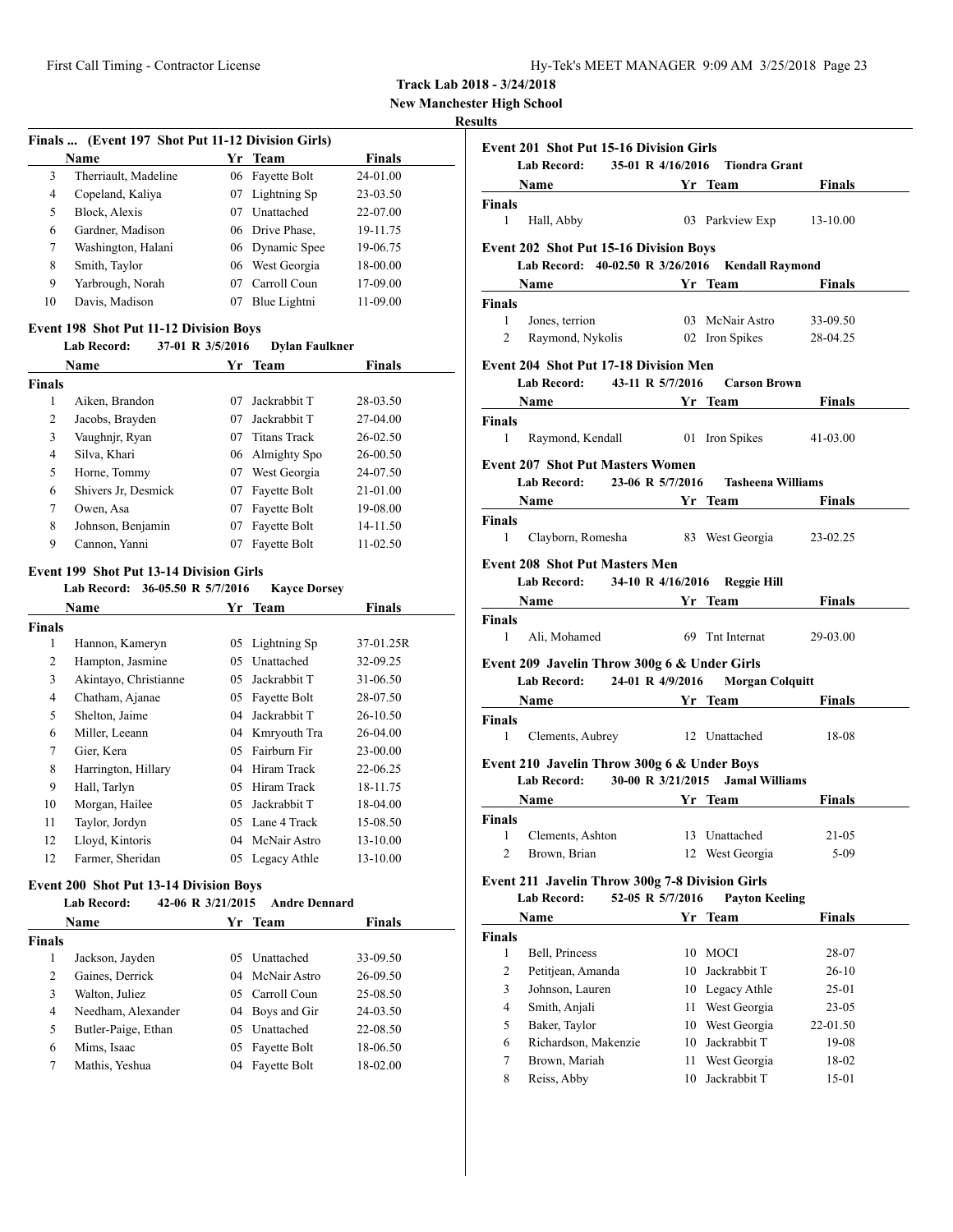**New Manchester High School**

# **Resul**

| Finals  (Event 197 Shot Put 11-12 Division Girls) |                      |    |                 |               |  |
|---------------------------------------------------|----------------------|----|-----------------|---------------|--|
|                                                   | Name                 |    | Yr Team         | <b>Finals</b> |  |
| 3                                                 | Therriault, Madeline | 06 | Fayette Bolt    | 24-01.00      |  |
| 4                                                 | Copeland, Kaliya     | 07 | Lightning Sp    | 23-03.50      |  |
| 5                                                 | Block, Alexis        | 07 | Unattached      | 22-07.00      |  |
| 6                                                 | Gardner, Madison     |    | 06 Drive Phase. | 19-11.75      |  |
| 7                                                 | Washington, Halani   |    | 06 Dynamic Spee | 19-06.75      |  |
| 8                                                 | Smith, Taylor        | 06 | West Georgia    | 18-00.00      |  |
| 9                                                 | Yarbrough, Norah     | 07 | Carroll Coun    | 17-09.00      |  |
| 10                                                | Davis, Madison       | 07 | Blue Lightni    | 11-09.00      |  |

# **Event 198 Shot Put 11-12 Division Boys**

**Lab Record: 37-01 R 3/5/2016 Dylan Faulkner**

| <b>Name</b>   |                     |    | Yr Team         | <b>Finals</b> |  |
|---------------|---------------------|----|-----------------|---------------|--|
| <b>Finals</b> |                     |    |                 |               |  |
| 1             | Aiken, Brandon      | 07 | Jackrabbit T    | 28-03.50      |  |
| 2             | Jacobs, Brayden     | 07 | Jackrabbit T    | 27-04.00      |  |
| 3             | Vaughnjr, Ryan      | 07 | Titans Track    | 26-02.50      |  |
| 4             | Silva, Khari        |    | 06 Almighty Spo | $26 - 00.50$  |  |
| 5             | Horne, Tommy        | 07 | West Georgia    | 24-07.50      |  |
| 6             | Shivers Jr, Desmick | 07 | Fayette Bolt    | 21-01.00      |  |
| 7             | Owen, Asa           | 07 | Fayette Bolt    | 19-08.00      |  |
| 8             | Johnson, Benjamin   | 07 | Fayette Bolt    | 14-11.50      |  |
| 9             | Cannon, Yanni       | 07 | Fayette Bolt    | $11 - 02.50$  |  |

### **Event 199 Shot Put 13-14 Division Girls**

|        | Lab Record: 36-05.50 R 5/7/2016 |    | <b>Kavce Dorsey</b> |           |  |
|--------|---------------------------------|----|---------------------|-----------|--|
|        | Name                            |    | Yr Team             | Finals    |  |
| Finals |                                 |    |                     |           |  |
| 1      | Hannon, Kameryn                 | 05 | Lightning Sp        | 37-01.25R |  |
| 2      | Hampton, Jasmine                | 05 | Unattached          | 32-09.25  |  |
| 3      | Akintayo, Christianne           | 05 | Jackrabbit T        | 31-06.50  |  |
| 4      | Chatham, Ajanae                 | 05 | Fayette Bolt        | 28-07.50  |  |
| 5      | Shelton, Jaime                  | 04 | Jackrabbit T        | 26-10.50  |  |
| 6      | Miller, Leeann                  | 04 | Kmryouth Tra        | 26-04.00  |  |
| 7      | Gier, Kera                      | 05 | Fairburn Fir        | 23-00.00  |  |
| 8      | Harrington, Hillary             | 04 | Hiram Track         | 22-06.25  |  |
| 9      | Hall, Tarlyn                    | 05 | Hiram Track         | 18-11.75  |  |
| 10     | Morgan, Hailee                  | 05 | Jackrabbit T        | 18-04.00  |  |
| 11     | Taylor, Jordyn                  | 05 | Lane 4 Track        | 15-08.50  |  |
| 12     | Lloyd, Kintoris                 | 04 | McNair Astro        | 13-10.00  |  |
| 12     | Farmer, Sheridan                |    | 05 Legacy Athle     | 13-10.00  |  |
|        |                                 |    |                     |           |  |

# **Event 200 Shot Put 13-14 Division Boys**

| 42-06 R 3/21/2015<br><b>Lab Record:</b><br><b>Andre Dennard</b> |
|-----------------------------------------------------------------|
|-----------------------------------------------------------------|

|               | Name                |     | Yr Team         | <b>Finals</b> |  |
|---------------|---------------------|-----|-----------------|---------------|--|
| <b>Finals</b> |                     |     |                 |               |  |
|               | Jackson, Jayden     | 05. | Unattached      | 33-09.50      |  |
| 2             | Gaines, Derrick     |     | 04 McNair Astro | 26-09.50      |  |
| 3             | Walton, Juliez      |     | 05 Carroll Coun | 25-08.50      |  |
| 4             | Needham, Alexander  |     | 04 Boys and Gir | 24-03.50      |  |
| 5             | Butler-Paige, Ethan |     | 05 Unattached   | 22-08.50      |  |
| 6             | Mims, Isaac         | 05  | Fayette Bolt    | 18-06.50      |  |
| 7             | Mathis, Yeshua      | 04  | Fayette Bolt    | 18-02.00      |  |

| <b>Event 201 Shot Put 15-16 Division Girls</b>                                                                                                                                                                                                                                                               |                  |                            |                  |
|--------------------------------------------------------------------------------------------------------------------------------------------------------------------------------------------------------------------------------------------------------------------------------------------------------------|------------------|----------------------------|------------------|
| Lab Record: 35-01 R 4/16/2016 Tiondra Grant                                                                                                                                                                                                                                                                  |                  |                            |                  |
| <b>Solution School Section 2 and School School Section 2 and School School School School School School School School School School School School School School School School School School School School School School School Sc</b>                                                                         |                  |                            | Finals           |
| Finals                                                                                                                                                                                                                                                                                                       |                  |                            |                  |
| 1 Hall, Abby                                                                                                                                                                                                                                                                                                 |                  | 03 Parkview Exp 13-10.00   |                  |
| <b>Event 202 Shot Put 15-16 Division Boys</b>                                                                                                                                                                                                                                                                |                  |                            |                  |
| Lab Record: 40-02.50 R 3/26/2016 Kendall Raymond                                                                                                                                                                                                                                                             |                  |                            |                  |
| Name Yr Team Finals                                                                                                                                                                                                                                                                                          |                  |                            |                  |
| Finals                                                                                                                                                                                                                                                                                                       |                  |                            |                  |
| 1 Jones, terrion                                                                                                                                                                                                                                                                                             |                  | 03 McNair Astro 33-09.50   |                  |
| Raymond, Nykolis 02 Iron Spikes 28-04.25<br>2                                                                                                                                                                                                                                                                |                  |                            |                  |
| <b>Event 204 Shot Put 17-18 Division Men</b>                                                                                                                                                                                                                                                                 |                  |                            |                  |
| Lab Record: 43-11 R 5/7/2016 Carson Brown                                                                                                                                                                                                                                                                    |                  |                            |                  |
| Name Yr Team Finals                                                                                                                                                                                                                                                                                          |                  |                            |                  |
| Finals                                                                                                                                                                                                                                                                                                       |                  |                            |                  |
| Raymond, Kendall 01 Iron Spikes 41-03.00<br>1                                                                                                                                                                                                                                                                |                  |                            |                  |
| <b>Event 207 Shot Put Masters Women</b>                                                                                                                                                                                                                                                                      |                  |                            |                  |
| Lab Record: 23-06 R 5/7/2016 Tasheena Williams                                                                                                                                                                                                                                                               |                  |                            |                  |
| Name Yr Team Finals                                                                                                                                                                                                                                                                                          |                  |                            |                  |
| <b>Finals</b><br>Clayborn, Romesha 83 West Georgia 23-02.25                                                                                                                                                                                                                                                  |                  |                            |                  |
| $1 \quad$                                                                                                                                                                                                                                                                                                    |                  |                            |                  |
| Lab Record: 34-10 R 4/16/2016 Reggie Hill                                                                                                                                                                                                                                                                    |                  |                            |                  |
|                                                                                                                                                                                                                                                                                                              |                  |                            |                  |
|                                                                                                                                                                                                                                                                                                              |                  |                            |                  |
| 1 Ali, Mohamed                                                                                                                                                                                                                                                                                               |                  | 69 Tnt Internat 29-03.00   |                  |
|                                                                                                                                                                                                                                                                                                              |                  |                            |                  |
| Lab Record: 24-01 R 4/9/2016 Morgan Colquitt                                                                                                                                                                                                                                                                 |                  |                            |                  |
| Name Yr Team Finals                                                                                                                                                                                                                                                                                          |                  |                            |                  |
|                                                                                                                                                                                                                                                                                                              |                  |                            |                  |
| Clements, Aubrey 12 Unattached 18-08<br>1                                                                                                                                                                                                                                                                    |                  |                            |                  |
|                                                                                                                                                                                                                                                                                                              |                  |                            |                  |
| Lab Record: 30-00 R 3/21/2015 Jamal Williams                                                                                                                                                                                                                                                                 |                  |                            |                  |
| Name Yr Team                                                                                                                                                                                                                                                                                                 |                  |                            | <b>Finals</b>    |
|                                                                                                                                                                                                                                                                                                              |                  |                            |                  |
| 1<br>Clements, Ashton                                                                                                                                                                                                                                                                                        |                  | 13 Unattached              | 21-05            |
| $\overline{2}$<br>Brown, Brian                                                                                                                                                                                                                                                                               | 12               | West Georgia               | $5-09$           |
|                                                                                                                                                                                                                                                                                                              |                  |                            |                  |
| <b>Lab Record:</b>                                                                                                                                                                                                                                                                                           | 52-05 R 5/7/2016 | <b>Payton Keeling</b>      |                  |
| Name                                                                                                                                                                                                                                                                                                         |                  | Yr Team                    | <b>Finals</b>    |
| <b>Event 208 Shot Put Masters Men</b><br>Name <b>Solution Strategy</b> Pinals <b>School Strategy</b> Pinals<br>Finals<br>Event 209 Javelin Throw 300g 6 & Under Girls<br>Finals<br>Event 210 Javelin Throw 300g 6 & Under Boys<br>Finals<br>Event 211 Javelin Throw 300g 7-8 Division Girls<br><b>Finals</b> |                  |                            |                  |
| $\mathbf{1}$<br>Bell, Princess<br>$\overline{2}$<br>Petitiean, Amanda                                                                                                                                                                                                                                        |                  | 10 MOCI<br>10 Jackrabbit T | 28-07<br>$26-10$ |

| 3 | Johnson, Lauren      | 10 Legacy Athle | 25-01     |
|---|----------------------|-----------------|-----------|
| 4 | Smith, Anjali        | 11 West Georgia | $23 - 05$ |
|   | Baker, Taylor        | 10 West Georgia | 22-01.50  |
| 6 | Richardson, Makenzie | 10 Jackrabbit T | 19-08     |
|   | Brown, Mariah        | 11 West Georgia | 18-02     |
| 8 | Reiss, Abby          | 10 Jackrabbit T | 15-01     |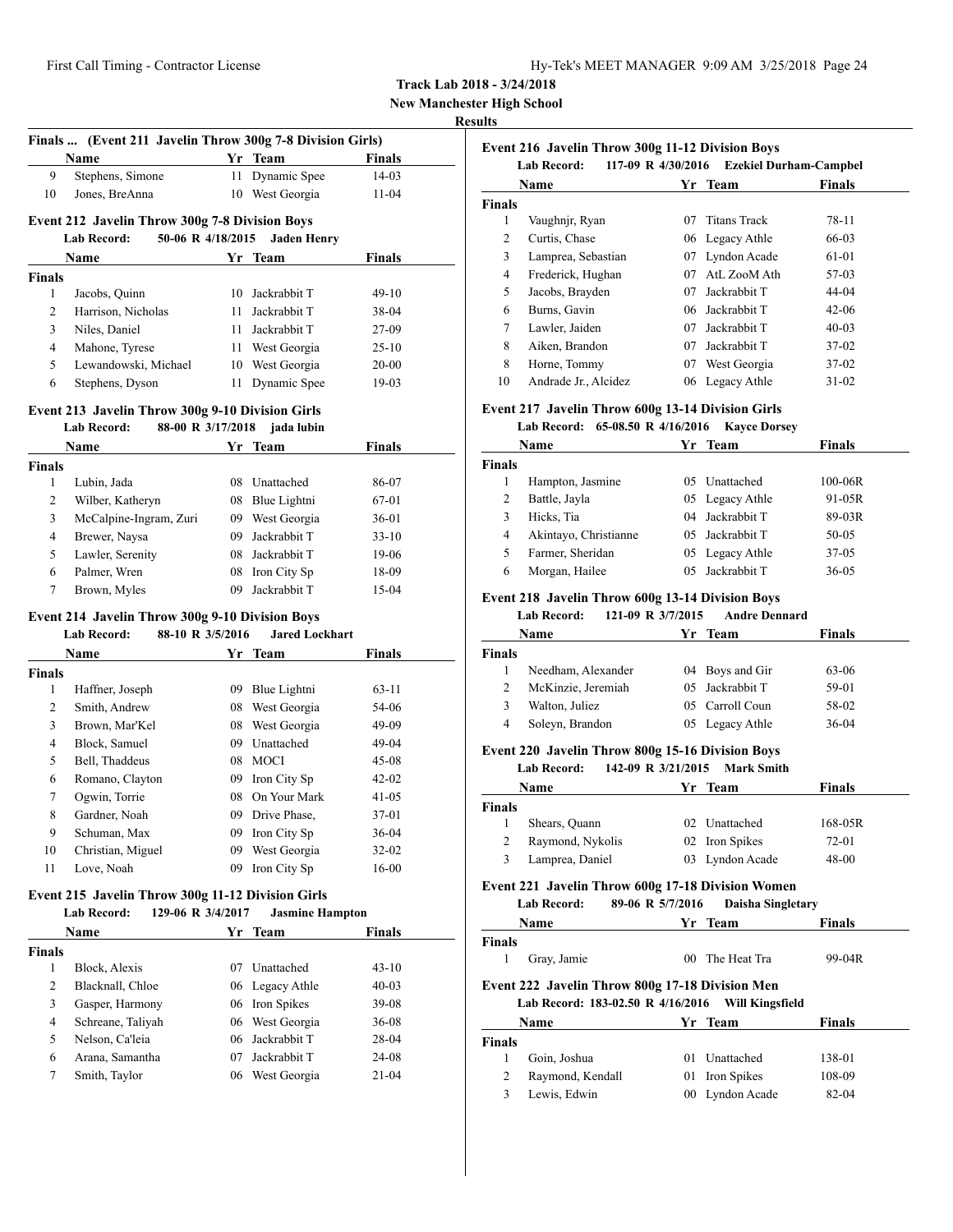**New Manchester High School**

#### **Results**

|                | Finals  (Event 211 Javelin Throw 300g 7-8 Division Girls)<br>Name                                |    | Yr Team                            | <b>Finals</b>      |  |
|----------------|--------------------------------------------------------------------------------------------------|----|------------------------------------|--------------------|--|
| 9              | Stephens, Simone                                                                                 | 11 | Dynamic Spee                       | $14-03$            |  |
| 10             | Jones, BreAnna                                                                                   |    | 10 West Georgia                    | $11-04$            |  |
|                |                                                                                                  |    |                                    |                    |  |
|                | <b>Event 212 Javelin Throw 300g 7-8 Division Boys</b><br><b>Lab Record:</b><br>50-06 R 4/18/2015 |    | <b>Jaden Henry</b>                 |                    |  |
|                | Name                                                                                             |    | Yr Team                            | Finals             |  |
| <b>Finals</b>  |                                                                                                  |    |                                    |                    |  |
| 1              | Jacobs, Quinn                                                                                    | 10 | Jackrabbit T                       | 49-10              |  |
| 2              | Harrison, Nicholas                                                                               | 11 | Jackrabbit T                       | 38-04              |  |
| 3              | Niles, Daniel                                                                                    | 11 | Jackrabbit T                       | 27-09              |  |
| $\overline{4}$ | Mahone, Tyrese                                                                                   | 11 | West Georgia                       | $25 - 10$          |  |
| 5              | Lewandowski, Michael                                                                             |    | 10 West Georgia                    | $20 - 00$          |  |
| 6              | Stephens, Dyson                                                                                  | 11 | Dynamic Spee                       | $19-03$            |  |
|                | Event 213 Javelin Throw 300g 9-10 Division Girls                                                 |    |                                    |                    |  |
|                | 88-00 R 3/17/2018<br>Lab Record:                                                                 |    | jada lubin                         |                    |  |
|                | <b>Name</b>                                                                                      |    | Yr Team                            | <b>Finals</b>      |  |
| <b>Finals</b>  |                                                                                                  |    |                                    |                    |  |
| 1<br>2         | Lubin, Jada                                                                                      |    | 08 Unattached                      | 86-07              |  |
| 3              | Wilber, Katheryn                                                                                 |    | 08 Blue Lightni<br>09 West Georgia | 67-01<br>$36 - 01$ |  |
| $\overline{4}$ | McCalpine-Ingram, Zuri                                                                           | 09 | Jackrabbit T                       |                    |  |
| 5              | Brewer, Naysa<br>Lawler, Serenity                                                                |    | 08 Jackrabbit T                    | $33-10$<br>19-06   |  |
| 6              | Palmer, Wren                                                                                     |    | 08 Iron City Sp                    | 18-09              |  |
| 7              |                                                                                                  |    | 09 Jackrabbit T                    | 15-04              |  |
|                | Brown, Myles                                                                                     |    |                                    |                    |  |
|                | Event 214 Javelin Throw 300g 9-10 Division Boys                                                  |    |                                    |                    |  |
|                | 88-10 R 3/5/2016<br>Lab Record:                                                                  |    | <b>Jared Lockhart</b>              |                    |  |
| <b>Finals</b>  | Name                                                                                             |    | Yr Team                            | Finals             |  |
| 1              | Haffner, Joseph                                                                                  |    | 09 Blue Lightni                    | $63 - 11$          |  |
| 2              | Smith, Andrew                                                                                    |    | 08 West Georgia                    | 54-06              |  |
| 3              | Brown, Mar'Kel                                                                                   | 08 | West Georgia                       | 49-09              |  |
| $\overline{4}$ | Block, Samuel                                                                                    |    | 09 Unattached                      | 49-04              |  |
| 5              | Bell, Thaddeus                                                                                   | 08 | MOCI                               | $45 - 08$          |  |
| 6              | Romano, Clayton                                                                                  |    | 09 Iron City Sp                    | $42 - 02$          |  |
| 7              | Ogwin, Torrie                                                                                    |    | 08 On Your Mark                    | 41-05              |  |
| 8              | Gardner, Noah                                                                                    |    | 09 Drive Phase,                    | 37-01              |  |
| 9              | Schuman, Max                                                                                     |    | 09 Iron City Sp                    | 36-04              |  |
| 10             | Christian, Miguel                                                                                | 09 | West Georgia                       | 32-02              |  |
| 11             | Love, Noah                                                                                       | 09 | Iron City Sp                       | $16 - 00$          |  |
|                | Event 215 Javelin Throw 300g 11-12 Division Girls                                                |    |                                    |                    |  |
|                | <b>Lab Record:</b><br>129-06 R 3/4/2017                                                          |    | <b>Jasmine Hampton</b>             |                    |  |
|                | <b>Name</b>                                                                                      |    | Yr Team                            | <b>Finals</b>      |  |
| <b>Finals</b>  |                                                                                                  |    |                                    |                    |  |
| 1              | Block, Alexis                                                                                    | 07 | Unattached                         | 43-10              |  |
| 2              | Blacknall, Chloe                                                                                 | 06 | Legacy Athle                       | $40 - 03$          |  |
| 3              | Gasper, Harmony                                                                                  | 06 | Iron Spikes                        | 39-08              |  |
| 4              | Schreane, Taliyah                                                                                | 06 | West Georgia                       | 36-08              |  |
| 5              | Nelson, Ca'leia                                                                                  | 06 | Jackrabbit T                       | 28-04              |  |
| 6              | Arana, Samantha                                                                                  | 07 | Jackrabbit T<br>06 West Georgia    | 24-08              |  |
| 7              | Smith, Taylor                                                                                    |    |                                    | 21-04              |  |

|        | <b>Event 216 Javelin Throw 300g 11-12 Division Boys</b><br>117-09 R 4/30/2016<br><b>Ezekiel Durham-Campbel</b><br><b>Lab Record:</b> |     |                     |           |  |  |  |
|--------|--------------------------------------------------------------------------------------------------------------------------------------|-----|---------------------|-----------|--|--|--|
|        | Name<br>Finals<br>Yr Team                                                                                                            |     |                     |           |  |  |  |
| Finals |                                                                                                                                      |     |                     |           |  |  |  |
| 1      | Vaughnjr, Ryan                                                                                                                       | 07  | <b>Titans Track</b> | 78-11     |  |  |  |
| 2      | Curtis, Chase                                                                                                                        |     | 06 Legacy Athle     | 66-03     |  |  |  |
| 3      | Lamprea, Sebastian                                                                                                                   | 07  | Lyndon Acade        | 61-01     |  |  |  |
| 4      | Frederick, Hughan                                                                                                                    | 07  | AtL ZooM Ath        | 57-03     |  |  |  |
| 5      | Jacobs, Brayden                                                                                                                      | 07  | Jackrabbit T        | 44-04     |  |  |  |
| 6      | Burns, Gavin                                                                                                                         | 06. | Jackrabbit T        | $42 - 06$ |  |  |  |
| 7      | Lawler, Jaiden                                                                                                                       | 07  | Jackrabbit T        | $40-03$   |  |  |  |
| 8      | Aiken, Brandon                                                                                                                       | 07  | Jackrabbit T        | $37-02$   |  |  |  |
| 8      | Horne, Tommy                                                                                                                         | 07  | West Georgia        | $37-02$   |  |  |  |
| 10     | Andrade Jr., Alcidez                                                                                                                 |     | 06 Legacy Athle     | $31 - 02$ |  |  |  |

# **Event 217 Javelin Throw 600g 13-14 Division Girls**

### **Lab Record: 65-08.50 R 4/16/2016 Kayce Dorsey**

|                | Name                  | Yr Team         | <b>Finals</b> |  |
|----------------|-----------------------|-----------------|---------------|--|
| Finals         |                       |                 |               |  |
|                | Hampton, Jasmine      | 05 Unattached   | $100 - 06R$   |  |
| 2              | Battle, Jayla         | 05 Legacy Athle | 91-05R        |  |
|                | Hicks, Tia            | 04 Jackrabbit T | 89-03R        |  |
| $\overline{4}$ | Akintayo, Christianne | 05 Jackrabbit T | $50 - 05$     |  |
|                | Farmer, Sheridan      | 05 Legacy Athle | $37-05$       |  |
| 6              | Morgan, Hailee        | 05 Jackrabbit T | $36 - 05$     |  |

# **Event 218 Javelin Throw 600g 13-14 Division Boys**

**Lab Record: 121-09 R 3/7/2015 Andre Dennard**

| Name               | Yr. | Team | <b>Finals</b>                                                            |  |
|--------------------|-----|------|--------------------------------------------------------------------------|--|
|                    |     |      |                                                                          |  |
| Needham, Alexander |     |      | 63-06                                                                    |  |
| McKinzie, Jeremiah |     |      | 59-01                                                                    |  |
| Walton, Juliez     |     |      | 58-02                                                                    |  |
| Soleyn, Brandon    |     |      | 36-04                                                                    |  |
|                    |     |      | 04 Boys and Gir<br>05 Jackrabbit T<br>05 Carroll Coun<br>05 Legacy Athle |  |

### **Event 220 Javelin Throw 800g 15-16 Division Boys**

**Lab Record: 142-09 R 3/21/2015 Mark Smith**

|        | Name             | Yr Team         | <b>Finals</b> |  |
|--------|------------------|-----------------|---------------|--|
| Finals |                  |                 |               |  |
|        | Shears, Quann    | 02 Unattached   | 168-05R       |  |
|        | Raymond, Nykolis | 02 Iron Spikes  | 72-01         |  |
|        | Lamprea, Daniel  | 03 Lyndon Acade | 48-00         |  |

### **Event 221 Javelin Throw 600g 17-18 Division Women**

**Lab Record: 89-06 R 5/7/2016 Daisha Singletary**

|        | Name                                                                                 |         | Yr Team                | Finals |
|--------|--------------------------------------------------------------------------------------|---------|------------------------|--------|
| Finals |                                                                                      |         |                        |        |
| 1      | Gray, Jamie                                                                          |         | 00 The Heat Tra        | 99-04R |
|        | Event 222 Javelin Throw 800g 17-18 Division Men<br>Lab Record: 183-02.50 R 4/16/2016 |         | <b>Will Kingsfield</b> |        |
|        | Name                                                                                 |         | Yr Team                | Finals |
| Finals |                                                                                      |         |                        |        |
| 1      | Goin, Joshua                                                                         | $^{01}$ | Unattached             | 138-01 |
| 2      | Raymond, Kendall                                                                     | 01      | Iron Spikes            | 108-09 |
| 3      | Lewis, Edwin                                                                         |         | 00 Lyndon Acade        | 82-04  |